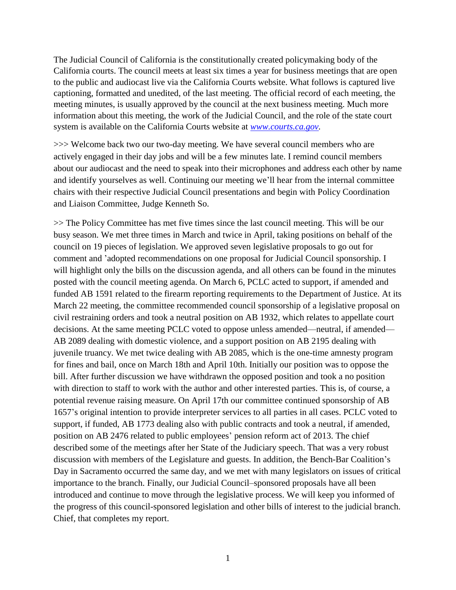The Judicial Council of California is the constitutionally created policymaking body of the California courts. The council meets at least six times a year for business meetings that are open to the public and audiocast live via the California Courts website. What follows is captured live captioning, formatted and unedited, of the last meeting. The official record of each meeting, the meeting minutes, is usually approved by the council at the next business meeting. Much more information about this meeting, the work of the Judicial Council, and the role of the state court system is available on the California Courts website at *[www.courts.ca.gov.](http://www.courts.ca.gov/)*

>>> Welcome back two our two-day meeting. We have several council members who are actively engaged in their day jobs and will be a few minutes late. I remind council members about our audiocast and the need to speak into their microphones and address each other by name and identify yourselves as well. Continuing our meeting we'll hear from the internal committee chairs with their respective Judicial Council presentations and begin with Policy Coordination and Liaison Committee, Judge Kenneth So.

>> The Policy Committee has met five times since the last council meeting. This will be our busy season. We met three times in March and twice in April, taking positions on behalf of the council on 19 pieces of legislation. We approved seven legislative proposals to go out for comment and 'adopted recommendations on one proposal for Judicial Council sponsorship. I will highlight only the bills on the discussion agenda, and all others can be found in the minutes posted with the council meeting agenda. On March 6, PCLC acted to support, if amended and funded AB 1591 related to the firearm reporting requirements to the Department of Justice. At its March 22 meeting, the committee recommended council sponsorship of a legislative proposal on civil restraining orders and took a neutral position on AB 1932, which relates to appellate court decisions. At the same meeting PCLC voted to oppose unless amended—neutral, if amended— AB 2089 dealing with domestic violence, and a support position on AB 2195 dealing with juvenile truancy. We met twice dealing with AB 2085, which is the one-time amnesty program for fines and bail, once on March 18th and April 10th. Initially our position was to oppose the bill. After further discussion we have withdrawn the opposed position and took a no position with direction to staff to work with the author and other interested parties. This is, of course, a potential revenue raising measure. On April 17th our committee continued sponsorship of AB 1657's original intention to provide interpreter services to all parties in all cases. PCLC voted to support, if funded, AB 1773 dealing also with public contracts and took a neutral, if amended, position on AB 2476 related to public employees' pension reform act of 2013. The chief described some of the meetings after her State of the Judiciary speech. That was a very robust discussion with members of the Legislature and guests. In addition, the Bench-Bar Coalition's Day in Sacramento occurred the same day, and we met with many legislators on issues of critical importance to the branch. Finally, our Judicial Council–sponsored proposals have all been introduced and continue to move through the legislative process. We will keep you informed of the progress of this council-sponsored legislation and other bills of interest to the judicial branch. Chief, that completes my report.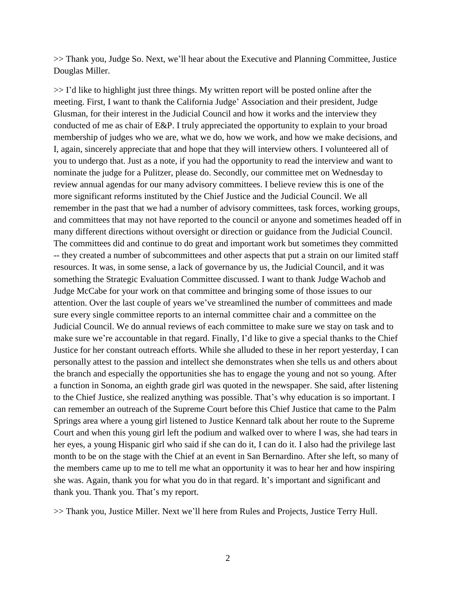>> Thank you, Judge So. Next, we'll hear about the Executive and Planning Committee, Justice Douglas Miller.

>> I'd like to highlight just three things. My written report will be posted online after the meeting. First, I want to thank the California Judge' Association and their president, Judge Glusman, for their interest in the Judicial Council and how it works and the interview they conducted of me as chair of E&P. I truly appreciated the opportunity to explain to your broad membership of judges who we are, what we do, how we work, and how we make decisions, and I, again, sincerely appreciate that and hope that they will interview others. I volunteered all of you to undergo that. Just as a note, if you had the opportunity to read the interview and want to nominate the judge for a Pulitzer, please do. Secondly, our committee met on Wednesday to review annual agendas for our many advisory committees. I believe review this is one of the more significant reforms instituted by the Chief Justice and the Judicial Council. We all remember in the past that we had a number of advisory committees, task forces, working groups, and committees that may not have reported to the council or anyone and sometimes headed off in many different directions without oversight or direction or guidance from the Judicial Council. The committees did and continue to do great and important work but sometimes they committed -- they created a number of subcommittees and other aspects that put a strain on our limited staff resources. It was, in some sense, a lack of governance by us, the Judicial Council, and it was something the Strategic Evaluation Committee discussed. I want to thank Judge Wachob and Judge McCabe for your work on that committee and bringing some of those issues to our attention. Over the last couple of years we've streamlined the number of committees and made sure every single committee reports to an internal committee chair and a committee on the Judicial Council. We do annual reviews of each committee to make sure we stay on task and to make sure we're accountable in that regard. Finally, I'd like to give a special thanks to the Chief Justice for her constant outreach efforts. While she alluded to these in her report yesterday, I can personally attest to the passion and intellect she demonstrates when she tells us and others about the branch and especially the opportunities she has to engage the young and not so young. After a function in Sonoma, an eighth grade girl was quoted in the newspaper. She said, after listening to the Chief Justice, she realized anything was possible. That's why education is so important. I can remember an outreach of the Supreme Court before this Chief Justice that came to the Palm Springs area where a young girl listened to Justice Kennard talk about her route to the Supreme Court and when this young girl left the podium and walked over to where I was, she had tears in her eyes, a young Hispanic girl who said if she can do it, I can do it. I also had the privilege last month to be on the stage with the Chief at an event in San Bernardino. After she left, so many of the members came up to me to tell me what an opportunity it was to hear her and how inspiring she was. Again, thank you for what you do in that regard. It's important and significant and thank you. Thank you. That's my report.

>> Thank you, Justice Miller. Next we'll here from Rules and Projects, Justice Terry Hull.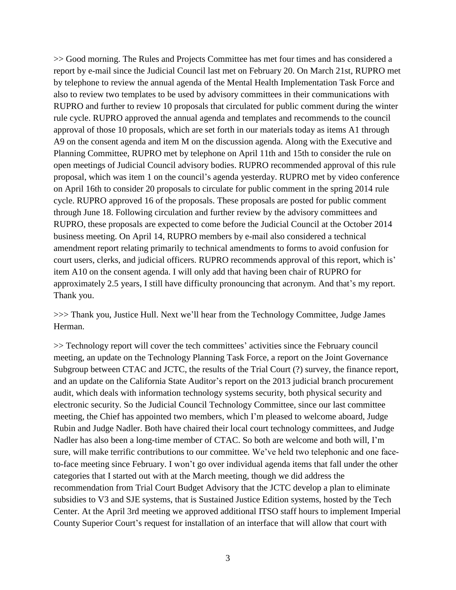>> Good morning. The Rules and Projects Committee has met four times and has considered a report by e-mail since the Judicial Council last met on February 20. On March 21st, RUPRO met by telephone to review the annual agenda of the Mental Health Implementation Task Force and also to review two templates to be used by advisory committees in their communications with RUPRO and further to review 10 proposals that circulated for public comment during the winter rule cycle. RUPRO approved the annual agenda and templates and recommends to the council approval of those 10 proposals, which are set forth in our materials today as items A1 through A9 on the consent agenda and item M on the discussion agenda. Along with the Executive and Planning Committee, RUPRO met by telephone on April 11th and 15th to consider the rule on open meetings of Judicial Council advisory bodies. RUPRO recommended approval of this rule proposal, which was item 1 on the council's agenda yesterday. RUPRO met by video conference on April 16th to consider 20 proposals to circulate for public comment in the spring 2014 rule cycle. RUPRO approved 16 of the proposals. These proposals are posted for public comment through June 18. Following circulation and further review by the advisory committees and RUPRO, these proposals are expected to come before the Judicial Council at the October 2014 business meeting. On April 14, RUPRO members by e-mail also considered a technical amendment report relating primarily to technical amendments to forms to avoid confusion for court users, clerks, and judicial officers. RUPRO recommends approval of this report, which is' item A10 on the consent agenda. I will only add that having been chair of RUPRO for approximately 2.5 years, I still have difficulty pronouncing that acronym. And that's my report. Thank you.

>>> Thank you, Justice Hull. Next we'll hear from the Technology Committee, Judge James Herman.

>> Technology report will cover the tech committees' activities since the February council meeting, an update on the Technology Planning Task Force, a report on the Joint Governance Subgroup between CTAC and JCTC, the results of the Trial Court (?) survey, the finance report, and an update on the California State Auditor's report on the 2013 judicial branch procurement audit, which deals with information technology systems security, both physical security and electronic security. So the Judicial Council Technology Committee, since our last committee meeting, the Chief has appointed two members, which I'm pleased to welcome aboard, Judge Rubin and Judge Nadler. Both have chaired their local court technology committees, and Judge Nadler has also been a long-time member of CTAC. So both are welcome and both will, I'm sure, will make terrific contributions to our committee. We've held two telephonic and one faceto-face meeting since February. I won't go over individual agenda items that fall under the other categories that I started out with at the March meeting, though we did address the recommendation from Trial Court Budget Advisory that the JCTC develop a plan to eliminate subsidies to V3 and SJE systems, that is Sustained Justice Edition systems, hosted by the Tech Center. At the April 3rd meeting we approved additional ITSO staff hours to implement Imperial County Superior Court's request for installation of an interface that will allow that court with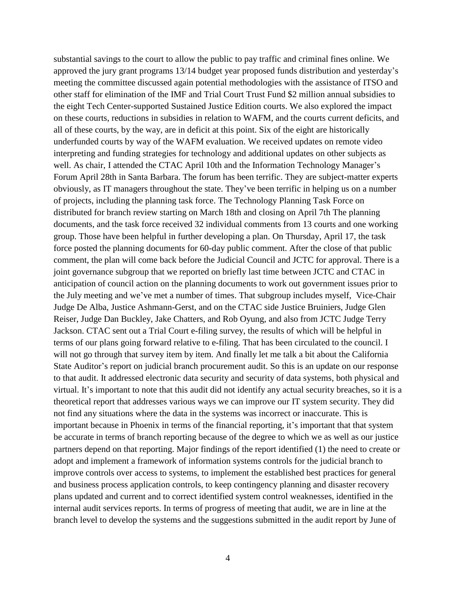substantial savings to the court to allow the public to pay traffic and criminal fines online. We approved the jury grant programs 13/14 budget year proposed funds distribution and yesterday's meeting the committee discussed again potential methodologies with the assistance of ITSO and other staff for elimination of the IMF and Trial Court Trust Fund \$2 million annual subsidies to the eight Tech Center-supported Sustained Justice Edition courts. We also explored the impact on these courts, reductions in subsidies in relation to WAFM, and the courts current deficits, and all of these courts, by the way, are in deficit at this point. Six of the eight are historically underfunded courts by way of the WAFM evaluation. We received updates on remote video interpreting and funding strategies for technology and additional updates on other subjects as well. As chair, I attended the CTAC April 10th and the Information Technology Manager's Forum April 28th in Santa Barbara. The forum has been terrific. They are subject-matter experts obviously, as IT managers throughout the state. They've been terrific in helping us on a number of projects, including the planning task force. The Technology Planning Task Force on distributed for branch review starting on March 18th and closing on April 7th The planning documents, and the task force received 32 individual comments from 13 courts and one working group. Those have been helpful in further developing a plan. On Thursday, April 17, the task force posted the planning documents for 60-day public comment. After the close of that public comment, the plan will come back before the Judicial Council and JCTC for approval. There is a joint governance subgroup that we reported on briefly last time between JCTC and CTAC in anticipation of council action on the planning documents to work out government issues prior to the July meeting and we've met a number of times. That subgroup includes myself, Vice-Chair Judge De Alba, Justice Ashmann-Gerst, and on the CTAC side Justice Bruiniers, Judge Glen Reiser, Judge Dan Buckley, Jake Chatters, and Rob Oyung, and also from JCTC Judge Terry Jackson. CTAC sent out a Trial Court e-filing survey, the results of which will be helpful in terms of our plans going forward relative to e-filing. That has been circulated to the council. I will not go through that survey item by item. And finally let me talk a bit about the California State Auditor's report on judicial branch procurement audit. So this is an update on our response to that audit. It addressed electronic data security and security of data systems, both physical and virtual. It's important to note that this audit did not identify any actual security breaches, so it is a theoretical report that addresses various ways we can improve our IT system security. They did not find any situations where the data in the systems was incorrect or inaccurate. This is important because in Phoenix in terms of the financial reporting, it's important that that system be accurate in terms of branch reporting because of the degree to which we as well as our justice partners depend on that reporting. Major findings of the report identified (1) the need to create or adopt and implement a framework of information systems controls for the judicial branch to improve controls over access to systems, to implement the established best practices for general and business process application controls, to keep contingency planning and disaster recovery plans updated and current and to correct identified system control weaknesses, identified in the internal audit services reports. In terms of progress of meeting that audit, we are in line at the branch level to develop the systems and the suggestions submitted in the audit report by June of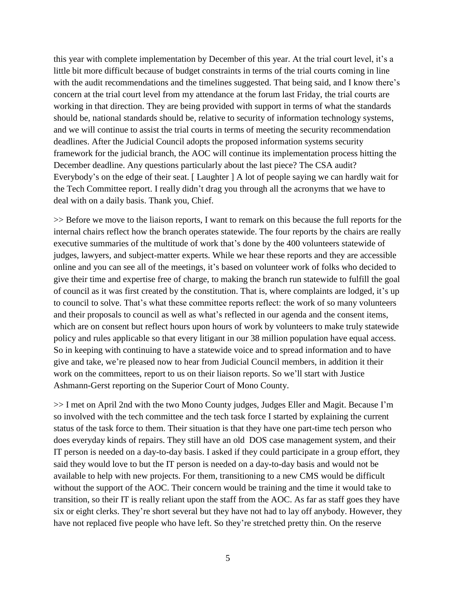this year with complete implementation by December of this year. At the trial court level, it's a little bit more difficult because of budget constraints in terms of the trial courts coming in line with the audit recommendations and the timelines suggested. That being said, and I know there's concern at the trial court level from my attendance at the forum last Friday, the trial courts are working in that direction. They are being provided with support in terms of what the standards should be, national standards should be, relative to security of information technology systems, and we will continue to assist the trial courts in terms of meeting the security recommendation deadlines. After the Judicial Council adopts the proposed information systems security framework for the judicial branch, the AOC will continue its implementation process hitting the December deadline. Any questions particularly about the last piece? The CSA audit? Everybody's on the edge of their seat. [ Laughter ] A lot of people saying we can hardly wait for the Tech Committee report. I really didn't drag you through all the acronyms that we have to deal with on a daily basis. Thank you, Chief.

>> Before we move to the liaison reports, I want to remark on this because the full reports for the internal chairs reflect how the branch operates statewide. The four reports by the chairs are really executive summaries of the multitude of work that's done by the 400 volunteers statewide of judges, lawyers, and subject-matter experts. While we hear these reports and they are accessible online and you can see all of the meetings, it's based on volunteer work of folks who decided to give their time and expertise free of charge, to making the branch run statewide to fulfill the goal of council as it was first created by the constitution. That is, where complaints are lodged, it's up to council to solve. That's what these committee reports reflect: the work of so many volunteers and their proposals to council as well as what's reflected in our agenda and the consent items, which are on consent but reflect hours upon hours of work by volunteers to make truly statewide policy and rules applicable so that every litigant in our 38 million population have equal access. So in keeping with continuing to have a statewide voice and to spread information and to have give and take, we're pleased now to hear from Judicial Council members, in addition it their work on the committees, report to us on their liaison reports. So we'll start with Justice Ashmann-Gerst reporting on the Superior Court of Mono County.

>> I met on April 2nd with the two Mono County judges, Judges Eller and Magit. Because I'm so involved with the tech committee and the tech task force I started by explaining the current status of the task force to them. Their situation is that they have one part-time tech person who does everyday kinds of repairs. They still have an old DOS case management system, and their IT person is needed on a day-to-day basis. I asked if they could participate in a group effort, they said they would love to but the IT person is needed on a day-to-day basis and would not be available to help with new projects. For them, transitioning to a new CMS would be difficult without the support of the AOC. Their concern would be training and the time it would take to transition, so their IT is really reliant upon the staff from the AOC. As far as staff goes they have six or eight clerks. They're short several but they have not had to lay off anybody. However, they have not replaced five people who have left. So they're stretched pretty thin. On the reserve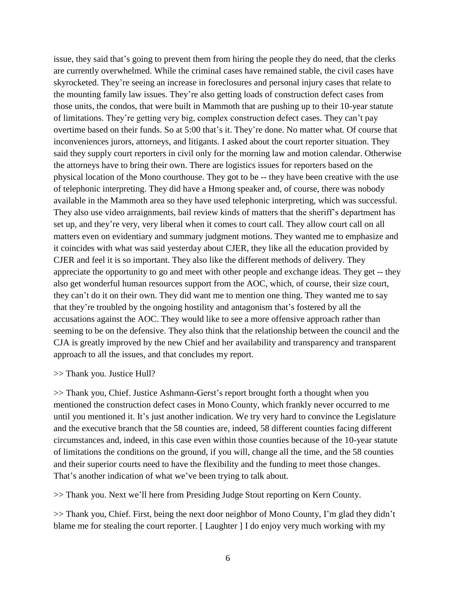issue, they said that's going to prevent them from hiring the people they do need, that the clerks are currently overwhelmed. While the criminal cases have remained stable, the civil cases have skyrocketed. They're seeing an increase in foreclosures and personal injury cases that relate to the mounting family law issues. They're also getting loads of construction defect cases from those units, the condos, that were built in Mammoth that are pushing up to their 10-year statute of limitations. They're getting very big, complex construction defect cases. They can't pay overtime based on their funds. So at 5:00 that's it. They're done. No matter what. Of course that inconveniences jurors, attorneys, and litigants. I asked about the court reporter situation. They said they supply court reporters in civil only for the morning law and motion calendar. Otherwise the attorneys have to bring their own. There are logistics issues for reporters based on the physical location of the Mono courthouse. They got to be -- they have been creative with the use of telephonic interpreting. They did have a Hmong speaker and, of course, there was nobody available in the Mammoth area so they have used telephonic interpreting, which was successful. They also use video arraignments, bail review kinds of matters that the sheriff's department has set up, and they're very, very liberal when it comes to court call. They allow court call on all matters even on evidentiary and summary judgment motions. They wanted me to emphasize and it coincides with what was said yesterday about CJER, they like all the education provided by CJER and feel it is so important. They also like the different methods of delivery. They appreciate the opportunity to go and meet with other people and exchange ideas. They get -- they also get wonderful human resources support from the AOC, which, of course, their size court, they can't do it on their own. They did want me to mention one thing. They wanted me to say that they're troubled by the ongoing hostility and antagonism that's fostered by all the accusations against the AOC. They would like to see a more offensive approach rather than seeming to be on the defensive. They also think that the relationship between the council and the CJA is greatly improved by the new Chief and her availability and transparency and transparent approach to all the issues, and that concludes my report.

#### >> Thank you. Justice Hull?

>> Thank you, Chief. Justice Ashmann-Gerst's report brought forth a thought when you mentioned the construction defect cases in Mono County, which frankly never occurred to me until you mentioned it. It's just another indication. We try very hard to convince the Legislature and the executive branch that the 58 counties are, indeed, 58 different counties facing different circumstances and, indeed, in this case even within those counties because of the 10-year statute of limitations the conditions on the ground, if you will, change all the time, and the 58 counties and their superior courts need to have the flexibility and the funding to meet those changes. That's another indication of what we've been trying to talk about.

>> Thank you. Next we'll here from Presiding Judge Stout reporting on Kern County.

>> Thank you, Chief. First, being the next door neighbor of Mono County, I'm glad they didn't blame me for stealing the court reporter. [ Laughter ] I do enjoy very much working with my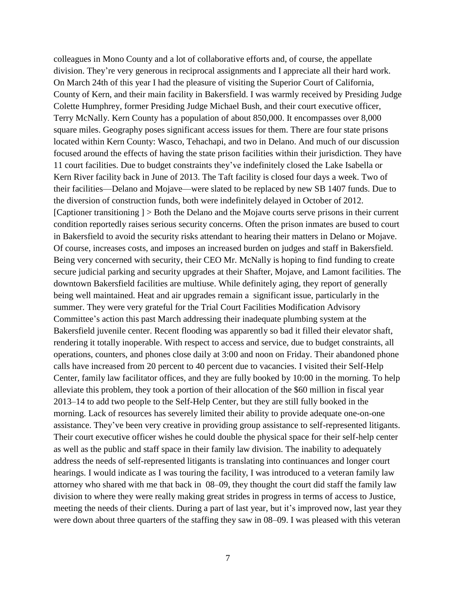colleagues in Mono County and a lot of collaborative efforts and, of course, the appellate division. They're very generous in reciprocal assignments and I appreciate all their hard work. On March 24th of this year I had the pleasure of visiting the Superior Court of California, County of Kern, and their main facility in Bakersfield. I was warmly received by Presiding Judge Colette Humphrey, former Presiding Judge Michael Bush, and their court executive officer, Terry McNally. Kern County has a population of about 850,000. It encompasses over 8,000 square miles. Geography poses significant access issues for them. There are four state prisons located within Kern County: Wasco, Tehachapi, and two in Delano. And much of our discussion focused around the effects of having the state prison facilities within their jurisdiction. They have 11 court facilities. Due to budget constraints they've indefinitely closed the Lake Isabella or Kern River facility back in June of 2013. The Taft facility is closed four days a week. Two of their facilities—Delano and Mojave—were slated to be replaced by new SB 1407 funds. Due to the diversion of construction funds, both were indefinitely delayed in October of 2012. [Captioner transitioning ] > Both the Delano and the Mojave courts serve prisons in their current condition reportedly raises serious security concerns. Often the prison inmates are bused to court in Bakersfield to avoid the security risks attendant to hearing their matters in Delano or Mojave. Of course, increases costs, and imposes an increased burden on judges and staff in Bakersfield. Being very concerned with security, their CEO Mr. McNally is hoping to find funding to create secure judicial parking and security upgrades at their Shafter, Mojave, and Lamont facilities. The downtown Bakersfield facilities are multiuse. While definitely aging, they report of generally being well maintained. Heat and air upgrades remain a significant issue, particularly in the summer. They were very grateful for the Trial Court Facilities Modification Advisory Committee's action this past March addressing their inadequate plumbing system at the Bakersfield juvenile center. Recent flooding was apparently so bad it filled their elevator shaft, rendering it totally inoperable. With respect to access and service, due to budget constraints, all operations, counters, and phones close daily at 3:00 and noon on Friday. Their abandoned phone calls have increased from 20 percent to 40 percent due to vacancies. I visited their Self-Help Center, family law facilitator offices, and they are fully booked by 10:00 in the morning. To help alleviate this problem, they took a portion of their allocation of the \$60 million in fiscal year 2013–14 to add two people to the Self-Help Center, but they are still fully booked in the morning. Lack of resources has severely limited their ability to provide adequate one-on-one assistance. They've been very creative in providing group assistance to self-represented litigants. Their court executive officer wishes he could double the physical space for their self-help center as well as the public and staff space in their family law division. The inability to adequately address the needs of self-represented litigants is translating into continuances and longer court hearings. I would indicate as I was touring the facility, I was introduced to a veteran family law attorney who shared with me that back in 08–09, they thought the court did staff the family law division to where they were really making great strides in progress in terms of access to Justice, meeting the needs of their clients. During a part of last year, but it's improved now, last year they were down about three quarters of the staffing they saw in 08–09. I was pleased with this veteran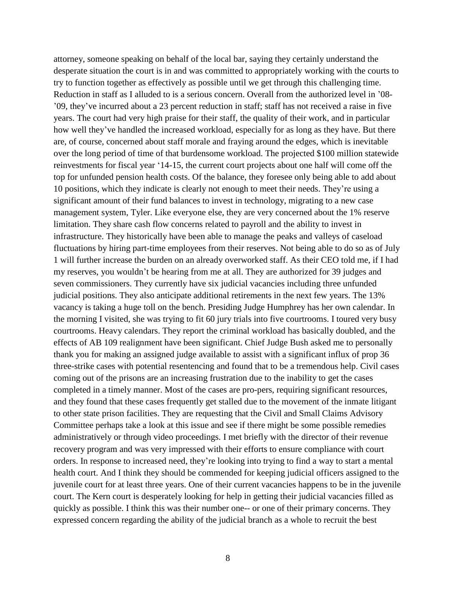attorney, someone speaking on behalf of the local bar, saying they certainly understand the desperate situation the court is in and was committed to appropriately working with the courts to try to function together as effectively as possible until we get through this challenging time. Reduction in staff as I alluded to is a serious concern. Overall from the authorized level in '08- '09, they've incurred about a 23 percent reduction in staff; staff has not received a raise in five years. The court had very high praise for their staff, the quality of their work, and in particular how well they've handled the increased workload, especially for as long as they have. But there are, of course, concerned about staff morale and fraying around the edges, which is inevitable over the long period of time of that burdensome workload. The projected \$100 million statewide reinvestments for fiscal year '14-15, the current court projects about one half will come off the top for unfunded pension health costs. Of the balance, they foresee only being able to add about 10 positions, which they indicate is clearly not enough to meet their needs. They're using a significant amount of their fund balances to invest in technology, migrating to a new case management system, Tyler. Like everyone else, they are very concerned about the 1% reserve limitation. They share cash flow concerns related to payroll and the ability to invest in infrastructure. They historically have been able to manage the peaks and valleys of caseload fluctuations by hiring part-time employees from their reserves. Not being able to do so as of July 1 will further increase the burden on an already overworked staff. As their CEO told me, if I had my reserves, you wouldn't be hearing from me at all. They are authorized for 39 judges and seven commissioners. They currently have six judicial vacancies including three unfunded judicial positions. They also anticipate additional retirements in the next few years. The 13% vacancy is taking a huge toll on the bench. Presiding Judge Humphrey has her own calendar. In the morning I visited, she was trying to fit 60 jury trials into five courtrooms. I toured very busy courtrooms. Heavy calendars. They report the criminal workload has basically doubled, and the effects of AB 109 realignment have been significant. Chief Judge Bush asked me to personally thank you for making an assigned judge available to assist with a significant influx of prop 36 three-strike cases with potential resentencing and found that to be a tremendous help. Civil cases coming out of the prisons are an increasing frustration due to the inability to get the cases completed in a timely manner. Most of the cases are pro-pers, requiring significant resources, and they found that these cases frequently get stalled due to the movement of the inmate litigant to other state prison facilities. They are requesting that the Civil and Small Claims Advisory Committee perhaps take a look at this issue and see if there might be some possible remedies administratively or through video proceedings. I met briefly with the director of their revenue recovery program and was very impressed with their efforts to ensure compliance with court orders. In response to increased need, they're looking into trying to find a way to start a mental health court. And I think they should be commended for keeping judicial officers assigned to the juvenile court for at least three years. One of their current vacancies happens to be in the juvenile court. The Kern court is desperately looking for help in getting their judicial vacancies filled as quickly as possible. I think this was their number one-- or one of their primary concerns. They expressed concern regarding the ability of the judicial branch as a whole to recruit the best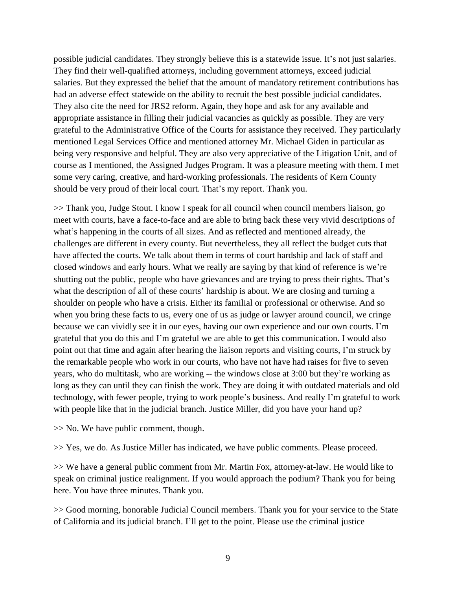possible judicial candidates. They strongly believe this is a statewide issue. It's not just salaries. They find their well-qualified attorneys, including government attorneys, exceed judicial salaries. But they expressed the belief that the amount of mandatory retirement contributions has had an adverse effect statewide on the ability to recruit the best possible judicial candidates. They also cite the need for JRS2 reform. Again, they hope and ask for any available and appropriate assistance in filling their judicial vacancies as quickly as possible. They are very grateful to the Administrative Office of the Courts for assistance they received. They particularly mentioned Legal Services Office and mentioned attorney Mr. Michael Giden in particular as being very responsive and helpful. They are also very appreciative of the Litigation Unit, and of course as I mentioned, the Assigned Judges Program. It was a pleasure meeting with them. I met some very caring, creative, and hard-working professionals. The residents of Kern County should be very proud of their local court. That's my report. Thank you.

>> Thank you, Judge Stout. I know I speak for all council when council members liaison, go meet with courts, have a face-to-face and are able to bring back these very vivid descriptions of what's happening in the courts of all sizes. And as reflected and mentioned already, the challenges are different in every county. But nevertheless, they all reflect the budget cuts that have affected the courts. We talk about them in terms of court hardship and lack of staff and closed windows and early hours. What we really are saying by that kind of reference is we're shutting out the public, people who have grievances and are trying to press their rights. That's what the description of all of these courts' hardship is about. We are closing and turning a shoulder on people who have a crisis. Either its familial or professional or otherwise. And so when you bring these facts to us, every one of us as judge or lawyer around council, we cringe because we can vividly see it in our eyes, having our own experience and our own courts. I'm grateful that you do this and I'm grateful we are able to get this communication. I would also point out that time and again after hearing the liaison reports and visiting courts, I'm struck by the remarkable people who work in our courts, who have not have had raises for five to seven years, who do multitask, who are working -- the windows close at 3:00 but they're working as long as they can until they can finish the work. They are doing it with outdated materials and old technology, with fewer people, trying to work people's business. And really I'm grateful to work with people like that in the judicial branch. Justice Miller, did you have your hand up?

>> No. We have public comment, though.

>> Yes, we do. As Justice Miller has indicated, we have public comments. Please proceed.

>> We have a general public comment from Mr. Martin Fox, attorney-at-law. He would like to speak on criminal justice realignment. If you would approach the podium? Thank you for being here. You have three minutes. Thank you.

>> Good morning, honorable Judicial Council members. Thank you for your service to the State of California and its judicial branch. I'll get to the point. Please use the criminal justice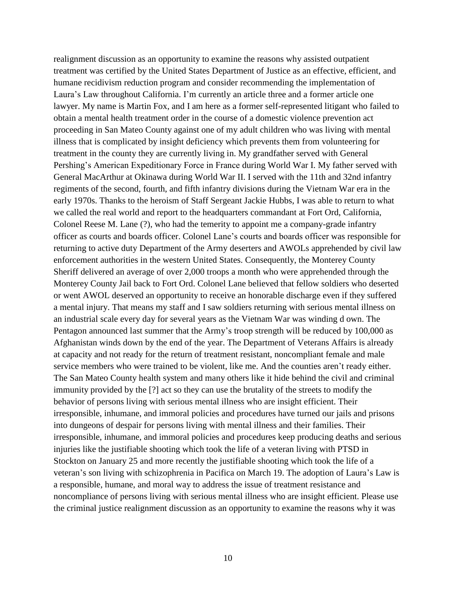realignment discussion as an opportunity to examine the reasons why assisted outpatient treatment was certified by the United States Department of Justice as an effective, efficient, and humane recidivism reduction program and consider recommending the implementation of Laura's Law throughout California. I'm currently an article three and a former article one lawyer. My name is Martin Fox, and I am here as a former self-represented litigant who failed to obtain a mental health treatment order in the course of a domestic violence prevention act proceeding in San Mateo County against one of my adult children who was living with mental illness that is complicated by insight deficiency which prevents them from volunteering for treatment in the county they are currently living in. My grandfather served with General Pershing's American Expeditionary Force in France during World War I. My father served with General MacArthur at Okinawa during World War II. I served with the 11th and 32nd infantry regiments of the second, fourth, and fifth infantry divisions during the Vietnam War era in the early 1970s. Thanks to the heroism of Staff Sergeant Jackie Hubbs, I was able to return to what we called the real world and report to the headquarters commandant at Fort Ord, California, Colonel Reese M. Lane (?), who had the temerity to appoint me a company-grade infantry officer as courts and boards officer. Colonel Lane's courts and boards officer was responsible for returning to active duty Department of the Army deserters and AWOLs apprehended by civil law enforcement authorities in the western United States. Consequently, the Monterey County Sheriff delivered an average of over 2,000 troops a month who were apprehended through the Monterey County Jail back to Fort Ord. Colonel Lane believed that fellow soldiers who deserted or went AWOL deserved an opportunity to receive an honorable discharge even if they suffered a mental injury. That means my staff and I saw soldiers returning with serious mental illness on an industrial scale every day for several years as the Vietnam War was winding d own. The Pentagon announced last summer that the Army's troop strength will be reduced by 100,000 as Afghanistan winds down by the end of the year. The Department of Veterans Affairs is already at capacity and not ready for the return of treatment resistant, noncompliant female and male service members who were trained to be violent, like me. And the counties aren't ready either. The San Mateo County health system and many others like it hide behind the civil and criminal immunity provided by the [?] act so they can use the brutality of the streets to modify the behavior of persons living with serious mental illness who are insight efficient. Their irresponsible, inhumane, and immoral policies and procedures have turned our jails and prisons into dungeons of despair for persons living with mental illness and their families. Their irresponsible, inhumane, and immoral policies and procedures keep producing deaths and serious injuries like the justifiable shooting which took the life of a veteran living with PTSD in Stockton on January 25 and more recently the justifiable shooting which took the life of a veteran's son living with schizophrenia in Pacifica on March 19. The adoption of Laura's Law is a responsible, humane, and moral way to address the issue of treatment resistance and noncompliance of persons living with serious mental illness who are insight efficient. Please use the criminal justice realignment discussion as an opportunity to examine the reasons why it was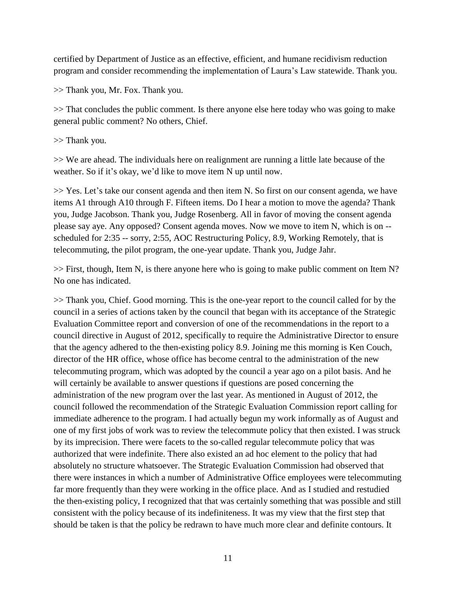certified by Department of Justice as an effective, efficient, and humane recidivism reduction program and consider recommending the implementation of Laura's Law statewide. Thank you.

>> Thank you, Mr. Fox. Thank you.

>> That concludes the public comment. Is there anyone else here today who was going to make general public comment? No others, Chief.

>> Thank you.

>> We are ahead. The individuals here on realignment are running a little late because of the weather. So if it's okay, we'd like to move item N up until now.

>> Yes. Let's take our consent agenda and then item N. So first on our consent agenda, we have items A1 through A10 through F. Fifteen items. Do I hear a motion to move the agenda? Thank you, Judge Jacobson. Thank you, Judge Rosenberg. All in favor of moving the consent agenda please say aye. Any opposed? Consent agenda moves. Now we move to item N, which is on - scheduled for 2:35 -- sorry, 2:55, AOC Restructuring Policy, 8.9, Working Remotely, that is telecommuting, the pilot program, the one-year update. Thank you, Judge Jahr.

>> First, though, Item N, is there anyone here who is going to make public comment on Item N? No one has indicated.

>> Thank you, Chief. Good morning. This is the one-year report to the council called for by the council in a series of actions taken by the council that began with its acceptance of the Strategic Evaluation Committee report and conversion of one of the recommendations in the report to a council directive in August of 2012, specifically to require the Administrative Director to ensure that the agency adhered to the then-existing policy 8.9. Joining me this morning is Ken Couch, director of the HR office, whose office has become central to the administration of the new telecommuting program, which was adopted by the council a year ago on a pilot basis. And he will certainly be available to answer questions if questions are posed concerning the administration of the new program over the last year. As mentioned in August of 2012, the council followed the recommendation of the Strategic Evaluation Commission report calling for immediate adherence to the program. I had actually begun my work informally as of August and one of my first jobs of work was to review the telecommute policy that then existed. I was struck by its imprecision. There were facets to the so-called regular telecommute policy that was authorized that were indefinite. There also existed an ad hoc element to the policy that had absolutely no structure whatsoever. The Strategic Evaluation Commission had observed that there were instances in which a number of Administrative Office employees were telecommuting far more frequently than they were working in the office place. And as I studied and restudied the then-existing policy, I recognized that that was certainly something that was possible and still consistent with the policy because of its indefiniteness. It was my view that the first step that should be taken is that the policy be redrawn to have much more clear and definite contours. It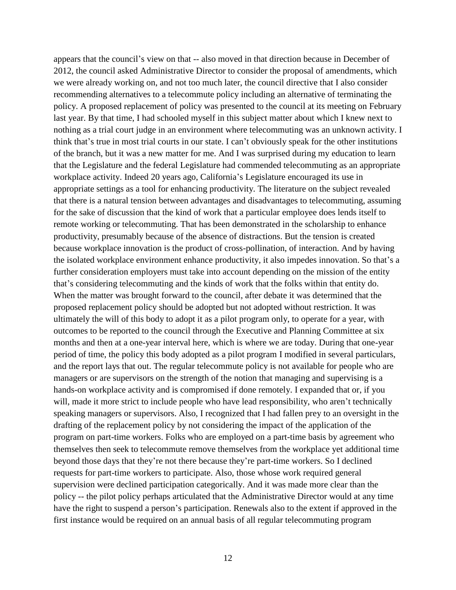appears that the council's view on that -- also moved in that direction because in December of 2012, the council asked Administrative Director to consider the proposal of amendments, which we were already working on, and not too much later, the council directive that I also consider recommending alternatives to a telecommute policy including an alternative of terminating the policy. A proposed replacement of policy was presented to the council at its meeting on February last year. By that time, I had schooled myself in this subject matter about which I knew next to nothing as a trial court judge in an environment where telecommuting was an unknown activity. I think that's true in most trial courts in our state. I can't obviously speak for the other institutions of the branch, but it was a new matter for me. And I was surprised during my education to learn that the Legislature and the federal Legislature had commended telecommuting as an appropriate workplace activity. Indeed 20 years ago, California's Legislature encouraged its use in appropriate settings as a tool for enhancing productivity. The literature on the subject revealed that there is a natural tension between advantages and disadvantages to telecommuting, assuming for the sake of discussion that the kind of work that a particular employee does lends itself to remote working or telecommuting. That has been demonstrated in the scholarship to enhance productivity, presumably because of the absence of distractions. But the tension is created because workplace innovation is the product of cross-pollination, of interaction. And by having the isolated workplace environment enhance productivity, it also impedes innovation. So that's a further consideration employers must take into account depending on the mission of the entity that's considering telecommuting and the kinds of work that the folks within that entity do. When the matter was brought forward to the council, after debate it was determined that the proposed replacement policy should be adopted but not adopted without restriction. It was ultimately the will of this body to adopt it as a pilot program only, to operate for a year, with outcomes to be reported to the council through the Executive and Planning Committee at six months and then at a one-year interval here, which is where we are today. During that one-year period of time, the policy this body adopted as a pilot program I modified in several particulars, and the report lays that out. The regular telecommute policy is not available for people who are managers or are supervisors on the strength of the notion that managing and supervising is a hands-on workplace activity and is compromised if done remotely. I expanded that or, if you will, made it more strict to include people who have lead responsibility, who aren't technically speaking managers or supervisors. Also, I recognized that I had fallen prey to an oversight in the drafting of the replacement policy by not considering the impact of the application of the program on part-time workers. Folks who are employed on a part-time basis by agreement who themselves then seek to telecommute remove themselves from the workplace yet additional time beyond those days that they're not there because they're part-time workers. So I declined requests for part-time workers to participate. Also, those whose work required general supervision were declined participation categorically. And it was made more clear than the policy -- the pilot policy perhaps articulated that the Administrative Director would at any time have the right to suspend a person's participation. Renewals also to the extent if approved in the first instance would be required on an annual basis of all regular telecommuting program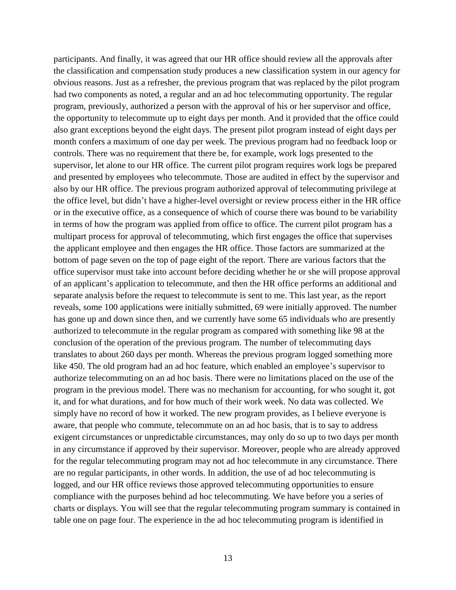participants. And finally, it was agreed that our HR office should review all the approvals after the classification and compensation study produces a new classification system in our agency for obvious reasons. Just as a refresher, the previous program that was replaced by the pilot program had two components as noted, a regular and an ad hoc telecommuting opportunity. The regular program, previously, authorized a person with the approval of his or her supervisor and office, the opportunity to telecommute up to eight days per month. And it provided that the office could also grant exceptions beyond the eight days. The present pilot program instead of eight days per month confers a maximum of one day per week. The previous program had no feedback loop or controls. There was no requirement that there be, for example, work logs presented to the supervisor, let alone to our HR office. The current pilot program requires work logs be prepared and presented by employees who telecommute. Those are audited in effect by the supervisor and also by our HR office. The previous program authorized approval of telecommuting privilege at the office level, but didn't have a higher-level oversight or review process either in the HR office or in the executive office, as a consequence of which of course there was bound to be variability in terms of how the program was applied from office to office. The current pilot program has a multipart process for approval of telecommuting, which first engages the office that supervises the applicant employee and then engages the HR office. Those factors are summarized at the bottom of page seven on the top of page eight of the report. There are various factors that the office supervisor must take into account before deciding whether he or she will propose approval of an applicant's application to telecommute, and then the HR office performs an additional and separate analysis before the request to telecommute is sent to me. This last year, as the report reveals, some 100 applications were initially submitted, 69 were initially approved. The number has gone up and down since then, and we currently have some 65 individuals who are presently authorized to telecommute in the regular program as compared with something like 98 at the conclusion of the operation of the previous program. The number of telecommuting days translates to about 260 days per month. Whereas the previous program logged something more like 450. The old program had an ad hoc feature, which enabled an employee's supervisor to authorize telecommuting on an ad hoc basis. There were no limitations placed on the use of the program in the previous model. There was no mechanism for accounting, for who sought it, got it, and for what durations, and for how much of their work week. No data was collected. We simply have no record of how it worked. The new program provides, as I believe everyone is aware, that people who commute, telecommute on an ad hoc basis, that is to say to address exigent circumstances or unpredictable circumstances, may only do so up to two days per month in any circumstance if approved by their supervisor. Moreover, people who are already approved for the regular telecommuting program may not ad hoc telecommute in any circumstance. There are no regular participants, in other words. In addition, the use of ad hoc telecommuting is logged, and our HR office reviews those approved telecommuting opportunities to ensure compliance with the purposes behind ad hoc telecommuting. We have before you a series of charts or displays. You will see that the regular telecommuting program summary is contained in table one on page four. The experience in the ad hoc telecommuting program is identified in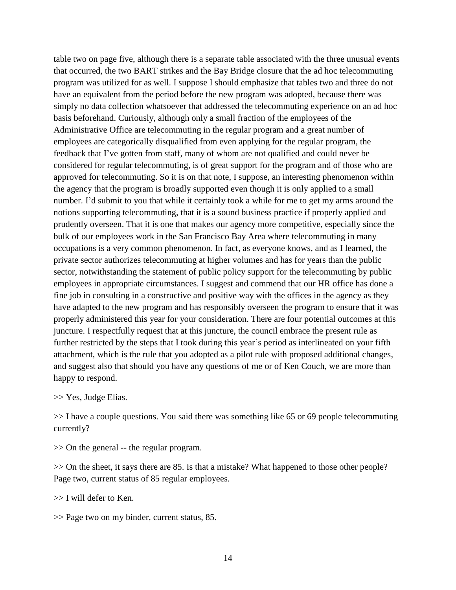table two on page five, although there is a separate table associated with the three unusual events that occurred, the two BART strikes and the Bay Bridge closure that the ad hoc telecommuting program was utilized for as well. I suppose I should emphasize that tables two and three do not have an equivalent from the period before the new program was adopted, because there was simply no data collection whatsoever that addressed the telecommuting experience on an ad hoc basis beforehand. Curiously, although only a small fraction of the employees of the Administrative Office are telecommuting in the regular program and a great number of employees are categorically disqualified from even applying for the regular program, the feedback that I've gotten from staff, many of whom are not qualified and could never be considered for regular telecommuting, is of great support for the program and of those who are approved for telecommuting. So it is on that note, I suppose, an interesting phenomenon within the agency that the program is broadly supported even though it is only applied to a small number. I'd submit to you that while it certainly took a while for me to get my arms around the notions supporting telecommuting, that it is a sound business practice if properly applied and prudently overseen. That it is one that makes our agency more competitive, especially since the bulk of our employees work in the San Francisco Bay Area where telecommuting in many occupations is a very common phenomenon. In fact, as everyone knows, and as I learned, the private sector authorizes telecommuting at higher volumes and has for years than the public sector, notwithstanding the statement of public policy support for the telecommuting by public employees in appropriate circumstances. I suggest and commend that our HR office has done a fine job in consulting in a constructive and positive way with the offices in the agency as they have adapted to the new program and has responsibly overseen the program to ensure that it was properly administered this year for your consideration. There are four potential outcomes at this juncture. I respectfully request that at this juncture, the council embrace the present rule as further restricted by the steps that I took during this year's period as interlineated on your fifth attachment, which is the rule that you adopted as a pilot rule with proposed additional changes, and suggest also that should you have any questions of me or of Ken Couch, we are more than happy to respond.

>> Yes, Judge Elias.

>> I have a couple questions. You said there was something like 65 or 69 people telecommuting currently?

>> On the general -- the regular program.

>> On the sheet, it says there are 85. Is that a mistake? What happened to those other people? Page two, current status of 85 regular employees.

>> I will defer to Ken.

>> Page two on my binder, current status, 85.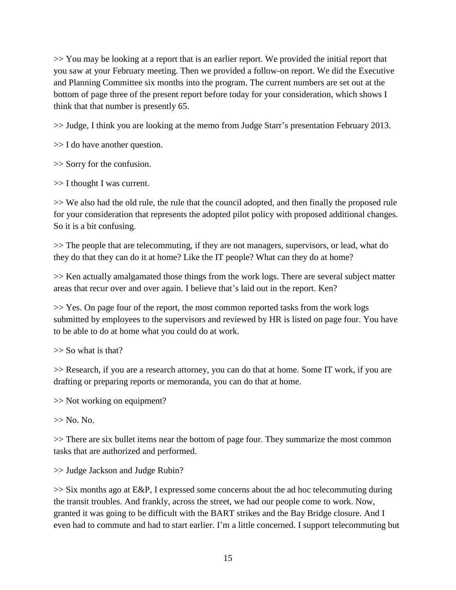>> You may be looking at a report that is an earlier report. We provided the initial report that you saw at your February meeting. Then we provided a follow-on report. We did the Executive and Planning Committee six months into the program. The current numbers are set out at the bottom of page three of the present report before today for your consideration, which shows I think that that number is presently 65.

>> Judge, I think you are looking at the memo from Judge Starr's presentation February 2013.

>> I do have another question.

>> Sorry for the confusion.

>> I thought I was current.

>> We also had the old rule, the rule that the council adopted, and then finally the proposed rule for your consideration that represents the adopted pilot policy with proposed additional changes. So it is a bit confusing.

>> The people that are telecommuting, if they are not managers, supervisors, or lead, what do they do that they can do it at home? Like the IT people? What can they do at home?

>> Ken actually amalgamated those things from the work logs. There are several subject matter areas that recur over and over again. I believe that's laid out in the report. Ken?

>> Yes. On page four of the report, the most common reported tasks from the work logs submitted by employees to the supervisors and reviewed by HR is listed on page four. You have to be able to do at home what you could do at work.

>> So what is that?

>> Research, if you are a research attorney, you can do that at home. Some IT work, if you are drafting or preparing reports or memoranda, you can do that at home.

>> Not working on equipment?

 $\gg$  No. No.

>> There are six bullet items near the bottom of page four. They summarize the most common tasks that are authorized and performed.

>> Judge Jackson and Judge Rubin?

>> Six months ago at E&P, I expressed some concerns about the ad hoc telecommuting during the transit troubles. And frankly, across the street, we had our people come to work. Now, granted it was going to be difficult with the BART strikes and the Bay Bridge closure. And I even had to commute and had to start earlier. I'm a little concerned. I support telecommuting but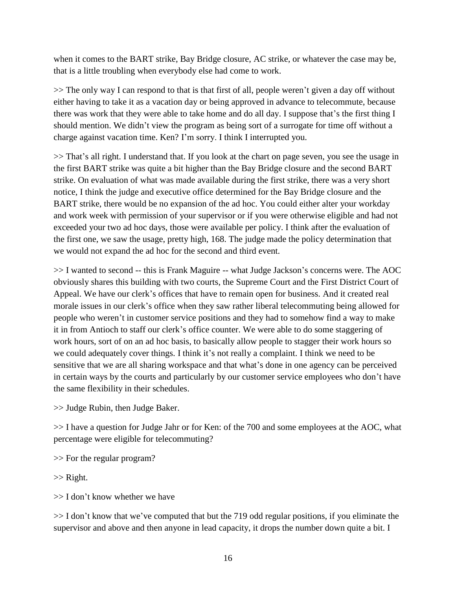when it comes to the BART strike, Bay Bridge closure, AC strike, or whatever the case may be, that is a little troubling when everybody else had come to work.

>> The only way I can respond to that is that first of all, people weren't given a day off without either having to take it as a vacation day or being approved in advance to telecommute, because there was work that they were able to take home and do all day. I suppose that's the first thing I should mention. We didn't view the program as being sort of a surrogate for time off without a charge against vacation time. Ken? I'm sorry. I think I interrupted you.

>> That's all right. I understand that. If you look at the chart on page seven, you see the usage in the first BART strike was quite a bit higher than the Bay Bridge closure and the second BART strike. On evaluation of what was made available during the first strike, there was a very short notice, I think the judge and executive office determined for the Bay Bridge closure and the BART strike, there would be no expansion of the ad hoc. You could either alter your workday and work week with permission of your supervisor or if you were otherwise eligible and had not exceeded your two ad hoc days, those were available per policy. I think after the evaluation of the first one, we saw the usage, pretty high, 168. The judge made the policy determination that we would not expand the ad hoc for the second and third event.

>> I wanted to second -- this is Frank Maguire -- what Judge Jackson's concerns were. The AOC obviously shares this building with two courts, the Supreme Court and the First District Court of Appeal. We have our clerk's offices that have to remain open for business. And it created real morale issues in our clerk's office when they saw rather liberal telecommuting being allowed for people who weren't in customer service positions and they had to somehow find a way to make it in from Antioch to staff our clerk's office counter. We were able to do some staggering of work hours, sort of on an ad hoc basis, to basically allow people to stagger their work hours so we could adequately cover things. I think it's not really a complaint. I think we need to be sensitive that we are all sharing workspace and that what's done in one agency can be perceived in certain ways by the courts and particularly by our customer service employees who don't have the same flexibility in their schedules.

>> Judge Rubin, then Judge Baker.

>> I have a question for Judge Jahr or for Ken: of the 700 and some employees at the AOC, what percentage were eligible for telecommuting?

>> For the regular program?

>> Right.

>> I don't know whether we have

>> I don't know that we've computed that but the 719 odd regular positions, if you eliminate the supervisor and above and then anyone in lead capacity, it drops the number down quite a bit. I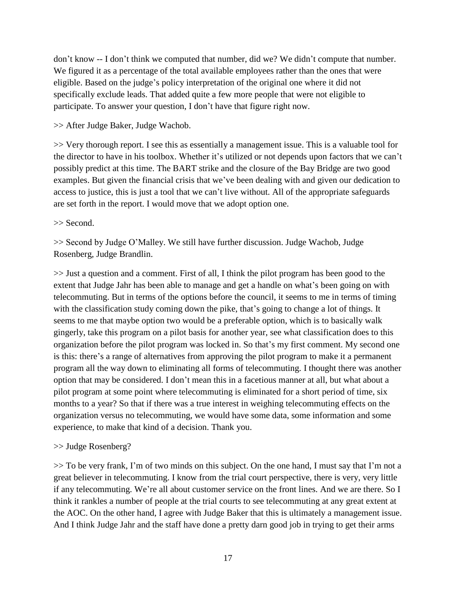don't know -- I don't think we computed that number, did we? We didn't compute that number. We figured it as a percentage of the total available employees rather than the ones that were eligible. Based on the judge's policy interpretation of the original one where it did not specifically exclude leads. That added quite a few more people that were not eligible to participate. To answer your question, I don't have that figure right now.

### >> After Judge Baker, Judge Wachob.

>> Very thorough report. I see this as essentially a management issue. This is a valuable tool for the director to have in his toolbox. Whether it's utilized or not depends upon factors that we can't possibly predict at this time. The BART strike and the closure of the Bay Bridge are two good examples. But given the financial crisis that we've been dealing with and given our dedication to access to justice, this is just a tool that we can't live without. All of the appropriate safeguards are set forth in the report. I would move that we adopt option one.

#### >> Second.

>> Second by Judge O'Malley. We still have further discussion. Judge Wachob, Judge Rosenberg, Judge Brandlin.

>> Just a question and a comment. First of all, I think the pilot program has been good to the extent that Judge Jahr has been able to manage and get a handle on what's been going on with telecommuting. But in terms of the options before the council, it seems to me in terms of timing with the classification study coming down the pike, that's going to change a lot of things. It seems to me that maybe option two would be a preferable option, which is to basically walk gingerly, take this program on a pilot basis for another year, see what classification does to this organization before the pilot program was locked in. So that's my first comment. My second one is this: there's a range of alternatives from approving the pilot program to make it a permanent program all the way down to eliminating all forms of telecommuting. I thought there was another option that may be considered. I don't mean this in a facetious manner at all, but what about a pilot program at some point where telecommuting is eliminated for a short period of time, six months to a year? So that if there was a true interest in weighing telecommuting effects on the organization versus no telecommuting, we would have some data, some information and some experience, to make that kind of a decision. Thank you.

## >> Judge Rosenberg?

>> To be very frank, I'm of two minds on this subject. On the one hand, I must say that I'm not a great believer in telecommuting. I know from the trial court perspective, there is very, very little if any telecommuting. We're all about customer service on the front lines. And we are there. So I think it rankles a number of people at the trial courts to see telecommuting at any great extent at the AOC. On the other hand, I agree with Judge Baker that this is ultimately a management issue. And I think Judge Jahr and the staff have done a pretty darn good job in trying to get their arms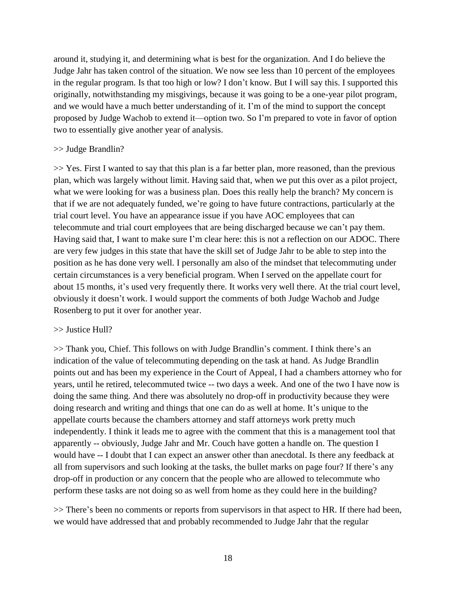around it, studying it, and determining what is best for the organization. And I do believe the Judge Jahr has taken control of the situation. We now see less than 10 percent of the employees in the regular program. Is that too high or low? I don't know. But I will say this. I supported this originally, notwithstanding my misgivings, because it was going to be a one-year pilot program, and we would have a much better understanding of it. I'm of the mind to support the concept proposed by Judge Wachob to extend it—option two. So I'm prepared to vote in favor of option two to essentially give another year of analysis.

#### >> Judge Brandlin?

>> Yes. First I wanted to say that this plan is a far better plan, more reasoned, than the previous plan, which was largely without limit. Having said that, when we put this over as a pilot project, what we were looking for was a business plan. Does this really help the branch? My concern is that if we are not adequately funded, we're going to have future contractions, particularly at the trial court level. You have an appearance issue if you have AOC employees that can telecommute and trial court employees that are being discharged because we can't pay them. Having said that, I want to make sure I'm clear here: this is not a reflection on our ADOC. There are very few judges in this state that have the skill set of Judge Jahr to be able to step into the position as he has done very well. I personally am also of the mindset that telecommuting under certain circumstances is a very beneficial program. When I served on the appellate court for about 15 months, it's used very frequently there. It works very well there. At the trial court level, obviously it doesn't work. I would support the comments of both Judge Wachob and Judge Rosenberg to put it over for another year.

#### >> Justice Hull?

>> Thank you, Chief. This follows on with Judge Brandlin's comment. I think there's an indication of the value of telecommuting depending on the task at hand. As Judge Brandlin points out and has been my experience in the Court of Appeal, I had a chambers attorney who for years, until he retired, telecommuted twice -- two days a week. And one of the two I have now is doing the same thing. And there was absolutely no drop-off in productivity because they were doing research and writing and things that one can do as well at home. It's unique to the appellate courts because the chambers attorney and staff attorneys work pretty much independently. I think it leads me to agree with the comment that this is a management tool that apparently -- obviously, Judge Jahr and Mr. Couch have gotten a handle on. The question I would have -- I doubt that I can expect an answer other than anecdotal. Is there any feedback at all from supervisors and such looking at the tasks, the bullet marks on page four? If there's any drop-off in production or any concern that the people who are allowed to telecommute who perform these tasks are not doing so as well from home as they could here in the building?

>> There's been no comments or reports from supervisors in that aspect to HR. If there had been, we would have addressed that and probably recommended to Judge Jahr that the regular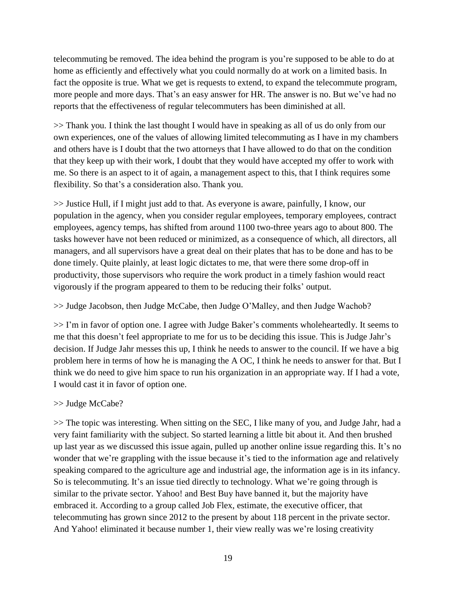telecommuting be removed. The idea behind the program is you're supposed to be able to do at home as efficiently and effectively what you could normally do at work on a limited basis. In fact the opposite is true. What we get is requests to extend, to expand the telecommute program, more people and more days. That's an easy answer for HR. The answer is no. But we've had no reports that the effectiveness of regular telecommuters has been diminished at all.

>> Thank you. I think the last thought I would have in speaking as all of us do only from our own experiences, one of the values of allowing limited telecommuting as I have in my chambers and others have is I doubt that the two attorneys that I have allowed to do that on the condition that they keep up with their work, I doubt that they would have accepted my offer to work with me. So there is an aspect to it of again, a management aspect to this, that I think requires some flexibility. So that's a consideration also. Thank you.

>> Justice Hull, if I might just add to that. As everyone is aware, painfully, I know, our population in the agency, when you consider regular employees, temporary employees, contract employees, agency temps, has shifted from around 1100 two-three years ago to about 800. The tasks however have not been reduced or minimized, as a consequence of which, all directors, all managers, and all supervisors have a great deal on their plates that has to be done and has to be done timely. Quite plainly, at least logic dictates to me, that were there some drop-off in productivity, those supervisors who require the work product in a timely fashion would react vigorously if the program appeared to them to be reducing their folks' output.

## >> Judge Jacobson, then Judge McCabe, then Judge O'Malley, and then Judge Wachob?

>> I'm in favor of option one. I agree with Judge Baker's comments wholeheartedly. It seems to me that this doesn't feel appropriate to me for us to be deciding this issue. This is Judge Jahr's decision. If Judge Jahr messes this up, I think he needs to answer to the council. If we have a big problem here in terms of how he is managing the A OC, I think he needs to answer for that. But I think we do need to give him space to run his organization in an appropriate way. If I had a vote, I would cast it in favor of option one.

## >> Judge McCabe?

>> The topic was interesting. When sitting on the SEC, I like many of you, and Judge Jahr, had a very faint familiarity with the subject. So started learning a little bit about it. And then brushed up last year as we discussed this issue again, pulled up another online issue regarding this. It's no wonder that we're grappling with the issue because it's tied to the information age and relatively speaking compared to the agriculture age and industrial age, the information age is in its infancy. So is telecommuting. It's an issue tied directly to technology. What we're going through is similar to the private sector. Yahoo! and Best Buy have banned it, but the majority have embraced it. According to a group called Job Flex, estimate, the executive officer, that telecommuting has grown since 2012 to the present by about 118 percent in the private sector. And Yahoo! eliminated it because number 1, their view really was we're losing creativity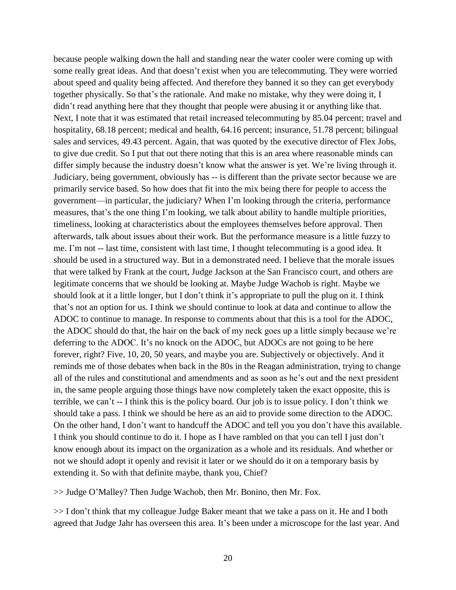because people walking down the hall and standing near the water cooler were coming up with some really great ideas. And that doesn't exist when you are telecommuting. They were worried about speed and quality being affected. And therefore they banned it so they can get everybody together physically. So that's the rationale. And make no mistake, why they were doing it, I didn't read anything here that they thought that people were abusing it or anything like that. Next, I note that it was estimated that retail increased telecommuting by 85.04 percent; travel and hospitality, 68.18 percent; medical and health, 64.16 percent; insurance, 51.78 percent; bilingual sales and services, 49.43 percent. Again, that was quoted by the executive director of Flex Jobs, to give due credit. So I put that out there noting that this is an area where reasonable minds can differ simply because the industry doesn't know what the answer is yet. We're living through it. Judiciary, being government, obviously has -- is different than the private sector because we are primarily service based. So how does that fit into the mix being there for people to access the government—in particular, the judiciary? When I'm looking through the criteria, performance measures, that's the one thing I'm looking, we talk about ability to handle multiple priorities, timeliness, looking at characteristics about the employees themselves before approval. Then afterwards, talk about issues about their work. But the performance measure is a little fuzzy to me. I'm not -- last time, consistent with last time, I thought telecommuting is a good idea. It should be used in a structured way. But in a demonstrated need. I believe that the morale issues that were talked by Frank at the court, Judge Jackson at the San Francisco court, and others are legitimate concerns that we should be looking at. Maybe Judge Wachob is right. Maybe we should look at it a little longer, but I don't think it's appropriate to pull the plug on it. I think that's not an option for us. I think we should continue to look at data and continue to allow the ADOC to continue to manage. In response to comments about that this is a tool for the ADOC, the ADOC should do that, the hair on the back of my neck goes up a little simply because we're deferring to the ADOC. It's no knock on the ADOC, but ADOCs are not going to be here forever, right? Five, 10, 20, 50 years, and maybe you are. Subjectively or objectively. And it reminds me of those debates when back in the 80s in the Reagan administration, trying to change all of the rules and constitutional and amendments and as soon as he's out and the next president in, the same people arguing those things have now completely taken the exact opposite, this is terrible, we can't -- I think this is the policy board. Our job is to issue policy. I don't think we should take a pass. I think we should be here as an aid to provide some direction to the ADOC. On the other hand, I don't want to handcuff the ADOC and tell you you don't have this available. I think you should continue to do it. I hope as I have rambled on that you can tell I just don't know enough about its impact on the organization as a whole and its residuals. And whether or not we should adopt it openly and revisit it later or we should do it on a temporary basis by extending it. So with that definite maybe, thank you, Chief?

>> Judge O'Malley? Then Judge Wachob, then Mr. Bonino, then Mr. Fox.

>> I don't think that my colleague Judge Baker meant that we take a pass on it. He and I both agreed that Judge Jahr has overseen this area. It's been under a microscope for the last year. And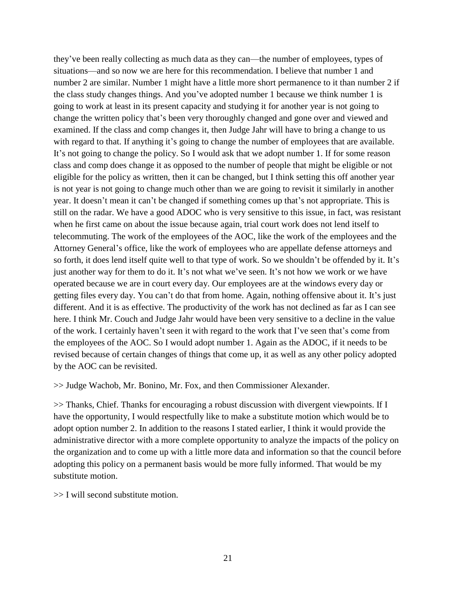they've been really collecting as much data as they can—the number of employees, types of situations—and so now we are here for this recommendation. I believe that number 1 and number 2 are similar. Number 1 might have a little more short permanence to it than number 2 if the class study changes things. And you've adopted number 1 because we think number 1 is going to work at least in its present capacity and studying it for another year is not going to change the written policy that's been very thoroughly changed and gone over and viewed and examined. If the class and comp changes it, then Judge Jahr will have to bring a change to us with regard to that. If anything it's going to change the number of employees that are available. It's not going to change the policy. So I would ask that we adopt number 1. If for some reason class and comp does change it as opposed to the number of people that might be eligible or not eligible for the policy as written, then it can be changed, but I think setting this off another year is not year is not going to change much other than we are going to revisit it similarly in another year. It doesn't mean it can't be changed if something comes up that's not appropriate. This is still on the radar. We have a good ADOC who is very sensitive to this issue, in fact, was resistant when he first came on about the issue because again, trial court work does not lend itself to telecommuting. The work of the employees of the AOC, like the work of the employees and the Attorney General's office, like the work of employees who are appellate defense attorneys and so forth, it does lend itself quite well to that type of work. So we shouldn't be offended by it. It's just another way for them to do it. It's not what we've seen. It's not how we work or we have operated because we are in court every day. Our employees are at the windows every day or getting files every day. You can't do that from home. Again, nothing offensive about it. It's just different. And it is as effective. The productivity of the work has not declined as far as I can see here. I think Mr. Couch and Judge Jahr would have been very sensitive to a decline in the value of the work. I certainly haven't seen it with regard to the work that I've seen that's come from the employees of the AOC. So I would adopt number 1. Again as the ADOC, if it needs to be revised because of certain changes of things that come up, it as well as any other policy adopted by the AOC can be revisited.

>> Judge Wachob, Mr. Bonino, Mr. Fox, and then Commissioner Alexander.

>> Thanks, Chief. Thanks for encouraging a robust discussion with divergent viewpoints. If I have the opportunity, I would respectfully like to make a substitute motion which would be to adopt option number 2. In addition to the reasons I stated earlier, I think it would provide the administrative director with a more complete opportunity to analyze the impacts of the policy on the organization and to come up with a little more data and information so that the council before adopting this policy on a permanent basis would be more fully informed. That would be my substitute motion.

>> I will second substitute motion.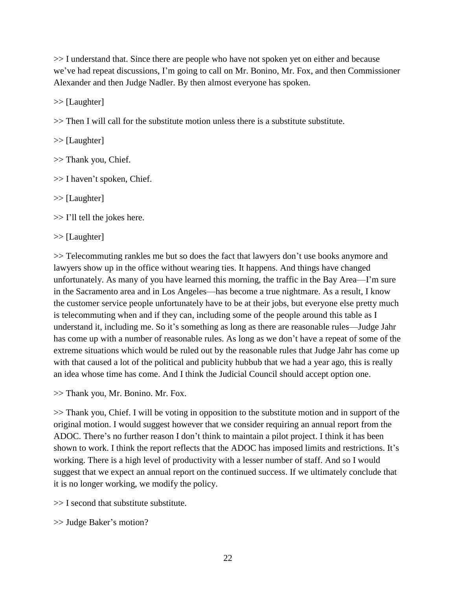>> I understand that. Since there are people who have not spoken yet on either and because we've had repeat discussions, I'm going to call on Mr. Bonino, Mr. Fox, and then Commissioner Alexander and then Judge Nadler. By then almost everyone has spoken.

>> [Laughter]

 $\gg$  Then I will call for the substitute motion unless there is a substitute substitute.

>> [Laughter]

>> Thank you, Chief.

>> I haven't spoken, Chief.

>> [Laughter]

 $\gg$  I'll tell the jokes here.

>> [Laughter]

>> Telecommuting rankles me but so does the fact that lawyers don't use books anymore and lawyers show up in the office without wearing ties. It happens. And things have changed unfortunately. As many of you have learned this morning, the traffic in the Bay Area—I'm sure in the Sacramento area and in Los Angeles—has become a true nightmare. As a result, I know the customer service people unfortunately have to be at their jobs, but everyone else pretty much is telecommuting when and if they can, including some of the people around this table as I understand it, including me. So it's something as long as there are reasonable rules—Judge Jahr has come up with a number of reasonable rules. As long as we don't have a repeat of some of the extreme situations which would be ruled out by the reasonable rules that Judge Jahr has come up with that caused a lot of the political and publicity hubbub that we had a year ago, this is really an idea whose time has come. And I think the Judicial Council should accept option one.

>> Thank you, Mr. Bonino. Mr. Fox.

>> Thank you, Chief. I will be voting in opposition to the substitute motion and in support of the original motion. I would suggest however that we consider requiring an annual report from the ADOC. There's no further reason I don't think to maintain a pilot project. I think it has been shown to work. I think the report reflects that the ADOC has imposed limits and restrictions. It's working. There is a high level of productivity with a lesser number of staff. And so I would suggest that we expect an annual report on the continued success. If we ultimately conclude that it is no longer working, we modify the policy.

>> I second that substitute substitute.

>> Judge Baker's motion?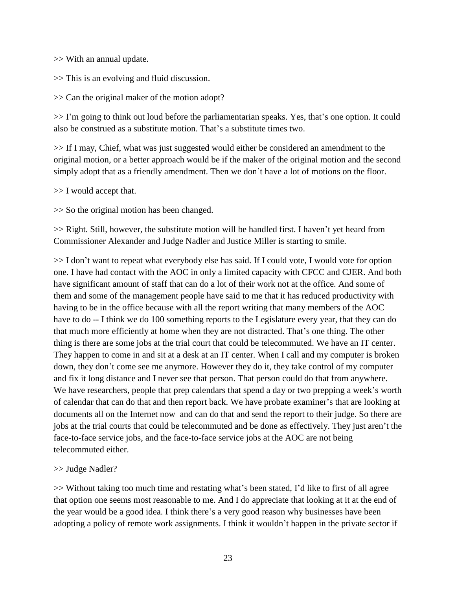>> With an annual update.

>> This is an evolving and fluid discussion.

>> Can the original maker of the motion adopt?

>> I'm going to think out loud before the parliamentarian speaks. Yes, that's one option. It could also be construed as a substitute motion. That's a substitute times two.

>> If I may, Chief, what was just suggested would either be considered an amendment to the original motion, or a better approach would be if the maker of the original motion and the second simply adopt that as a friendly amendment. Then we don't have a lot of motions on the floor.

 $>> I$  would accept that.

>> So the original motion has been changed.

>> Right. Still, however, the substitute motion will be handled first. I haven't yet heard from Commissioner Alexander and Judge Nadler and Justice Miller is starting to smile.

>> I don't want to repeat what everybody else has said. If I could vote, I would vote for option one. I have had contact with the AOC in only a limited capacity with CFCC and CJER. And both have significant amount of staff that can do a lot of their work not at the office. And some of them and some of the management people have said to me that it has reduced productivity with having to be in the office because with all the report writing that many members of the AOC have to do -- I think we do 100 something reports to the Legislature every year, that they can do that much more efficiently at home when they are not distracted. That's one thing. The other thing is there are some jobs at the trial court that could be telecommuted. We have an IT center. They happen to come in and sit at a desk at an IT center. When I call and my computer is broken down, they don't come see me anymore. However they do it, they take control of my computer and fix it long distance and I never see that person. That person could do that from anywhere. We have researchers, people that prep calendars that spend a day or two prepping a week's worth of calendar that can do that and then report back. We have probate examiner's that are looking at documents all on the Internet now and can do that and send the report to their judge. So there are jobs at the trial courts that could be telecommuted and be done as effectively. They just aren't the face-to-face service jobs, and the face-to-face service jobs at the AOC are not being telecommuted either.

## >> Judge Nadler?

>> Without taking too much time and restating what's been stated, I'd like to first of all agree that option one seems most reasonable to me. And I do appreciate that looking at it at the end of the year would be a good idea. I think there's a very good reason why businesses have been adopting a policy of remote work assignments. I think it wouldn't happen in the private sector if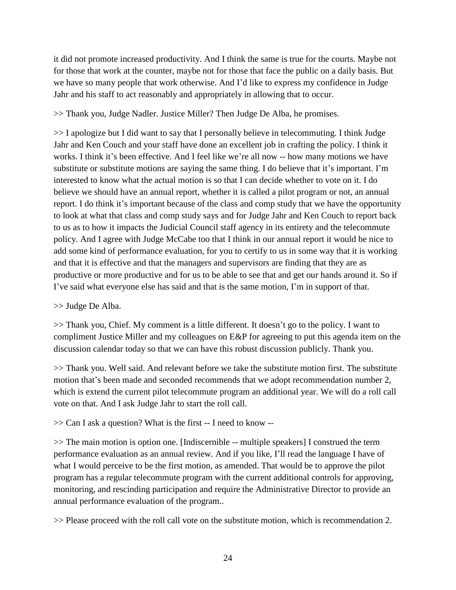it did not promote increased productivity. And I think the same is true for the courts. Maybe not for those that work at the counter, maybe not for those that face the public on a daily basis. But we have so many people that work otherwise. And I'd like to express my confidence in Judge Jahr and his staff to act reasonably and appropriately in allowing that to occur.

>> Thank you, Judge Nadler. Justice Miller? Then Judge De Alba, he promises.

>> I apologize but I did want to say that I personally believe in telecommuting. I think Judge Jahr and Ken Couch and your staff have done an excellent job in crafting the policy. I think it works. I think it's been effective. And I feel like we're all now -- how many motions we have substitute or substitute motions are saying the same thing. I do believe that it's important. I'm interested to know what the actual motion is so that I can decide whether to vote on it. I do believe we should have an annual report, whether it is called a pilot program or not, an annual report. I do think it's important because of the class and comp study that we have the opportunity to look at what that class and comp study says and for Judge Jahr and Ken Couch to report back to us as to how it impacts the Judicial Council staff agency in its entirety and the telecommute policy. And I agree with Judge McCabe too that I think in our annual report it would be nice to add some kind of performance evaluation, for you to certify to us in some way that it is working and that it is effective and that the managers and supervisors are finding that they are as productive or more productive and for us to be able to see that and get our hands around it. So if I've said what everyone else has said and that is the same motion, I'm in support of that.

>> Judge De Alba.

>> Thank you, Chief. My comment is a little different. It doesn't go to the policy. I want to compliment Justice Miller and my colleagues on E&P for agreeing to put this agenda item on the discussion calendar today so that we can have this robust discussion publicly. Thank you.

>> Thank you. Well said. And relevant before we take the substitute motion first. The substitute motion that's been made and seconded recommends that we adopt recommendation number 2, which is extend the current pilot telecommute program an additional year. We will do a roll call vote on that. And I ask Judge Jahr to start the roll call.

>> Can I ask a question? What is the first -- I need to know --

>> The main motion is option one. [Indiscernible -- multiple speakers] I construed the term performance evaluation as an annual review. And if you like, I'll read the language I have of what I would perceive to be the first motion, as amended. That would be to approve the pilot program has a regular telecommute program with the current additional controls for approving, monitoring, and rescinding participation and require the Administrative Director to provide an annual performance evaluation of the program..

>> Please proceed with the roll call vote on the substitute motion, which is recommendation 2.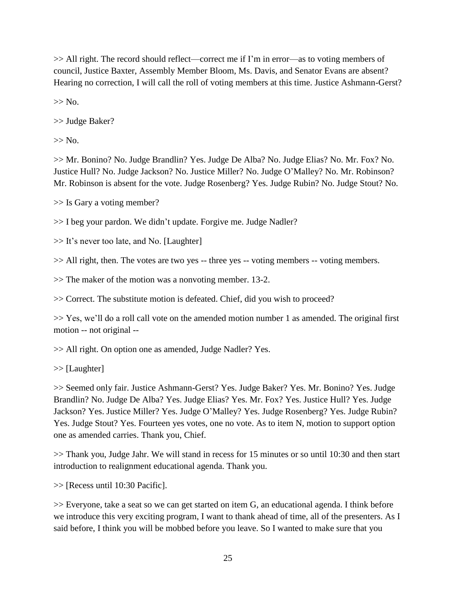>> All right. The record should reflect—correct me if I'm in error—as to voting members of council, Justice Baxter, Assembly Member Bloom, Ms. Davis, and Senator Evans are absent? Hearing no correction, I will call the roll of voting members at this time. Justice Ashmann-Gerst?

 $>>$  No.

>> Judge Baker?

 $>>$  No.

>> Mr. Bonino? No. Judge Brandlin? Yes. Judge De Alba? No. Judge Elias? No. Mr. Fox? No. Justice Hull? No. Judge Jackson? No. Justice Miller? No. Judge O'Malley? No. Mr. Robinson? Mr. Robinson is absent for the vote. Judge Rosenberg? Yes. Judge Rubin? No. Judge Stout? No.

>> Is Gary a voting member?

>> I beg your pardon. We didn't update. Forgive me. Judge Nadler?

>> It's never too late, and No. [Laughter]

>> All right, then. The votes are two yes -- three yes -- voting members -- voting members.

>> The maker of the motion was a nonvoting member. 13-2.

>> Correct. The substitute motion is defeated. Chief, did you wish to proceed?

>> Yes, we'll do a roll call vote on the amended motion number 1 as amended. The original first motion -- not original --

>> All right. On option one as amended, Judge Nadler? Yes.

>> [Laughter]

>> Seemed only fair. Justice Ashmann-Gerst? Yes. Judge Baker? Yes. Mr. Bonino? Yes. Judge Brandlin? No. Judge De Alba? Yes. Judge Elias? Yes. Mr. Fox? Yes. Justice Hull? Yes. Judge Jackson? Yes. Justice Miller? Yes. Judge O'Malley? Yes. Judge Rosenberg? Yes. Judge Rubin? Yes. Judge Stout? Yes. Fourteen yes votes, one no vote. As to item N, motion to support option one as amended carries. Thank you, Chief.

>> Thank you, Judge Jahr. We will stand in recess for 15 minutes or so until 10:30 and then start introduction to realignment educational agenda. Thank you.

>> [Recess until 10:30 Pacific].

>> Everyone, take a seat so we can get started on item G, an educational agenda. I think before we introduce this very exciting program, I want to thank ahead of time, all of the presenters. As I said before, I think you will be mobbed before you leave. So I wanted to make sure that you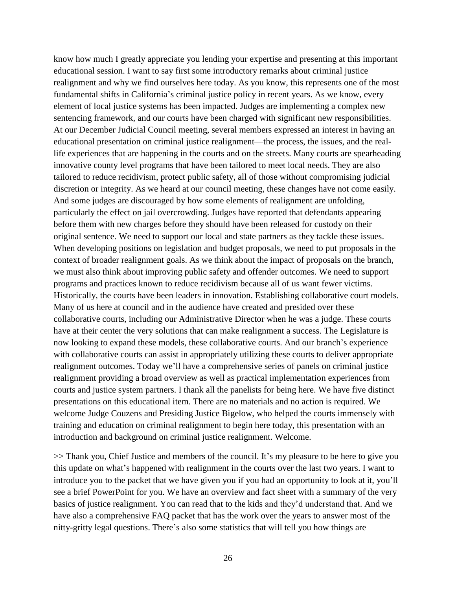know how much I greatly appreciate you lending your expertise and presenting at this important educational session. I want to say first some introductory remarks about criminal justice realignment and why we find ourselves here today. As you know, this represents one of the most fundamental shifts in California's criminal justice policy in recent years. As we know, every element of local justice systems has been impacted. Judges are implementing a complex new sentencing framework, and our courts have been charged with significant new responsibilities. At our December Judicial Council meeting, several members expressed an interest in having an educational presentation on criminal justice realignment—the process, the issues, and the reallife experiences that are happening in the courts and on the streets. Many courts are spearheading innovative county level programs that have been tailored to meet local needs. They are also tailored to reduce recidivism, protect public safety, all of those without compromising judicial discretion or integrity. As we heard at our council meeting, these changes have not come easily. And some judges are discouraged by how some elements of realignment are unfolding, particularly the effect on jail overcrowding. Judges have reported that defendants appearing before them with new charges before they should have been released for custody on their original sentence. We need to support our local and state partners as they tackle these issues. When developing positions on legislation and budget proposals, we need to put proposals in the context of broader realignment goals. As we think about the impact of proposals on the branch, we must also think about improving public safety and offender outcomes. We need to support programs and practices known to reduce recidivism because all of us want fewer victims. Historically, the courts have been leaders in innovation. Establishing collaborative court models. Many of us here at council and in the audience have created and presided over these collaborative courts, including our Administrative Director when he was a judge. These courts have at their center the very solutions that can make realignment a success. The Legislature is now looking to expand these models, these collaborative courts. And our branch's experience with collaborative courts can assist in appropriately utilizing these courts to deliver appropriate realignment outcomes. Today we'll have a comprehensive series of panels on criminal justice realignment providing a broad overview as well as practical implementation experiences from courts and justice system partners. I thank all the panelists for being here. We have five distinct presentations on this educational item. There are no materials and no action is required. We welcome Judge Couzens and Presiding Justice Bigelow, who helped the courts immensely with training and education on criminal realignment to begin here today, this presentation with an introduction and background on criminal justice realignment. Welcome.

>> Thank you, Chief Justice and members of the council. It's my pleasure to be here to give you this update on what's happened with realignment in the courts over the last two years. I want to introduce you to the packet that we have given you if you had an opportunity to look at it, you'll see a brief PowerPoint for you. We have an overview and fact sheet with a summary of the very basics of justice realignment. You can read that to the kids and they'd understand that. And we have also a comprehensive FAQ packet that has the work over the years to answer most of the nitty-gritty legal questions. There's also some statistics that will tell you how things are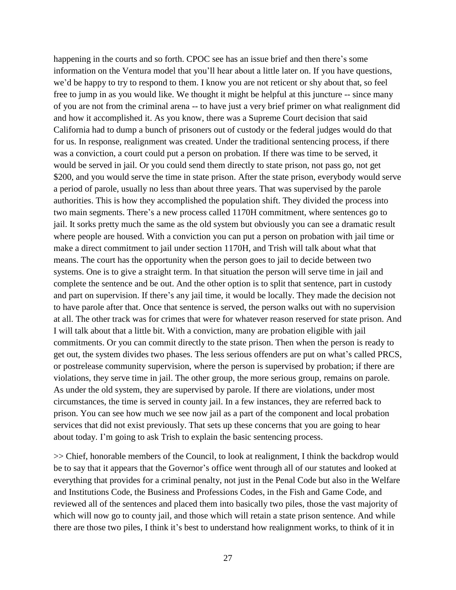happening in the courts and so forth. CPOC see has an issue brief and then there's some information on the Ventura model that you'll hear about a little later on. If you have questions, we'd be happy to try to respond to them. I know you are not reticent or shy about that, so feel free to jump in as you would like. We thought it might be helpful at this juncture -- since many of you are not from the criminal arena -- to have just a very brief primer on what realignment did and how it accomplished it. As you know, there was a Supreme Court decision that said California had to dump a bunch of prisoners out of custody or the federal judges would do that for us. In response, realignment was created. Under the traditional sentencing process, if there was a conviction, a court could put a person on probation. If there was time to be served, it would be served in jail. Or you could send them directly to state prison, not pass go, not get \$200, and you would serve the time in state prison. After the state prison, everybody would serve a period of parole, usually no less than about three years. That was supervised by the parole authorities. This is how they accomplished the population shift. They divided the process into two main segments. There's a new process called 1170H commitment, where sentences go to jail. It sorks pretty much the same as the old system but obviously you can see a dramatic result where people are housed. With a conviction you can put a person on probation with jail time or make a direct commitment to jail under section 1170H, and Trish will talk about what that means. The court has the opportunity when the person goes to jail to decide between two systems. One is to give a straight term. In that situation the person will serve time in jail and complete the sentence and be out. And the other option is to split that sentence, part in custody and part on supervision. If there's any jail time, it would be locally. They made the decision not to have parole after that. Once that sentence is served, the person walks out with no supervision at all. The other track was for crimes that were for whatever reason reserved for state prison. And I will talk about that a little bit. With a conviction, many are probation eligible with jail commitments. Or you can commit directly to the state prison. Then when the person is ready to get out, the system divides two phases. The less serious offenders are put on what's called PRCS, or postrelease community supervision, where the person is supervised by probation; if there are violations, they serve time in jail. The other group, the more serious group, remains on parole. As under the old system, they are supervised by parole. If there are violations, under most circumstances, the time is served in county jail. In a few instances, they are referred back to prison. You can see how much we see now jail as a part of the component and local probation services that did not exist previously. That sets up these concerns that you are going to hear about today. I'm going to ask Trish to explain the basic sentencing process.

>> Chief, honorable members of the Council, to look at realignment, I think the backdrop would be to say that it appears that the Governor's office went through all of our statutes and looked at everything that provides for a criminal penalty, not just in the Penal Code but also in the Welfare and Institutions Code, the Business and Professions Codes, in the Fish and Game Code, and reviewed all of the sentences and placed them into basically two piles, those the vast majority of which will now go to county jail, and those which will retain a state prison sentence. And while there are those two piles, I think it's best to understand how realignment works, to think of it in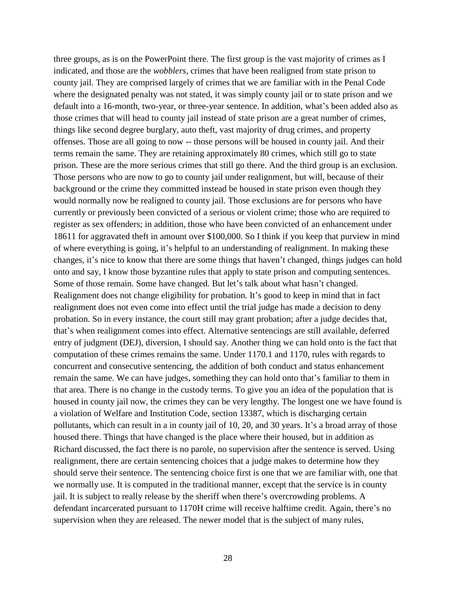three groups, as is on the PowerPoint there. The first group is the vast majority of crimes as I indicated, and those are the *wobblers*, crimes that have been realigned from state prison to county jail. They are comprised largely of crimes that we are familiar with in the Penal Code where the designated penalty was not stated, it was simply county jail or to state prison and we default into a 16-month, two-year, or three-year sentence. In addition, what's been added also as those crimes that will head to county jail instead of state prison are a great number of crimes, things like second degree burglary, auto theft, vast majority of drug crimes, and property offenses. Those are all going to now -- those persons will be housed in county jail. And their terms remain the same. They are retaining approximately 80 crimes, which still go to state prison. These are the more serious crimes that still go there. And the third group is an exclusion. Those persons who are now to go to county jail under realignment, but will, because of their background or the crime they committed instead be housed in state prison even though they would normally now be realigned to county jail. Those exclusions are for persons who have currently or previously been convicted of a serious or violent crime; those who are required to register as sex offenders; in addition, those who have been convicted of an enhancement under 18611 for aggravated theft in amount over \$100,000. So I think if you keep that purview in mind of where everything is going, it's helpful to an understanding of realignment. In making these changes, it's nice to know that there are some things that haven't changed, things judges can hold onto and say, I know those byzantine rules that apply to state prison and computing sentences. Some of those remain. Some have changed. But let's talk about what hasn't changed. Realignment does not change eligibility for probation. It's good to keep in mind that in fact realignment does not even come into effect until the trial judge has made a decision to deny probation. So in every instance, the court still may grant probation; after a judge decides that, that's when realignment comes into effect. Alternative sentencings are still available, deferred entry of judgment (DEJ), diversion, I should say. Another thing we can hold onto is the fact that computation of these crimes remains the same. Under 1170.1 and 1170, rules with regards to concurrent and consecutive sentencing, the addition of both conduct and status enhancement remain the same. We can have judges, something they can hold onto that's familiar to them in that area. There is no change in the custody terms. To give you an idea of the population that is housed in county jail now, the crimes they can be very lengthy. The longest one we have found is a violation of Welfare and Institution Code, section 13387, which is discharging certain pollutants, which can result in a in county jail of 10, 20, and 30 years. It's a broad array of those housed there. Things that have changed is the place where their housed, but in addition as Richard discussed, the fact there is no parole, no supervision after the sentence is served. Using realignment, there are certain sentencing choices that a judge makes to determine how they should serve their sentence. The sentencing choice first is one that we are familiar with, one that we normally use. It is computed in the traditional manner, except that the service is in county jail. It is subject to really release by the sheriff when there's overcrowding problems. A defendant incarcerated pursuant to 1170H crime will receive halftime credit. Again, there's no supervision when they are released. The newer model that is the subject of many rules,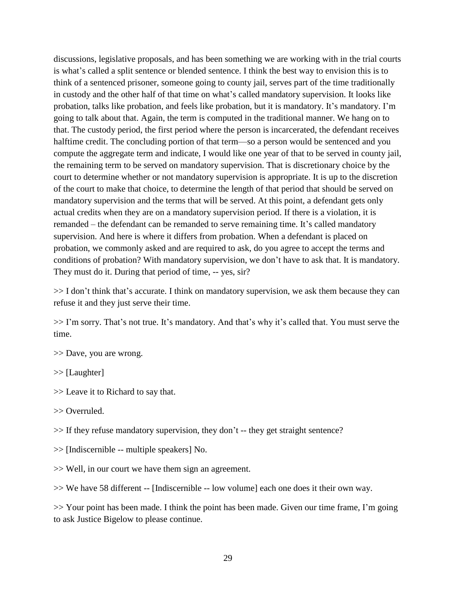discussions, legislative proposals, and has been something we are working with in the trial courts is what's called a split sentence or blended sentence. I think the best way to envision this is to think of a sentenced prisoner, someone going to county jail, serves part of the time traditionally in custody and the other half of that time on what's called mandatory supervision. It looks like probation, talks like probation, and feels like probation, but it is mandatory. It's mandatory. I'm going to talk about that. Again, the term is computed in the traditional manner. We hang on to that. The custody period, the first period where the person is incarcerated, the defendant receives halftime credit. The concluding portion of that term—so a person would be sentenced and you compute the aggregate term and indicate, I would like one year of that to be served in county jail, the remaining term to be served on mandatory supervision. That is discretionary choice by the court to determine whether or not mandatory supervision is appropriate. It is up to the discretion of the court to make that choice, to determine the length of that period that should be served on mandatory supervision and the terms that will be served. At this point, a defendant gets only actual credits when they are on a mandatory supervision period. If there is a violation, it is remanded – the defendant can be remanded to serve remaining time. It's called mandatory supervision. And here is where it differs from probation. When a defendant is placed on probation, we commonly asked and are required to ask, do you agree to accept the terms and conditions of probation? With mandatory supervision, we don't have to ask that. It is mandatory. They must do it. During that period of time, -- yes, sir?

>> I don't think that's accurate. I think on mandatory supervision, we ask them because they can refuse it and they just serve their time.

>> I'm sorry. That's not true. It's mandatory. And that's why it's called that. You must serve the time.

- >> Dave, you are wrong.
- >> [Laughter]
- >> Leave it to Richard to say that.
- >> Overruled.
- >> If they refuse mandatory supervision, they don't -- they get straight sentence?
- >> [Indiscernible -- multiple speakers] No.
- >> Well, in our court we have them sign an agreement.
- >> We have 58 different -- [Indiscernible -- low volume] each one does it their own way.

>> Your point has been made. I think the point has been made. Given our time frame, I'm going to ask Justice Bigelow to please continue.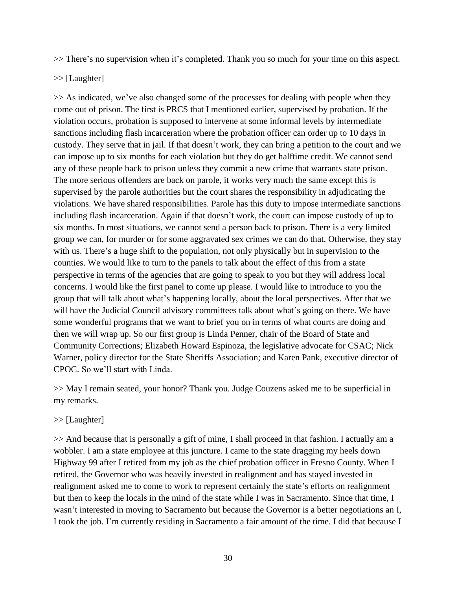>> There's no supervision when it's completed. Thank you so much for your time on this aspect.

>> [Laughter]

>> As indicated, we've also changed some of the processes for dealing with people when they come out of prison. The first is PRCS that I mentioned earlier, supervised by probation. If the violation occurs, probation is supposed to intervene at some informal levels by intermediate sanctions including flash incarceration where the probation officer can order up to 10 days in custody. They serve that in jail. If that doesn't work, they can bring a petition to the court and we can impose up to six months for each violation but they do get halftime credit. We cannot send any of these people back to prison unless they commit a new crime that warrants state prison. The more serious offenders are back on parole, it works very much the same except this is supervised by the parole authorities but the court shares the responsibility in adjudicating the violations. We have shared responsibilities. Parole has this duty to impose intermediate sanctions including flash incarceration. Again if that doesn't work, the court can impose custody of up to six months. In most situations, we cannot send a person back to prison. There is a very limited group we can, for murder or for some aggravated sex crimes we can do that. Otherwise, they stay with us. There's a huge shift to the population, not only physically but in supervision to the counties. We would like to turn to the panels to talk about the effect of this from a state perspective in terms of the agencies that are going to speak to you but they will address local concerns. I would like the first panel to come up please. I would like to introduce to you the group that will talk about what's happening locally, about the local perspectives. After that we will have the Judicial Council advisory committees talk about what's going on there. We have some wonderful programs that we want to brief you on in terms of what courts are doing and then we will wrap up. So our first group is Linda Penner, chair of the Board of State and Community Corrections; Elizabeth Howard Espinoza, the legislative advocate for CSAC; Nick Warner, policy director for the State Sheriffs Association; and Karen Pank, executive director of CPOC. So we'll start with Linda.

>> May I remain seated, your honor? Thank you. Judge Couzens asked me to be superficial in my remarks.

# >> [Laughter]

>> And because that is personally a gift of mine, I shall proceed in that fashion. I actually am a wobbler. I am a state employee at this juncture. I came to the state dragging my heels down Highway 99 after I retired from my job as the chief probation officer in Fresno County. When I retired, the Governor who was heavily invested in realignment and has stayed invested in realignment asked me to come to work to represent certainly the state's efforts on realignment but then to keep the locals in the mind of the state while I was in Sacramento. Since that time, I wasn't interested in moving to Sacramento but because the Governor is a better negotiations an I, I took the job. I'm currently residing in Sacramento a fair amount of the time. I did that because I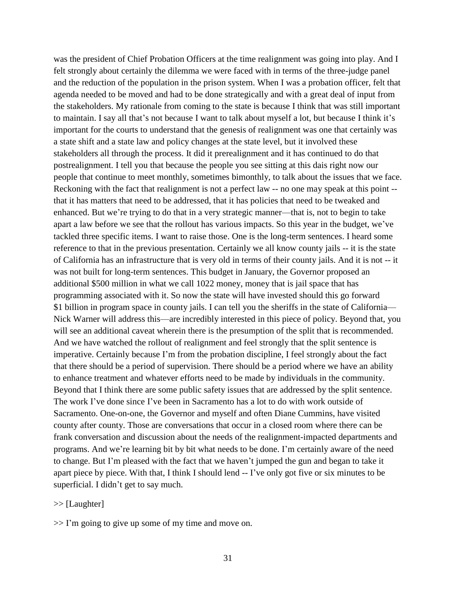was the president of Chief Probation Officers at the time realignment was going into play. And I felt strongly about certainly the dilemma we were faced with in terms of the three-judge panel and the reduction of the population in the prison system. When I was a probation officer, felt that agenda needed to be moved and had to be done strategically and with a great deal of input from the stakeholders. My rationale from coming to the state is because I think that was still important to maintain. I say all that's not because I want to talk about myself a lot, but because I think it's important for the courts to understand that the genesis of realignment was one that certainly was a state shift and a state law and policy changes at the state level, but it involved these stakeholders all through the process. It did it prerealignment and it has continued to do that postrealignment. I tell you that because the people you see sitting at this dais right now our people that continue to meet monthly, sometimes bimonthly, to talk about the issues that we face. Reckoning with the fact that realignment is not a perfect law -- no one may speak at this point - that it has matters that need to be addressed, that it has policies that need to be tweaked and enhanced. But we're trying to do that in a very strategic manner—that is, not to begin to take apart a law before we see that the rollout has various impacts. So this year in the budget, we've tackled three specific items. I want to raise those. One is the long-term sentences. I heard some reference to that in the previous presentation. Certainly we all know county jails -- it is the state of California has an infrastructure that is very old in terms of their county jails. And it is not -- it was not built for long-term sentences. This budget in January, the Governor proposed an additional \$500 million in what we call 1022 money, money that is jail space that has programming associated with it. So now the state will have invested should this go forward \$1 billion in program space in county jails. I can tell you the sheriffs in the state of California— Nick Warner will address this—are incredibly interested in this piece of policy. Beyond that, you will see an additional caveat wherein there is the presumption of the split that is recommended. And we have watched the rollout of realignment and feel strongly that the split sentence is imperative. Certainly because I'm from the probation discipline, I feel strongly about the fact that there should be a period of supervision. There should be a period where we have an ability to enhance treatment and whatever efforts need to be made by individuals in the community. Beyond that I think there are some public safety issues that are addressed by the split sentence. The work I've done since I've been in Sacramento has a lot to do with work outside of Sacramento. One-on-one, the Governor and myself and often Diane Cummins, have visited county after county. Those are conversations that occur in a closed room where there can be frank conversation and discussion about the needs of the realignment-impacted departments and programs. And we're learning bit by bit what needs to be done. I'm certainly aware of the need to change. But I'm pleased with the fact that we haven't jumped the gun and began to take it apart piece by piece. With that, I think I should lend -- I've only got five or six minutes to be superficial. I didn't get to say much.

### >> [Laughter]

 $>>$  I'm going to give up some of my time and move on.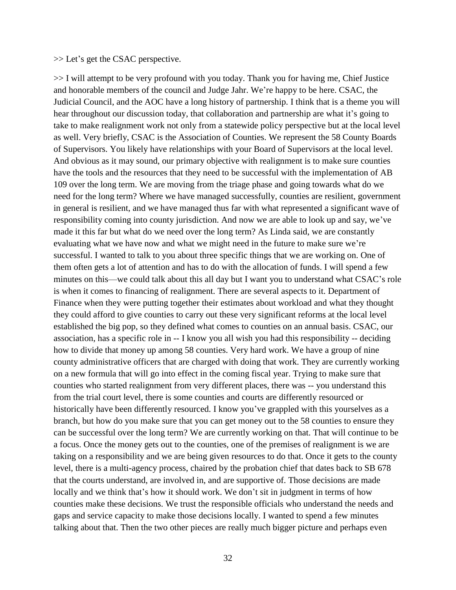#### >> Let's get the CSAC perspective.

>> I will attempt to be very profound with you today. Thank you for having me, Chief Justice and honorable members of the council and Judge Jahr. We're happy to be here. CSAC, the Judicial Council, and the AOC have a long history of partnership. I think that is a theme you will hear throughout our discussion today, that collaboration and partnership are what it's going to take to make realignment work not only from a statewide policy perspective but at the local level as well. Very briefly, CSAC is the Association of Counties. We represent the 58 County Boards of Supervisors. You likely have relationships with your Board of Supervisors at the local level. And obvious as it may sound, our primary objective with realignment is to make sure counties have the tools and the resources that they need to be successful with the implementation of AB 109 over the long term. We are moving from the triage phase and going towards what do we need for the long term? Where we have managed successfully, counties are resilient, government in general is resilient, and we have managed thus far with what represented a significant wave of responsibility coming into county jurisdiction. And now we are able to look up and say, we've made it this far but what do we need over the long term? As Linda said, we are constantly evaluating what we have now and what we might need in the future to make sure we're successful. I wanted to talk to you about three specific things that we are working on. One of them often gets a lot of attention and has to do with the allocation of funds. I will spend a few minutes on this—we could talk about this all day but I want you to understand what CSAC's role is when it comes to financing of realignment. There are several aspects to it. Department of Finance when they were putting together their estimates about workload and what they thought they could afford to give counties to carry out these very significant reforms at the local level established the big pop, so they defined what comes to counties on an annual basis. CSAC, our association, has a specific role in -- I know you all wish you had this responsibility -- deciding how to divide that money up among 58 counties. Very hard work. We have a group of nine county administrative officers that are charged with doing that work. They are currently working on a new formula that will go into effect in the coming fiscal year. Trying to make sure that counties who started realignment from very different places, there was -- you understand this from the trial court level, there is some counties and courts are differently resourced or historically have been differently resourced. I know you've grappled with this yourselves as a branch, but how do you make sure that you can get money out to the 58 counties to ensure they can be successful over the long term? We are currently working on that. That will continue to be a focus. Once the money gets out to the counties, one of the premises of realignment is we are taking on a responsibility and we are being given resources to do that. Once it gets to the county level, there is a multi-agency process, chaired by the probation chief that dates back to SB 678 that the courts understand, are involved in, and are supportive of. Those decisions are made locally and we think that's how it should work. We don't sit in judgment in terms of how counties make these decisions. We trust the responsible officials who understand the needs and gaps and service capacity to make those decisions locally. I wanted to spend a few minutes talking about that. Then the two other pieces are really much bigger picture and perhaps even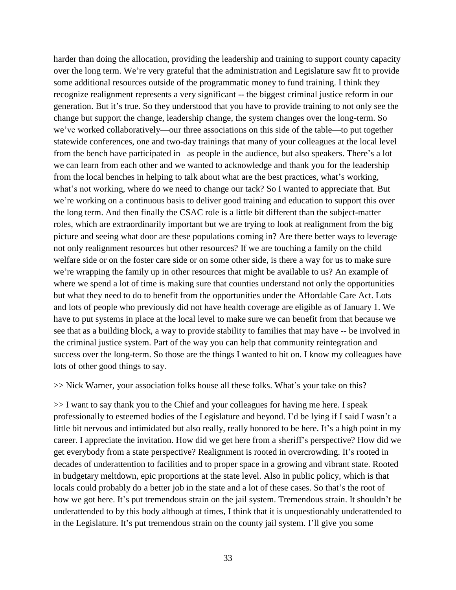harder than doing the allocation, providing the leadership and training to support county capacity over the long term. We're very grateful that the administration and Legislature saw fit to provide some additional resources outside of the programmatic money to fund training. I think they recognize realignment represents a very significant -- the biggest criminal justice reform in our generation. But it's true. So they understood that you have to provide training to not only see the change but support the change, leadership change, the system changes over the long-term. So we've worked collaboratively—our three associations on this side of the table—to put together statewide conferences, one and two-day trainings that many of your colleagues at the local level from the bench have participated in– as people in the audience, but also speakers. There's a lot we can learn from each other and we wanted to acknowledge and thank you for the leadership from the local benches in helping to talk about what are the best practices, what's working, what's not working, where do we need to change our tack? So I wanted to appreciate that. But we're working on a continuous basis to deliver good training and education to support this over the long term. And then finally the CSAC role is a little bit different than the subject-matter roles, which are extraordinarily important but we are trying to look at realignment from the big picture and seeing what door are these populations coming in? Are there better ways to leverage not only realignment resources but other resources? If we are touching a family on the child welfare side or on the foster care side or on some other side, is there a way for us to make sure we're wrapping the family up in other resources that might be available to us? An example of where we spend a lot of time is making sure that counties understand not only the opportunities but what they need to do to benefit from the opportunities under the Affordable Care Act. Lots and lots of people who previously did not have health coverage are eligible as of January 1. We have to put systems in place at the local level to make sure we can benefit from that because we see that as a building block, a way to provide stability to families that may have -- be involved in the criminal justice system. Part of the way you can help that community reintegration and success over the long-term. So those are the things I wanted to hit on. I know my colleagues have lots of other good things to say.

>> Nick Warner, your association folks house all these folks. What's your take on this?

>> I want to say thank you to the Chief and your colleagues for having me here. I speak professionally to esteemed bodies of the Legislature and beyond. I'd be lying if I said I wasn't a little bit nervous and intimidated but also really, really honored to be here. It's a high point in my career. I appreciate the invitation. How did we get here from a sheriff's perspective? How did we get everybody from a state perspective? Realignment is rooted in overcrowding. It's rooted in decades of underattention to facilities and to proper space in a growing and vibrant state. Rooted in budgetary meltdown, epic proportions at the state level. Also in public policy, which is that locals could probably do a better job in the state and a lot of these cases. So that's the root of how we got here. It's put tremendous strain on the jail system. Tremendous strain. It shouldn't be underattended to by this body although at times, I think that it is unquestionably underattended to in the Legislature. It's put tremendous strain on the county jail system. I'll give you some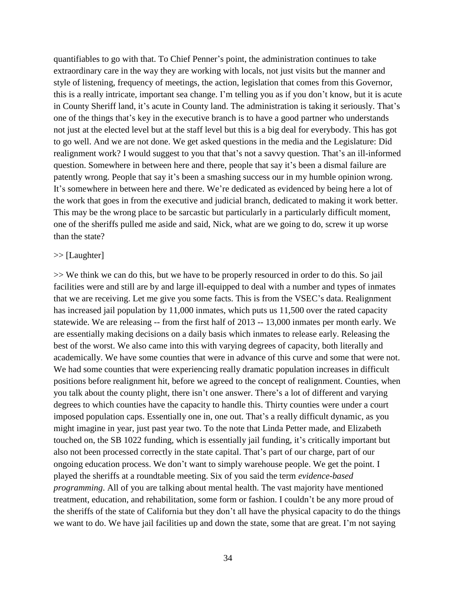quantifiables to go with that. To Chief Penner's point, the administration continues to take extraordinary care in the way they are working with locals, not just visits but the manner and style of listening, frequency of meetings, the action, legislation that comes from this Governor, this is a really intricate, important sea change. I'm telling you as if you don't know, but it is acute in County Sheriff land, it's acute in County land. The administration is taking it seriously. That's one of the things that's key in the executive branch is to have a good partner who understands not just at the elected level but at the staff level but this is a big deal for everybody. This has got to go well. And we are not done. We get asked questions in the media and the Legislature: Did realignment work? I would suggest to you that that's not a savvy question. That's an ill-informed question. Somewhere in between here and there, people that say it's been a dismal failure are patently wrong. People that say it's been a smashing success our in my humble opinion wrong. It's somewhere in between here and there. We're dedicated as evidenced by being here a lot of the work that goes in from the executive and judicial branch, dedicated to making it work better. This may be the wrong place to be sarcastic but particularly in a particularly difficult moment, one of the sheriffs pulled me aside and said, Nick, what are we going to do, screw it up worse than the state?

#### >> [Laughter]

>> We think we can do this, but we have to be properly resourced in order to do this. So jail facilities were and still are by and large ill-equipped to deal with a number and types of inmates that we are receiving. Let me give you some facts. This is from the VSEC's data. Realignment has increased jail population by 11,000 inmates, which puts us 11,500 over the rated capacity statewide. We are releasing -- from the first half of 2013 -- 13,000 inmates per month early. We are essentially making decisions on a daily basis which inmates to release early. Releasing the best of the worst. We also came into this with varying degrees of capacity, both literally and academically. We have some counties that were in advance of this curve and some that were not. We had some counties that were experiencing really dramatic population increases in difficult positions before realignment hit, before we agreed to the concept of realignment. Counties, when you talk about the county plight, there isn't one answer. There's a lot of different and varying degrees to which counties have the capacity to handle this. Thirty counties were under a court imposed population caps. Essentially one in, one out. That's a really difficult dynamic, as you might imagine in year, just past year two. To the note that Linda Petter made, and Elizabeth touched on, the SB 1022 funding, which is essentially jail funding, it's critically important but also not been processed correctly in the state capital. That's part of our charge, part of our ongoing education process. We don't want to simply warehouse people. We get the point. I played the sheriffs at a roundtable meeting. Six of you said the term *evidence-based programming*. All of you are talking about mental health. The vast majority have mentioned treatment, education, and rehabilitation, some form or fashion. I couldn't be any more proud of the sheriffs of the state of California but they don't all have the physical capacity to do the things we want to do. We have jail facilities up and down the state, some that are great. I'm not saying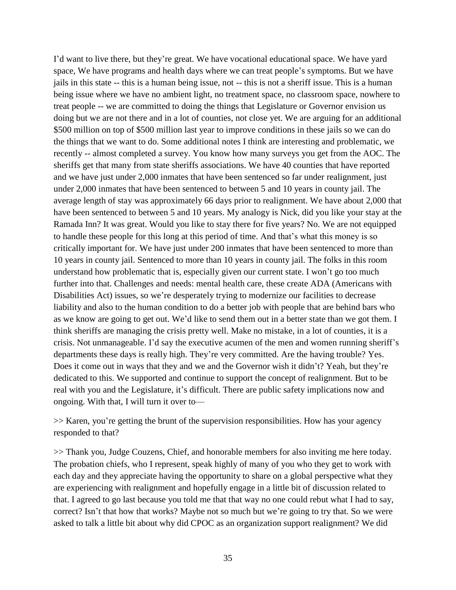I'd want to live there, but they're great. We have vocational educational space. We have yard space, We have programs and health days where we can treat people's symptoms. But we have jails in this state -- this is a human being issue, not -- this is not a sheriff issue. This is a human being issue where we have no ambient light, no treatment space, no classroom space, nowhere to treat people -- we are committed to doing the things that Legislature or Governor envision us doing but we are not there and in a lot of counties, not close yet. We are arguing for an additional \$500 million on top of \$500 million last year to improve conditions in these jails so we can do the things that we want to do. Some additional notes I think are interesting and problematic, we recently -- almost completed a survey. You know how many surveys you get from the AOC. The sheriffs get that many from state sheriffs associations. We have 40 counties that have reported and we have just under 2,000 inmates that have been sentenced so far under realignment, just under 2,000 inmates that have been sentenced to between 5 and 10 years in county jail. The average length of stay was approximately 66 days prior to realignment. We have about 2,000 that have been sentenced to between 5 and 10 years. My analogy is Nick, did you like your stay at the Ramada Inn? It was great. Would you like to stay there for five years? No. We are not equipped to handle these people for this long at this period of time. And that's what this money is so critically important for. We have just under 200 inmates that have been sentenced to more than 10 years in county jail. Sentenced to more than 10 years in county jail. The folks in this room understand how problematic that is, especially given our current state. I won't go too much further into that. Challenges and needs: mental health care, these create ADA (Americans with Disabilities Act) issues, so we're desperately trying to modernize our facilities to decrease liability and also to the human condition to do a better job with people that are behind bars who as we know are going to get out. We'd like to send them out in a better state than we got them. I think sheriffs are managing the crisis pretty well. Make no mistake, in a lot of counties, it is a crisis. Not unmanageable. I'd say the executive acumen of the men and women running sheriff's departments these days is really high. They're very committed. Are the having trouble? Yes. Does it come out in ways that they and we and the Governor wish it didn't? Yeah, but they're dedicated to this. We supported and continue to support the concept of realignment. But to be real with you and the Legislature, it's difficult. There are public safety implications now and ongoing. With that, I will turn it over to—

>> Karen, you're getting the brunt of the supervision responsibilities. How has your agency responded to that?

>> Thank you, Judge Couzens, Chief, and honorable members for also inviting me here today. The probation chiefs, who I represent, speak highly of many of you who they get to work with each day and they appreciate having the opportunity to share on a global perspective what they are experiencing with realignment and hopefully engage in a little bit of discussion related to that. I agreed to go last because you told me that that way no one could rebut what I had to say, correct? Isn't that how that works? Maybe not so much but we're going to try that. So we were asked to talk a little bit about why did CPOC as an organization support realignment? We did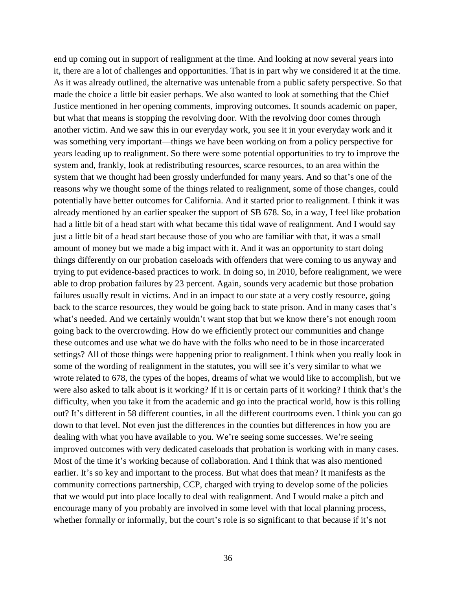end up coming out in support of realignment at the time. And looking at now several years into it, there are a lot of challenges and opportunities. That is in part why we considered it at the time. As it was already outlined, the alternative was untenable from a public safety perspective. So that made the choice a little bit easier perhaps. We also wanted to look at something that the Chief Justice mentioned in her opening comments, improving outcomes. It sounds academic on paper, but what that means is stopping the revolving door. With the revolving door comes through another victim. And we saw this in our everyday work, you see it in your everyday work and it was something very important—things we have been working on from a policy perspective for years leading up to realignment. So there were some potential opportunities to try to improve the system and, frankly, look at redistributing resources, scarce resources, to an area within the system that we thought had been grossly underfunded for many years. And so that's one of the reasons why we thought some of the things related to realignment, some of those changes, could potentially have better outcomes for California. And it started prior to realignment. I think it was already mentioned by an earlier speaker the support of SB 678. So, in a way, I feel like probation had a little bit of a head start with what became this tidal wave of realignment. And I would say just a little bit of a head start because those of you who are familiar with that, it was a small amount of money but we made a big impact with it. And it was an opportunity to start doing things differently on our probation caseloads with offenders that were coming to us anyway and trying to put evidence-based practices to work. In doing so, in 2010, before realignment, we were able to drop probation failures by 23 percent. Again, sounds very academic but those probation failures usually result in victims. And in an impact to our state at a very costly resource, going back to the scarce resources, they would be going back to state prison. And in many cases that's what's needed. And we certainly wouldn't want stop that but we know there's not enough room going back to the overcrowding. How do we efficiently protect our communities and change these outcomes and use what we do have with the folks who need to be in those incarcerated settings? All of those things were happening prior to realignment. I think when you really look in some of the wording of realignment in the statutes, you will see it's very similar to what we wrote related to 678, the types of the hopes, dreams of what we would like to accomplish, but we were also asked to talk about is it working? If it is or certain parts of it working? I think that's the difficulty, when you take it from the academic and go into the practical world, how is this rolling out? It's different in 58 different counties, in all the different courtrooms even. I think you can go down to that level. Not even just the differences in the counties but differences in how you are dealing with what you have available to you. We're seeing some successes. We're seeing improved outcomes with very dedicated caseloads that probation is working with in many cases. Most of the time it's working because of collaboration. And I think that was also mentioned earlier. It's so key and important to the process. But what does that mean? It manifests as the community corrections partnership, CCP, charged with trying to develop some of the policies that we would put into place locally to deal with realignment. And I would make a pitch and encourage many of you probably are involved in some level with that local planning process, whether formally or informally, but the court's role is so significant to that because if it's not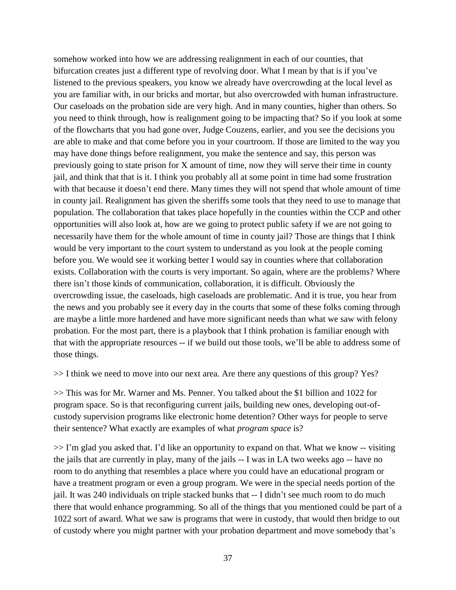somehow worked into how we are addressing realignment in each of our counties, that bifurcation creates just a different type of revolving door. What I mean by that is if you've listened to the previous speakers, you know we already have overcrowding at the local level as you are familiar with, in our bricks and mortar, but also overcrowded with human infrastructure. Our caseloads on the probation side are very high. And in many counties, higher than others. So you need to think through, how is realignment going to be impacting that? So if you look at some of the flowcharts that you had gone over, Judge Couzens, earlier, and you see the decisions you are able to make and that come before you in your courtroom. If those are limited to the way you may have done things before realignment, you make the sentence and say, this person was previously going to state prison for X amount of time, now they will serve their time in county jail, and think that that is it. I think you probably all at some point in time had some frustration with that because it doesn't end there. Many times they will not spend that whole amount of time in county jail. Realignment has given the sheriffs some tools that they need to use to manage that population. The collaboration that takes place hopefully in the counties within the CCP and other opportunities will also look at, how are we going to protect public safety if we are not going to necessarily have them for the whole amount of time in county jail? Those are things that I think would be very important to the court system to understand as you look at the people coming before you. We would see it working better I would say in counties where that collaboration exists. Collaboration with the courts is very important. So again, where are the problems? Where there isn't those kinds of communication, collaboration, it is difficult. Obviously the overcrowding issue, the caseloads, high caseloads are problematic. And it is true, you hear from the news and you probably see it every day in the courts that some of these folks coming through are maybe a little more hardened and have more significant needs than what we saw with felony probation. For the most part, there is a playbook that I think probation is familiar enough with that with the appropriate resources -- if we build out those tools, we'll be able to address some of those things.

>> I think we need to move into our next area. Are there any questions of this group? Yes?

>> This was for Mr. Warner and Ms. Penner. You talked about the \$1 billion and 1022 for program space. So is that reconfiguring current jails, building new ones, developing out-ofcustody supervision programs like electronic home detention? Other ways for people to serve their sentence? What exactly are examples of what *program space* is?

 $>> I'm$  glad you asked that. I'd like an opportunity to expand on that. What we know -- visiting the jails that are currently in play, many of the jails -- I was in LA two weeks ago -- have no room to do anything that resembles a place where you could have an educational program or have a treatment program or even a group program. We were in the special needs portion of the jail. It was 240 individuals on triple stacked bunks that -- I didn't see much room to do much there that would enhance programming. So all of the things that you mentioned could be part of a 1022 sort of award. What we saw is programs that were in custody, that would then bridge to out of custody where you might partner with your probation department and move somebody that's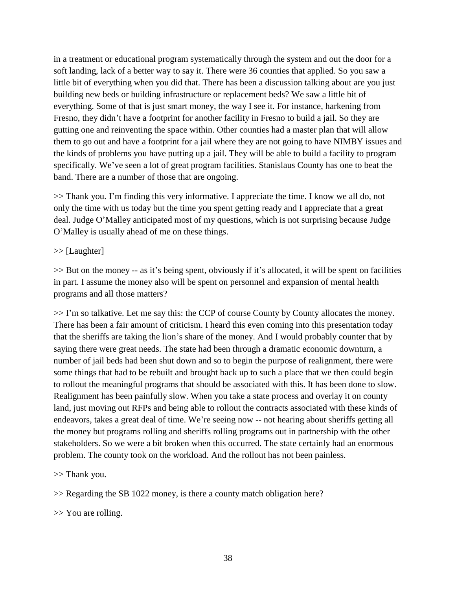in a treatment or educational program systematically through the system and out the door for a soft landing, lack of a better way to say it. There were 36 counties that applied. So you saw a little bit of everything when you did that. There has been a discussion talking about are you just building new beds or building infrastructure or replacement beds? We saw a little bit of everything. Some of that is just smart money, the way I see it. For instance, harkening from Fresno, they didn't have a footprint for another facility in Fresno to build a jail. So they are gutting one and reinventing the space within. Other counties had a master plan that will allow them to go out and have a footprint for a jail where they are not going to have NIMBY issues and the kinds of problems you have putting up a jail. They will be able to build a facility to program specifically. We've seen a lot of great program facilities. Stanislaus County has one to beat the band. There are a number of those that are ongoing.

>> Thank you. I'm finding this very informative. I appreciate the time. I know we all do, not only the time with us today but the time you spent getting ready and I appreciate that a great deal. Judge O'Malley anticipated most of my questions, which is not surprising because Judge O'Malley is usually ahead of me on these things.

## >> [Laughter]

>> But on the money -- as it's being spent, obviously if it's allocated, it will be spent on facilities in part. I assume the money also will be spent on personnel and expansion of mental health programs and all those matters?

 $>> I'm$  so talkative. Let me say this: the CCP of course County by County allocates the money. There has been a fair amount of criticism. I heard this even coming into this presentation today that the sheriffs are taking the lion's share of the money. And I would probably counter that by saying there were great needs. The state had been through a dramatic economic downturn, a number of jail beds had been shut down and so to begin the purpose of realignment, there were some things that had to be rebuilt and brought back up to such a place that we then could begin to rollout the meaningful programs that should be associated with this. It has been done to slow. Realignment has been painfully slow. When you take a state process and overlay it on county land, just moving out RFPs and being able to rollout the contracts associated with these kinds of endeavors, takes a great deal of time. We're seeing now -- not hearing about sheriffs getting all the money but programs rolling and sheriffs rolling programs out in partnership with the other stakeholders. So we were a bit broken when this occurred. The state certainly had an enormous problem. The county took on the workload. And the rollout has not been painless.

# >> Thank you.

>> Regarding the SB 1022 money, is there a county match obligation here?

>> You are rolling.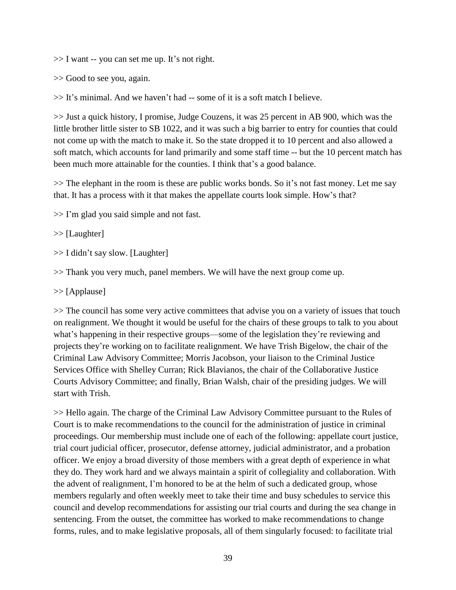>> I want -- you can set me up. It's not right.

>> Good to see you, again.

 $\gg$  It's minimal. And we haven't had -- some of it is a soft match I believe.

>> Just a quick history, I promise, Judge Couzens, it was 25 percent in AB 900, which was the little brother little sister to SB 1022, and it was such a big barrier to entry for counties that could not come up with the match to make it. So the state dropped it to 10 percent and also allowed a soft match, which accounts for land primarily and some staff time -- but the 10 percent match has been much more attainable for the counties. I think that's a good balance.

>> The elephant in the room is these are public works bonds. So it's not fast money. Let me say that. It has a process with it that makes the appellate courts look simple. How's that?

>> I'm glad you said simple and not fast.

>> [Laughter]

>> I didn't say slow. [Laughter]

>> Thank you very much, panel members. We will have the next group come up.

>> [Applause]

>> The council has some very active committees that advise you on a variety of issues that touch on realignment. We thought it would be useful for the chairs of these groups to talk to you about what's happening in their respective groups—some of the legislation they're reviewing and projects they're working on to facilitate realignment. We have Trish Bigelow, the chair of the Criminal Law Advisory Committee; Morris Jacobson, your liaison to the Criminal Justice Services Office with Shelley Curran; Rick Blavianos, the chair of the Collaborative Justice Courts Advisory Committee; and finally, Brian Walsh, chair of the presiding judges. We will start with Trish.

>> Hello again. The charge of the Criminal Law Advisory Committee pursuant to the Rules of Court is to make recommendations to the council for the administration of justice in criminal proceedings. Our membership must include one of each of the following: appellate court justice, trial court judicial officer, prosecutor, defense attorney, judicial administrator, and a probation officer. We enjoy a broad diversity of those members with a great depth of experience in what they do. They work hard and we always maintain a spirit of collegiality and collaboration. With the advent of realignment, I'm honored to be at the helm of such a dedicated group, whose members regularly and often weekly meet to take their time and busy schedules to service this council and develop recommendations for assisting our trial courts and during the sea change in sentencing. From the outset, the committee has worked to make recommendations to change forms, rules, and to make legislative proposals, all of them singularly focused: to facilitate trial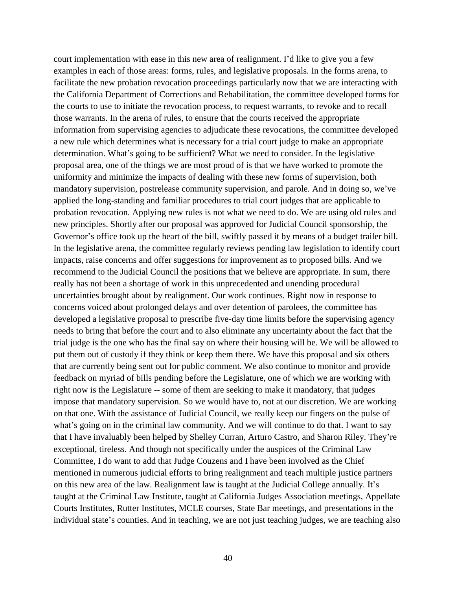court implementation with ease in this new area of realignment. I'd like to give you a few examples in each of those areas: forms, rules, and legislative proposals. In the forms arena, to facilitate the new probation revocation proceedings particularly now that we are interacting with the California Department of Corrections and Rehabilitation, the committee developed forms for the courts to use to initiate the revocation process, to request warrants, to revoke and to recall those warrants. In the arena of rules, to ensure that the courts received the appropriate information from supervising agencies to adjudicate these revocations, the committee developed a new rule which determines what is necessary for a trial court judge to make an appropriate determination. What's going to be sufficient? What we need to consider. In the legislative proposal area, one of the things we are most proud of is that we have worked to promote the uniformity and minimize the impacts of dealing with these new forms of supervision, both mandatory supervision, postrelease community supervision, and parole. And in doing so, we've applied the long-standing and familiar procedures to trial court judges that are applicable to probation revocation. Applying new rules is not what we need to do. We are using old rules and new principles. Shortly after our proposal was approved for Judicial Council sponsorship, the Governor's office took up the heart of the bill, swiftly passed it by means of a budget trailer bill. In the legislative arena, the committee regularly reviews pending law legislation to identify court impacts, raise concerns and offer suggestions for improvement as to proposed bills. And we recommend to the Judicial Council the positions that we believe are appropriate. In sum, there really has not been a shortage of work in this unprecedented and unending procedural uncertainties brought about by realignment. Our work continues. Right now in response to concerns voiced about prolonged delays and over detention of parolees, the committee has developed a legislative proposal to prescribe five-day time limits before the supervising agency needs to bring that before the court and to also eliminate any uncertainty about the fact that the trial judge is the one who has the final say on where their housing will be. We will be allowed to put them out of custody if they think or keep them there. We have this proposal and six others that are currently being sent out for public comment. We also continue to monitor and provide feedback on myriad of bills pending before the Legislature, one of which we are working with right now is the Legislature -- some of them are seeking to make it mandatory, that judges impose that mandatory supervision. So we would have to, not at our discretion. We are working on that one. With the assistance of Judicial Council, we really keep our fingers on the pulse of what's going on in the criminal law community. And we will continue to do that. I want to say that I have invaluably been helped by Shelley Curran, Arturo Castro, and Sharon Riley. They're exceptional, tireless. And though not specifically under the auspices of the Criminal Law Committee, I do want to add that Judge Couzens and I have been involved as the Chief mentioned in numerous judicial efforts to bring realignment and teach multiple justice partners on this new area of the law. Realignment law is taught at the Judicial College annually. It's taught at the Criminal Law Institute, taught at California Judges Association meetings, Appellate Courts Institutes, Rutter Institutes, MCLE courses, State Bar meetings, and presentations in the individual state's counties. And in teaching, we are not just teaching judges, we are teaching also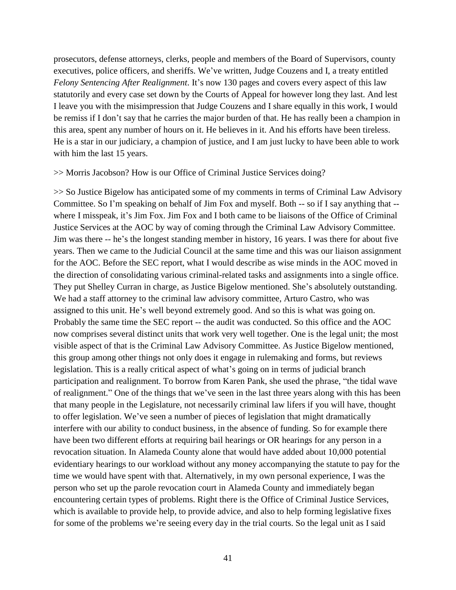prosecutors, defense attorneys, clerks, people and members of the Board of Supervisors, county executives, police officers, and sheriffs. We've written, Judge Couzens and I, a treaty entitled *Felony Sentencing After Realignment*. It's now 130 pages and covers every aspect of this law statutorily and every case set down by the Courts of Appeal for however long they last. And lest I leave you with the misimpression that Judge Couzens and I share equally in this work, I would be remiss if I don't say that he carries the major burden of that. He has really been a champion in this area, spent any number of hours on it. He believes in it. And his efforts have been tireless. He is a star in our judiciary, a champion of justice, and I am just lucky to have been able to work with him the last 15 years.

#### >> Morris Jacobson? How is our Office of Criminal Justice Services doing?

>> So Justice Bigelow has anticipated some of my comments in terms of Criminal Law Advisory Committee. So I'm speaking on behalf of Jim Fox and myself. Both -- so if I say anything that - where I misspeak, it's Jim Fox. Jim Fox and I both came to be liaisons of the Office of Criminal Justice Services at the AOC by way of coming through the Criminal Law Advisory Committee. Jim was there -- he's the longest standing member in history, 16 years. I was there for about five years. Then we came to the Judicial Council at the same time and this was our liaison assignment for the AOC. Before the SEC report, what I would describe as wise minds in the AOC moved in the direction of consolidating various criminal-related tasks and assignments into a single office. They put Shelley Curran in charge, as Justice Bigelow mentioned. She's absolutely outstanding. We had a staff attorney to the criminal law advisory committee, Arturo Castro, who was assigned to this unit. He's well beyond extremely good. And so this is what was going on. Probably the same time the SEC report -- the audit was conducted. So this office and the AOC now comprises several distinct units that work very well together. One is the legal unit; the most visible aspect of that is the Criminal Law Advisory Committee. As Justice Bigelow mentioned, this group among other things not only does it engage in rulemaking and forms, but reviews legislation. This is a really critical aspect of what's going on in terms of judicial branch participation and realignment. To borrow from Karen Pank, she used the phrase, "the tidal wave of realignment." One of the things that we've seen in the last three years along with this has been that many people in the Legislature, not necessarily criminal law lifers if you will have, thought to offer legislation. We've seen a number of pieces of legislation that might dramatically interfere with our ability to conduct business, in the absence of funding. So for example there have been two different efforts at requiring bail hearings or OR hearings for any person in a revocation situation. In Alameda County alone that would have added about 10,000 potential evidentiary hearings to our workload without any money accompanying the statute to pay for the time we would have spent with that. Alternatively, in my own personal experience, I was the person who set up the parole revocation court in Alameda County and immediately began encountering certain types of problems. Right there is the Office of Criminal Justice Services, which is available to provide help, to provide advice, and also to help forming legislative fixes for some of the problems we're seeing every day in the trial courts. So the legal unit as I said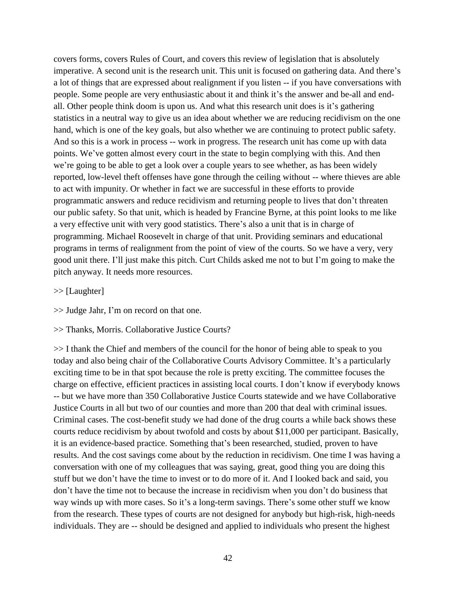covers forms, covers Rules of Court, and covers this review of legislation that is absolutely imperative. A second unit is the research unit. This unit is focused on gathering data. And there's a lot of things that are expressed about realignment if you listen -- if you have conversations with people. Some people are very enthusiastic about it and think it's the answer and be-all and endall. Other people think doom is upon us. And what this research unit does is it's gathering statistics in a neutral way to give us an idea about whether we are reducing recidivism on the one hand, which is one of the key goals, but also whether we are continuing to protect public safety. And so this is a work in process -- work in progress. The research unit has come up with data points. We've gotten almost every court in the state to begin complying with this. And then we're going to be able to get a look over a couple years to see whether, as has been widely reported, low-level theft offenses have gone through the ceiling without -- where thieves are able to act with impunity. Or whether in fact we are successful in these efforts to provide programmatic answers and reduce recidivism and returning people to lives that don't threaten our public safety. So that unit, which is headed by Francine Byrne, at this point looks to me like a very effective unit with very good statistics. There's also a unit that is in charge of programming. Michael Roosevelt in charge of that unit. Providing seminars and educational programs in terms of realignment from the point of view of the courts. So we have a very, very good unit there. I'll just make this pitch. Curt Childs asked me not to but I'm going to make the pitch anyway. It needs more resources.

#### >> [Laughter]

>> Judge Jahr, I'm on record on that one.

### >> Thanks, Morris. Collaborative Justice Courts?

>> I thank the Chief and members of the council for the honor of being able to speak to you today and also being chair of the Collaborative Courts Advisory Committee. It's a particularly exciting time to be in that spot because the role is pretty exciting. The committee focuses the charge on effective, efficient practices in assisting local courts. I don't know if everybody knows -- but we have more than 350 Collaborative Justice Courts statewide and we have Collaborative Justice Courts in all but two of our counties and more than 200 that deal with criminal issues. Criminal cases. The cost-benefit study we had done of the drug courts a while back shows these courts reduce recidivism by about twofold and costs by about \$11,000 per participant. Basically, it is an evidence-based practice. Something that's been researched, studied, proven to have results. And the cost savings come about by the reduction in recidivism. One time I was having a conversation with one of my colleagues that was saying, great, good thing you are doing this stuff but we don't have the time to invest or to do more of it. And I looked back and said, you don't have the time not to because the increase in recidivism when you don't do business that way winds up with more cases. So it's a long-term savings. There's some other stuff we know from the research. These types of courts are not designed for anybody but high-risk, high-needs individuals. They are -- should be designed and applied to individuals who present the highest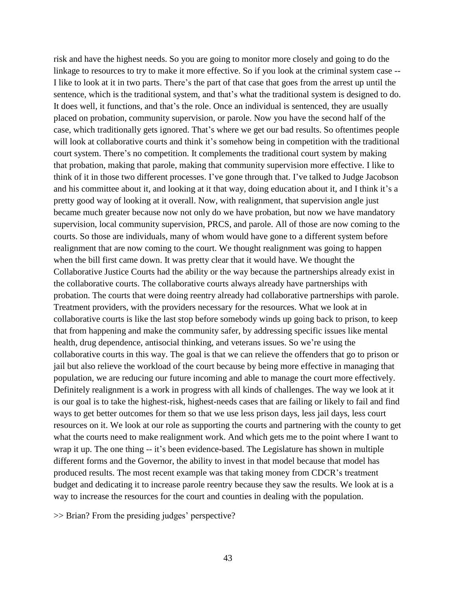risk and have the highest needs. So you are going to monitor more closely and going to do the linkage to resources to try to make it more effective. So if you look at the criminal system case -- I like to look at it in two parts. There's the part of that case that goes from the arrest up until the sentence, which is the traditional system, and that's what the traditional system is designed to do. It does well, it functions, and that's the role. Once an individual is sentenced, they are usually placed on probation, community supervision, or parole. Now you have the second half of the case, which traditionally gets ignored. That's where we get our bad results. So oftentimes people will look at collaborative courts and think it's somehow being in competition with the traditional court system. There's no competition. It complements the traditional court system by making that probation, making that parole, making that community supervision more effective. I like to think of it in those two different processes. I've gone through that. I've talked to Judge Jacobson and his committee about it, and looking at it that way, doing education about it, and I think it's a pretty good way of looking at it overall. Now, with realignment, that supervision angle just became much greater because now not only do we have probation, but now we have mandatory supervision, local community supervision, PRCS, and parole. All of those are now coming to the courts. So those are individuals, many of whom would have gone to a different system before realignment that are now coming to the court. We thought realignment was going to happen when the bill first came down. It was pretty clear that it would have. We thought the Collaborative Justice Courts had the ability or the way because the partnerships already exist in the collaborative courts. The collaborative courts always already have partnerships with probation. The courts that were doing reentry already had collaborative partnerships with parole. Treatment providers, with the providers necessary for the resources. What we look at in collaborative courts is like the last stop before somebody winds up going back to prison, to keep that from happening and make the community safer, by addressing specific issues like mental health, drug dependence, antisocial thinking, and veterans issues. So we're using the collaborative courts in this way. The goal is that we can relieve the offenders that go to prison or jail but also relieve the workload of the court because by being more effective in managing that population, we are reducing our future incoming and able to manage the court more effectively. Definitely realignment is a work in progress with all kinds of challenges. The way we look at it is our goal is to take the highest-risk, highest-needs cases that are failing or likely to fail and find ways to get better outcomes for them so that we use less prison days, less jail days, less court resources on it. We look at our role as supporting the courts and partnering with the county to get what the courts need to make realignment work. And which gets me to the point where I want to wrap it up. The one thing -- it's been evidence-based. The Legislature has shown in multiple different forms and the Governor, the ability to invest in that model because that model has produced results. The most recent example was that taking money from CDCR's treatment budget and dedicating it to increase parole reentry because they saw the results. We look at is a way to increase the resources for the court and counties in dealing with the population.

>> Brian? From the presiding judges' perspective?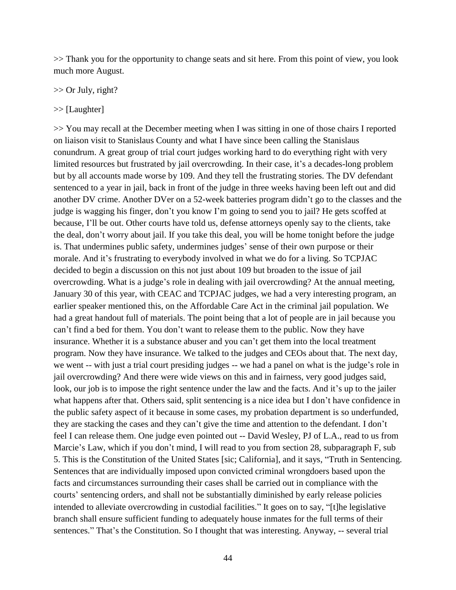>> Thank you for the opportunity to change seats and sit here. From this point of view, you look much more August.

>> Or July, right?

>> [Laughter]

>> You may recall at the December meeting when I was sitting in one of those chairs I reported on liaison visit to Stanislaus County and what I have since been calling the Stanislaus conundrum. A great group of trial court judges working hard to do everything right with very limited resources but frustrated by jail overcrowding. In their case, it's a decades-long problem but by all accounts made worse by 109. And they tell the frustrating stories. The DV defendant sentenced to a year in jail, back in front of the judge in three weeks having been left out and did another DV crime. Another DVer on a 52-week batteries program didn't go to the classes and the judge is wagging his finger, don't you know I'm going to send you to jail? He gets scoffed at because, I'll be out. Other courts have told us, defense attorneys openly say to the clients, take the deal, don't worry about jail. If you take this deal, you will be home tonight before the judge is. That undermines public safety, undermines judges' sense of their own purpose or their morale. And it's frustrating to everybody involved in what we do for a living. So TCPJAC decided to begin a discussion on this not just about 109 but broaden to the issue of jail overcrowding. What is a judge's role in dealing with jail overcrowding? At the annual meeting, January 30 of this year, with CEAC and TCPJAC judges, we had a very interesting program, an earlier speaker mentioned this, on the Affordable Care Act in the criminal jail population. We had a great handout full of materials. The point being that a lot of people are in jail because you can't find a bed for them. You don't want to release them to the public. Now they have insurance. Whether it is a substance abuser and you can't get them into the local treatment program. Now they have insurance. We talked to the judges and CEOs about that. The next day, we went -- with just a trial court presiding judges -- we had a panel on what is the judge's role in jail overcrowding? And there were wide views on this and in fairness, very good judges said, look, our job is to impose the right sentence under the law and the facts. And it's up to the jailer what happens after that. Others said, split sentencing is a nice idea but I don't have confidence in the public safety aspect of it because in some cases, my probation department is so underfunded, they are stacking the cases and they can't give the time and attention to the defendant. I don't feel I can release them. One judge even pointed out -- David Wesley, PJ of L.A., read to us from Marcie's Law, which if you don't mind, I will read to you from section 28, subparagraph F, sub 5. This is the Constitution of the United States [sic; California], and it says, "Truth in Sentencing. Sentences that are individually imposed upon convicted criminal wrongdoers based upon the facts and circumstances surrounding their cases shall be carried out in compliance with the courts' sentencing orders, and shall not be substantially diminished by early release policies intended to alleviate overcrowding in custodial facilities." It goes on to say, "[t]he legislative branch shall ensure sufficient funding to adequately house inmates for the full terms of their sentences." That's the Constitution. So I thought that was interesting. Anyway, -- several trial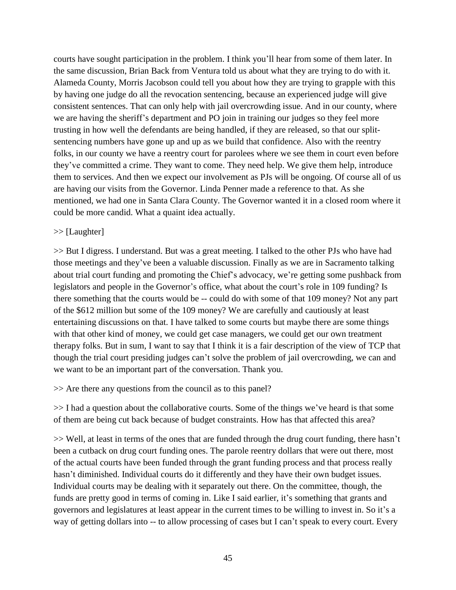courts have sought participation in the problem. I think you'll hear from some of them later. In the same discussion, Brian Back from Ventura told us about what they are trying to do with it. Alameda County, Morris Jacobson could tell you about how they are trying to grapple with this by having one judge do all the revocation sentencing, because an experienced judge will give consistent sentences. That can only help with jail overcrowding issue. And in our county, where we are having the sheriff's department and PO join in training our judges so they feel more trusting in how well the defendants are being handled, if they are released, so that our splitsentencing numbers have gone up and up as we build that confidence. Also with the reentry folks, in our county we have a reentry court for parolees where we see them in court even before they've committed a crime. They want to come. They need help. We give them help, introduce them to services. And then we expect our involvement as PJs will be ongoing. Of course all of us are having our visits from the Governor. Linda Penner made a reference to that. As she mentioned, we had one in Santa Clara County. The Governor wanted it in a closed room where it could be more candid. What a quaint idea actually.

### >> [Laughter]

>> But I digress. I understand. But was a great meeting. I talked to the other PJs who have had those meetings and they've been a valuable discussion. Finally as we are in Sacramento talking about trial court funding and promoting the Chief's advocacy, we're getting some pushback from legislators and people in the Governor's office, what about the court's role in 109 funding? Is there something that the courts would be -- could do with some of that 109 money? Not any part of the \$612 million but some of the 109 money? We are carefully and cautiously at least entertaining discussions on that. I have talked to some courts but maybe there are some things with that other kind of money, we could get case managers, we could get our own treatment therapy folks. But in sum, I want to say that I think it is a fair description of the view of TCP that though the trial court presiding judges can't solve the problem of jail overcrowding, we can and we want to be an important part of the conversation. Thank you.

>> Are there any questions from the council as to this panel?

>> I had a question about the collaborative courts. Some of the things we've heard is that some of them are being cut back because of budget constraints. How has that affected this area?

>> Well, at least in terms of the ones that are funded through the drug court funding, there hasn't been a cutback on drug court funding ones. The parole reentry dollars that were out there, most of the actual courts have been funded through the grant funding process and that process really hasn't diminished. Individual courts do it differently and they have their own budget issues. Individual courts may be dealing with it separately out there. On the committee, though, the funds are pretty good in terms of coming in. Like I said earlier, it's something that grants and governors and legislatures at least appear in the current times to be willing to invest in. So it's a way of getting dollars into -- to allow processing of cases but I can't speak to every court. Every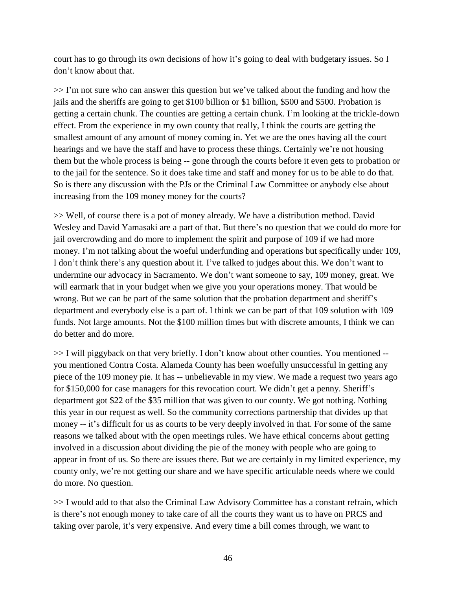court has to go through its own decisions of how it's going to deal with budgetary issues. So I don't know about that.

>> I'm not sure who can answer this question but we've talked about the funding and how the jails and the sheriffs are going to get \$100 billion or \$1 billion, \$500 and \$500. Probation is getting a certain chunk. The counties are getting a certain chunk. I'm looking at the trickle-down effect. From the experience in my own county that really, I think the courts are getting the smallest amount of any amount of money coming in. Yet we are the ones having all the court hearings and we have the staff and have to process these things. Certainly we're not housing them but the whole process is being -- gone through the courts before it even gets to probation or to the jail for the sentence. So it does take time and staff and money for us to be able to do that. So is there any discussion with the PJs or the Criminal Law Committee or anybody else about increasing from the 109 money money for the courts?

>> Well, of course there is a pot of money already. We have a distribution method. David Wesley and David Yamasaki are a part of that. But there's no question that we could do more for jail overcrowding and do more to implement the spirit and purpose of 109 if we had more money. I'm not talking about the woeful underfunding and operations but specifically under 109, I don't think there's any question about it. I've talked to judges about this. We don't want to undermine our advocacy in Sacramento. We don't want someone to say, 109 money, great. We will earmark that in your budget when we give you your operations money. That would be wrong. But we can be part of the same solution that the probation department and sheriff's department and everybody else is a part of. I think we can be part of that 109 solution with 109 funds. Not large amounts. Not the \$100 million times but with discrete amounts, I think we can do better and do more.

>> I will piggyback on that very briefly. I don't know about other counties. You mentioned - you mentioned Contra Costa. Alameda County has been woefully unsuccessful in getting any piece of the 109 money pie. It has -- unbelievable in my view. We made a request two years ago for \$150,000 for case managers for this revocation court. We didn't get a penny. Sheriff's department got \$22 of the \$35 million that was given to our county. We got nothing. Nothing this year in our request as well. So the community corrections partnership that divides up that money -- it's difficult for us as courts to be very deeply involved in that. For some of the same reasons we talked about with the open meetings rules. We have ethical concerns about getting involved in a discussion about dividing the pie of the money with people who are going to appear in front of us. So there are issues there. But we are certainly in my limited experience, my county only, we're not getting our share and we have specific articulable needs where we could do more. No question.

>> I would add to that also the Criminal Law Advisory Committee has a constant refrain, which is there's not enough money to take care of all the courts they want us to have on PRCS and taking over parole, it's very expensive. And every time a bill comes through, we want to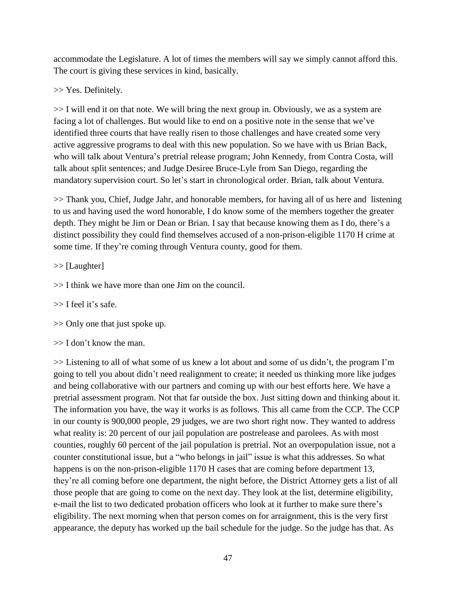accommodate the Legislature. A lot of times the members will say we simply cannot afford this. The court is giving these services in kind, basically.

>> Yes. Definitely.

>> I will end it on that note. We will bring the next group in. Obviously, we as a system are facing a lot of challenges. But would like to end on a positive note in the sense that we've identified three courts that have really risen to those challenges and have created some very active aggressive programs to deal with this new population. So we have with us Brian Back, who will talk about Ventura's pretrial release program; John Kennedy, from Contra Costa, will talk about split sentences; and Judge Desiree Bruce-Lyle from San Diego, regarding the mandatory supervision court. So let's start in chronological order. Brian, talk about Ventura.

>> Thank you, Chief, Judge Jahr, and honorable members, for having all of us here and listening to us and having used the word honorable, I do know some of the members together the greater depth. They might be Jim or Dean or Brian. I say that because knowing them as I do, there's a distinct possibility they could find themselves accused of a non-prison-eligible 1170 H crime at some time. If they're coming through Ventura county, good for them.

>> [Laughter]

>> I think we have more than one Jim on the council.

>> I feel it's safe.

>> Only one that just spoke up.

 $\gg$  I don't know the man.

>> Listening to all of what some of us knew a lot about and some of us didn't, the program I'm going to tell you about didn't need realignment to create; it needed us thinking more like judges and being collaborative with our partners and coming up with our best efforts here. We have a pretrial assessment program. Not that far outside the box. Just sitting down and thinking about it. The information you have, the way it works is as follows. This all came from the CCP. The CCP in our county is 900,000 people, 29 judges, we are two short right now. They wanted to address what reality is: 20 percent of our jail population are postrelease and parolees. As with most counties, roughly 60 percent of the jail population is pretrial. Not an overpopulation issue, not a counter constitutional issue, but a "who belongs in jail" issue is what this addresses. So what happens is on the non-prison-eligible 1170 H cases that are coming before department 13, they're all coming before one department, the night before, the District Attorney gets a list of all those people that are going to come on the next day. They look at the list, determine eligibility, e-mail the list to two dedicated probation officers who look at it further to make sure there's eligibility. The next morning when that person comes on for arraignment, this is the very first appearance, the deputy has worked up the bail schedule for the judge. So the judge has that. As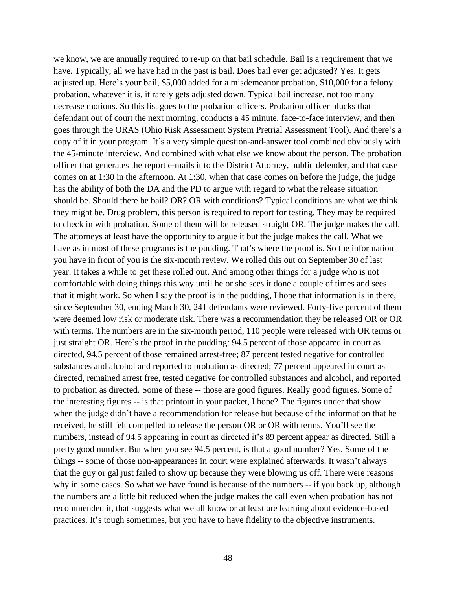we know, we are annually required to re-up on that bail schedule. Bail is a requirement that we have. Typically, all we have had in the past is bail. Does bail ever get adjusted? Yes. It gets adjusted up. Here's your bail, \$5,000 added for a misdemeanor probation, \$10,000 for a felony probation, whatever it is, it rarely gets adjusted down. Typical bail increase, not too many decrease motions. So this list goes to the probation officers. Probation officer plucks that defendant out of court the next morning, conducts a 45 minute, face-to-face interview, and then goes through the ORAS (Ohio Risk Assessment System Pretrial Assessment Tool). And there's a copy of it in your program. It's a very simple question-and-answer tool combined obviously with the 45-minute interview. And combined with what else we know about the person. The probation officer that generates the report e-mails it to the District Attorney, public defender, and that case comes on at 1:30 in the afternoon. At 1:30, when that case comes on before the judge, the judge has the ability of both the DA and the PD to argue with regard to what the release situation should be. Should there be bail? OR? OR with conditions? Typical conditions are what we think they might be. Drug problem, this person is required to report for testing. They may be required to check in with probation. Some of them will be released straight OR. The judge makes the call. The attorneys at least have the opportunity to argue it but the judge makes the call. What we have as in most of these programs is the pudding. That's where the proof is. So the information you have in front of you is the six-month review. We rolled this out on September 30 of last year. It takes a while to get these rolled out. And among other things for a judge who is not comfortable with doing things this way until he or she sees it done a couple of times and sees that it might work. So when I say the proof is in the pudding, I hope that information is in there, since September 30, ending March 30, 241 defendants were reviewed. Forty-five percent of them were deemed low risk or moderate risk. There was a recommendation they be released OR or OR with terms. The numbers are in the six-month period, 110 people were released with OR terms or just straight OR. Here's the proof in the pudding: 94.5 percent of those appeared in court as directed, 94.5 percent of those remained arrest-free; 87 percent tested negative for controlled substances and alcohol and reported to probation as directed; 77 percent appeared in court as directed, remained arrest free, tested negative for controlled substances and alcohol, and reported to probation as directed. Some of these -- those are good figures. Really good figures. Some of the interesting figures -- is that printout in your packet, I hope? The figures under that show when the judge didn't have a recommendation for release but because of the information that he received, he still felt compelled to release the person OR or OR with terms. You'll see the numbers, instead of 94.5 appearing in court as directed it's 89 percent appear as directed. Still a pretty good number. But when you see 94.5 percent, is that a good number? Yes. Some of the things -- some of those non-appearances in court were explained afterwards. It wasn't always that the guy or gal just failed to show up because they were blowing us off. There were reasons why in some cases. So what we have found is because of the numbers -- if you back up, although the numbers are a little bit reduced when the judge makes the call even when probation has not recommended it, that suggests what we all know or at least are learning about evidence-based practices. It's tough sometimes, but you have to have fidelity to the objective instruments.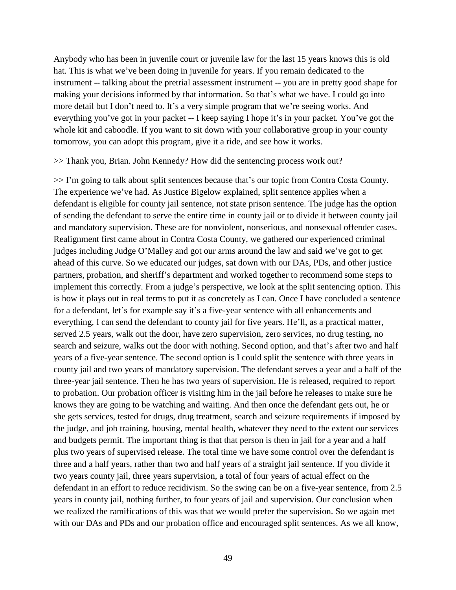Anybody who has been in juvenile court or juvenile law for the last 15 years knows this is old hat. This is what we've been doing in juvenile for years. If you remain dedicated to the instrument -- talking about the pretrial assessment instrument -- you are in pretty good shape for making your decisions informed by that information. So that's what we have. I could go into more detail but I don't need to. It's a very simple program that we're seeing works. And everything you've got in your packet -- I keep saying I hope it's in your packet. You've got the whole kit and caboodle. If you want to sit down with your collaborative group in your county tomorrow, you can adopt this program, give it a ride, and see how it works.

>> Thank you, Brian. John Kennedy? How did the sentencing process work out?

>> I'm going to talk about split sentences because that's our topic from Contra Costa County. The experience we've had. As Justice Bigelow explained, split sentence applies when a defendant is eligible for county jail sentence, not state prison sentence. The judge has the option of sending the defendant to serve the entire time in county jail or to divide it between county jail and mandatory supervision. These are for nonviolent, nonserious, and nonsexual offender cases. Realignment first came about in Contra Costa County, we gathered our experienced criminal judges including Judge O'Malley and got our arms around the law and said we've got to get ahead of this curve. So we educated our judges, sat down with our DAs, PDs, and other justice partners, probation, and sheriff's department and worked together to recommend some steps to implement this correctly. From a judge's perspective, we look at the split sentencing option. This is how it plays out in real terms to put it as concretely as I can. Once I have concluded a sentence for a defendant, let's for example say it's a five-year sentence with all enhancements and everything, I can send the defendant to county jail for five years. He'll, as a practical matter, served 2.5 years, walk out the door, have zero supervision, zero services, no drug testing, no search and seizure, walks out the door with nothing. Second option, and that's after two and half years of a five-year sentence. The second option is I could split the sentence with three years in county jail and two years of mandatory supervision. The defendant serves a year and a half of the three-year jail sentence. Then he has two years of supervision. He is released, required to report to probation. Our probation officer is visiting him in the jail before he releases to make sure he knows they are going to be watching and waiting. And then once the defendant gets out, he or she gets services, tested for drugs, drug treatment, search and seizure requirements if imposed by the judge, and job training, housing, mental health, whatever they need to the extent our services and budgets permit. The important thing is that that person is then in jail for a year and a half plus two years of supervised release. The total time we have some control over the defendant is three and a half years, rather than two and half years of a straight jail sentence. If you divide it two years county jail, three years supervision, a total of four years of actual effect on the defendant in an effort to reduce recidivism. So the swing can be on a five-year sentence, from 2.5 years in county jail, nothing further, to four years of jail and supervision. Our conclusion when we realized the ramifications of this was that we would prefer the supervision. So we again met with our DAs and PDs and our probation office and encouraged split sentences. As we all know,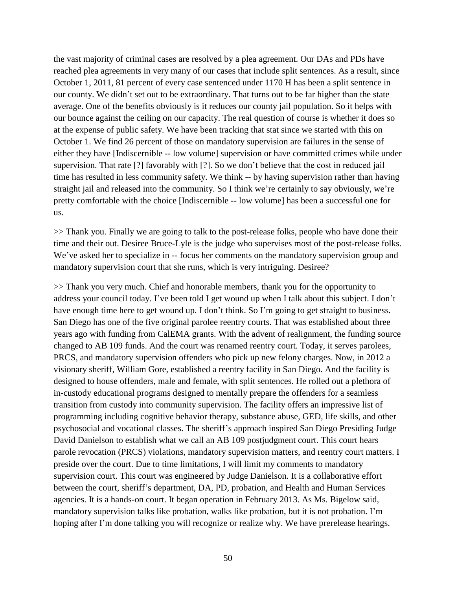the vast majority of criminal cases are resolved by a plea agreement. Our DAs and PDs have reached plea agreements in very many of our cases that include split sentences. As a result, since October 1, 2011, 81 percent of every case sentenced under 1170 H has been a split sentence in our county. We didn't set out to be extraordinary. That turns out to be far higher than the state average. One of the benefits obviously is it reduces our county jail population. So it helps with our bounce against the ceiling on our capacity. The real question of course is whether it does so at the expense of public safety. We have been tracking that stat since we started with this on October 1. We find 26 percent of those on mandatory supervision are failures in the sense of either they have [Indiscernible -- low volume] supervision or have committed crimes while under supervision. That rate [?] favorably with [?]. So we don't believe that the cost in reduced jail time has resulted in less community safety. We think -- by having supervision rather than having straight jail and released into the community. So I think we're certainly to say obviously, we're pretty comfortable with the choice [Indiscernible -- low volume] has been a successful one for us.

>> Thank you. Finally we are going to talk to the post-release folks, people who have done their time and their out. Desiree Bruce-Lyle is the judge who supervises most of the post-release folks. We've asked her to specialize in -- focus her comments on the mandatory supervision group and mandatory supervision court that she runs, which is very intriguing. Desiree?

>> Thank you very much. Chief and honorable members, thank you for the opportunity to address your council today. I've been told I get wound up when I talk about this subject. I don't have enough time here to get wound up. I don't think. So I'm going to get straight to business. San Diego has one of the five original parolee reentry courts. That was established about three years ago with funding from CalEMA grants. With the advent of realignment, the funding source changed to AB 109 funds. And the court was renamed reentry court. Today, it serves parolees, PRCS, and mandatory supervision offenders who pick up new felony charges. Now, in 2012 a visionary sheriff, William Gore, established a reentry facility in San Diego. And the facility is designed to house offenders, male and female, with split sentences. He rolled out a plethora of in-custody educational programs designed to mentally prepare the offenders for a seamless transition from custody into community supervision. The facility offers an impressive list of programming including cognitive behavior therapy, substance abuse, GED, life skills, and other psychosocial and vocational classes. The sheriff's approach inspired San Diego Presiding Judge David Danielson to establish what we call an AB 109 postjudgment court. This court hears parole revocation (PRCS) violations, mandatory supervision matters, and reentry court matters. I preside over the court. Due to time limitations, I will limit my comments to mandatory supervision court. This court was engineered by Judge Danielson. It is a collaborative effort between the court, sheriff's department, DA, PD, probation, and Health and Human Services agencies. It is a hands-on court. It began operation in February 2013. As Ms. Bigelow said, mandatory supervision talks like probation, walks like probation, but it is not probation. I'm hoping after I'm done talking you will recognize or realize why. We have prerelease hearings.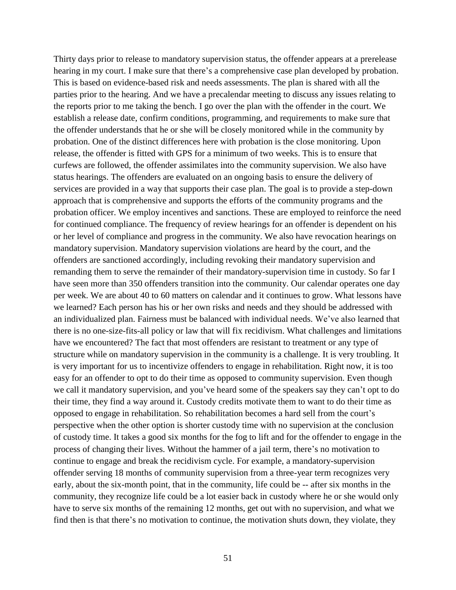Thirty days prior to release to mandatory supervision status, the offender appears at a prerelease hearing in my court. I make sure that there's a comprehensive case plan developed by probation. This is based on evidence-based risk and needs assessments. The plan is shared with all the parties prior to the hearing. And we have a precalendar meeting to discuss any issues relating to the reports prior to me taking the bench. I go over the plan with the offender in the court. We establish a release date, confirm conditions, programming, and requirements to make sure that the offender understands that he or she will be closely monitored while in the community by probation. One of the distinct differences here with probation is the close monitoring. Upon release, the offender is fitted with GPS for a minimum of two weeks. This is to ensure that curfews are followed, the offender assimilates into the community supervision. We also have status hearings. The offenders are evaluated on an ongoing basis to ensure the delivery of services are provided in a way that supports their case plan. The goal is to provide a step-down approach that is comprehensive and supports the efforts of the community programs and the probation officer. We employ incentives and sanctions. These are employed to reinforce the need for continued compliance. The frequency of review hearings for an offender is dependent on his or her level of compliance and progress in the community. We also have revocation hearings on mandatory supervision. Mandatory supervision violations are heard by the court, and the offenders are sanctioned accordingly, including revoking their mandatory supervision and remanding them to serve the remainder of their mandatory-supervision time in custody. So far I have seen more than 350 offenders transition into the community. Our calendar operates one day per week. We are about 40 to 60 matters on calendar and it continues to grow. What lessons have we learned? Each person has his or her own risks and needs and they should be addressed with an individualized plan. Fairness must be balanced with individual needs. We've also learned that there is no one-size-fits-all policy or law that will fix recidivism. What challenges and limitations have we encountered? The fact that most offenders are resistant to treatment or any type of structure while on mandatory supervision in the community is a challenge. It is very troubling. It is very important for us to incentivize offenders to engage in rehabilitation. Right now, it is too easy for an offender to opt to do their time as opposed to community supervision. Even though we call it mandatory supervision, and you've heard some of the speakers say they can't opt to do their time, they find a way around it. Custody credits motivate them to want to do their time as opposed to engage in rehabilitation. So rehabilitation becomes a hard sell from the court's perspective when the other option is shorter custody time with no supervision at the conclusion of custody time. It takes a good six months for the fog to lift and for the offender to engage in the process of changing their lives. Without the hammer of a jail term, there's no motivation to continue to engage and break the recidivism cycle. For example, a mandatory-supervision offender serving 18 months of community supervision from a three-year term recognizes very early, about the six-month point, that in the community, life could be -- after six months in the community, they recognize life could be a lot easier back in custody where he or she would only have to serve six months of the remaining 12 months, get out with no supervision, and what we find then is that there's no motivation to continue, the motivation shuts down, they violate, they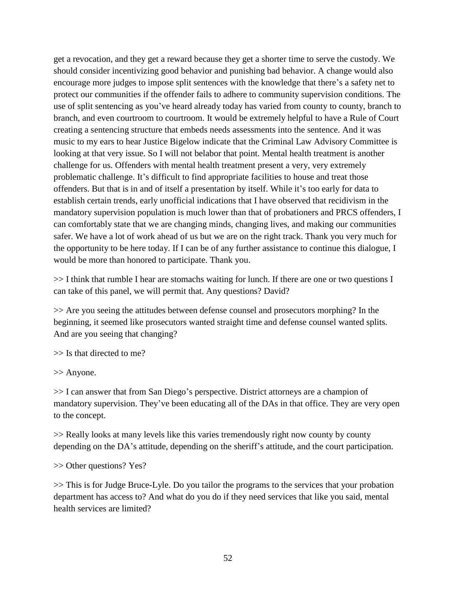get a revocation, and they get a reward because they get a shorter time to serve the custody. We should consider incentivizing good behavior and punishing bad behavior. A change would also encourage more judges to impose split sentences with the knowledge that there's a safety net to protect our communities if the offender fails to adhere to community supervision conditions. The use of split sentencing as you've heard already today has varied from county to county, branch to branch, and even courtroom to courtroom. It would be extremely helpful to have a Rule of Court creating a sentencing structure that embeds needs assessments into the sentence. And it was music to my ears to hear Justice Bigelow indicate that the Criminal Law Advisory Committee is looking at that very issue. So I will not belabor that point. Mental health treatment is another challenge for us. Offenders with mental health treatment present a very, very extremely problematic challenge. It's difficult to find appropriate facilities to house and treat those offenders. But that is in and of itself a presentation by itself. While it's too early for data to establish certain trends, early unofficial indications that I have observed that recidivism in the mandatory supervision population is much lower than that of probationers and PRCS offenders, I can comfortably state that we are changing minds, changing lives, and making our communities safer. We have a lot of work ahead of us but we are on the right track. Thank you very much for the opportunity to be here today. If I can be of any further assistance to continue this dialogue, I would be more than honored to participate. Thank you.

>> I think that rumble I hear are stomachs waiting for lunch. If there are one or two questions I can take of this panel, we will permit that. Any questions? David?

>> Are you seeing the attitudes between defense counsel and prosecutors morphing? In the beginning, it seemed like prosecutors wanted straight time and defense counsel wanted splits. And are you seeing that changing?

>> Is that directed to me?

>> Anyone.

>> I can answer that from San Diego's perspective. District attorneys are a champion of mandatory supervision. They've been educating all of the DAs in that office. They are very open to the concept.

>> Really looks at many levels like this varies tremendously right now county by county depending on the DA's attitude, depending on the sheriff's attitude, and the court participation.

>> Other questions? Yes?

>> This is for Judge Bruce-Lyle. Do you tailor the programs to the services that your probation department has access to? And what do you do if they need services that like you said, mental health services are limited?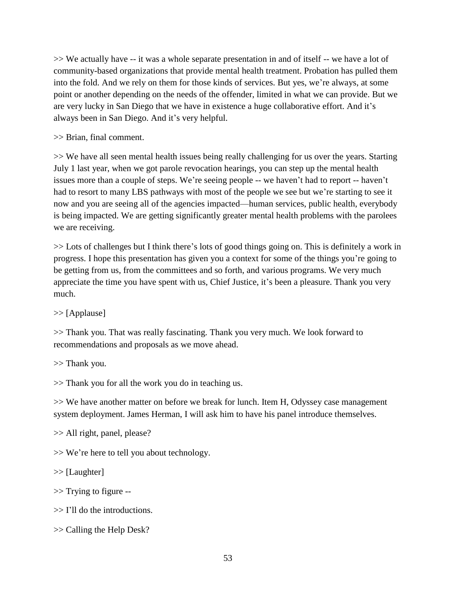>> We actually have -- it was a whole separate presentation in and of itself -- we have a lot of community-based organizations that provide mental health treatment. Probation has pulled them into the fold. And we rely on them for those kinds of services. But yes, we're always, at some point or another depending on the needs of the offender, limited in what we can provide. But we are very lucky in San Diego that we have in existence a huge collaborative effort. And it's always been in San Diego. And it's very helpful.

>> Brian, final comment.

>> We have all seen mental health issues being really challenging for us over the years. Starting July 1 last year, when we got parole revocation hearings, you can step up the mental health issues more than a couple of steps. We're seeing people -- we haven't had to report -- haven't had to resort to many LBS pathways with most of the people we see but we're starting to see it now and you are seeing all of the agencies impacted—human services, public health, everybody is being impacted. We are getting significantly greater mental health problems with the parolees we are receiving.

>> Lots of challenges but I think there's lots of good things going on. This is definitely a work in progress. I hope this presentation has given you a context for some of the things you're going to be getting from us, from the committees and so forth, and various programs. We very much appreciate the time you have spent with us, Chief Justice, it's been a pleasure. Thank you very much.

>> [Applause]

>> Thank you. That was really fascinating. Thank you very much. We look forward to recommendations and proposals as we move ahead.

>> Thank you.

>> Thank you for all the work you do in teaching us.

>> We have another matter on before we break for lunch. Item H, Odyssey case management system deployment. James Herman, I will ask him to have his panel introduce themselves.

>> All right, panel, please?

>> We're here to tell you about technology.

>> [Laughter]

>> Trying to figure --

>> I'll do the introductions.

>> Calling the Help Desk?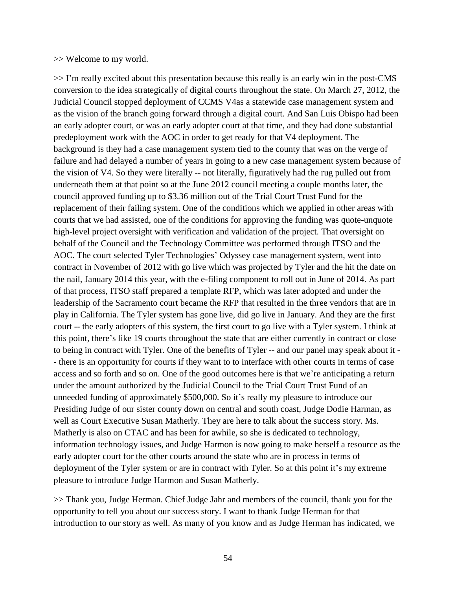#### >> Welcome to my world.

>> I'm really excited about this presentation because this really is an early win in the post-CMS conversion to the idea strategically of digital courts throughout the state. On March 27, 2012, the Judicial Council stopped deployment of CCMS V4as a statewide case management system and as the vision of the branch going forward through a digital court. And San Luis Obispo had been an early adopter court, or was an early adopter court at that time, and they had done substantial predeployment work with the AOC in order to get ready for that V4 deployment. The background is they had a case management system tied to the county that was on the verge of failure and had delayed a number of years in going to a new case management system because of the vision of V4. So they were literally -- not literally, figuratively had the rug pulled out from underneath them at that point so at the June 2012 council meeting a couple months later, the council approved funding up to \$3.36 million out of the Trial Court Trust Fund for the replacement of their failing system. One of the conditions which we applied in other areas with courts that we had assisted, one of the conditions for approving the funding was quote-unquote high-level project oversight with verification and validation of the project. That oversight on behalf of the Council and the Technology Committee was performed through ITSO and the AOC. The court selected Tyler Technologies' Odyssey case management system, went into contract in November of 2012 with go live which was projected by Tyler and the hit the date on the nail, January 2014 this year, with the e-filing component to roll out in June of 2014. As part of that process, ITSO staff prepared a template RFP, which was later adopted and under the leadership of the Sacramento court became the RFP that resulted in the three vendors that are in play in California. The Tyler system has gone live, did go live in January. And they are the first court -- the early adopters of this system, the first court to go live with a Tyler system. I think at this point, there's like 19 courts throughout the state that are either currently in contract or close to being in contract with Tyler. One of the benefits of Tyler -- and our panel may speak about it - - there is an opportunity for courts if they want to to interface with other courts in terms of case access and so forth and so on. One of the good outcomes here is that we're anticipating a return under the amount authorized by the Judicial Council to the Trial Court Trust Fund of an unneeded funding of approximately \$500,000. So it's really my pleasure to introduce our Presiding Judge of our sister county down on central and south coast, Judge Dodie Harman, as well as Court Executive Susan Matherly. They are here to talk about the success story. Ms. Matherly is also on CTAC and has been for awhile, so she is dedicated to technology, information technology issues, and Judge Harmon is now going to make herself a resource as the early adopter court for the other courts around the state who are in process in terms of deployment of the Tyler system or are in contract with Tyler. So at this point it's my extreme pleasure to introduce Judge Harmon and Susan Matherly.

>> Thank you, Judge Herman. Chief Judge Jahr and members of the council, thank you for the opportunity to tell you about our success story. I want to thank Judge Herman for that introduction to our story as well. As many of you know and as Judge Herman has indicated, we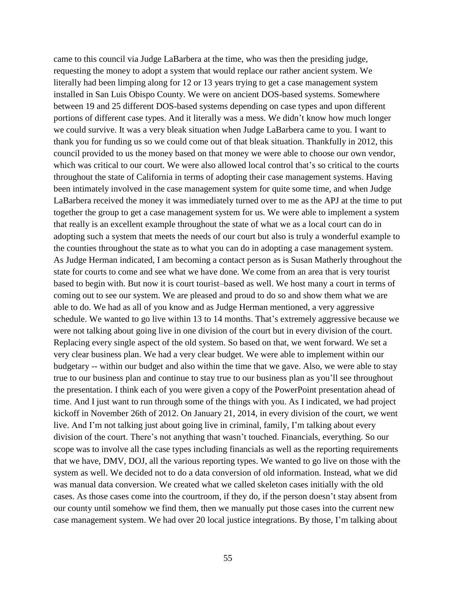came to this council via Judge LaBarbera at the time, who was then the presiding judge, requesting the money to adopt a system that would replace our rather ancient system. We literally had been limping along for 12 or 13 years trying to get a case management system installed in San Luis Obispo County. We were on ancient DOS-based systems. Somewhere between 19 and 25 different DOS-based systems depending on case types and upon different portions of different case types. And it literally was a mess. We didn't know how much longer we could survive. It was a very bleak situation when Judge LaBarbera came to you. I want to thank you for funding us so we could come out of that bleak situation. Thankfully in 2012, this council provided to us the money based on that money we were able to choose our own vendor, which was critical to our court. We were also allowed local control that's so critical to the courts throughout the state of California in terms of adopting their case management systems. Having been intimately involved in the case management system for quite some time, and when Judge LaBarbera received the money it was immediately turned over to me as the APJ at the time to put together the group to get a case management system for us. We were able to implement a system that really is an excellent example throughout the state of what we as a local court can do in adopting such a system that meets the needs of our court but also is truly a wonderful example to the counties throughout the state as to what you can do in adopting a case management system. As Judge Herman indicated, I am becoming a contact person as is Susan Matherly throughout the state for courts to come and see what we have done. We come from an area that is very tourist based to begin with. But now it is court tourist–based as well. We host many a court in terms of coming out to see our system. We are pleased and proud to do so and show them what we are able to do. We had as all of you know and as Judge Herman mentioned, a very aggressive schedule. We wanted to go live within 13 to 14 months. That's extremely aggressive because we were not talking about going live in one division of the court but in every division of the court. Replacing every single aspect of the old system. So based on that, we went forward. We set a very clear business plan. We had a very clear budget. We were able to implement within our budgetary -- within our budget and also within the time that we gave. Also, we were able to stay true to our business plan and continue to stay true to our business plan as you'll see throughout the presentation. I think each of you were given a copy of the PowerPoint presentation ahead of time. And I just want to run through some of the things with you. As I indicated, we had project kickoff in November 26th of 2012. On January 21, 2014, in every division of the court, we went live. And I'm not talking just about going live in criminal, family, I'm talking about every division of the court. There's not anything that wasn't touched. Financials, everything. So our scope was to involve all the case types including financials as well as the reporting requirements that we have, DMV, DOJ, all the various reporting types. We wanted to go live on those with the system as well. We decided not to do a data conversion of old information. Instead, what we did was manual data conversion. We created what we called skeleton cases initially with the old cases. As those cases come into the courtroom, if they do, if the person doesn't stay absent from our county until somehow we find them, then we manually put those cases into the current new case management system. We had over 20 local justice integrations. By those, I'm talking about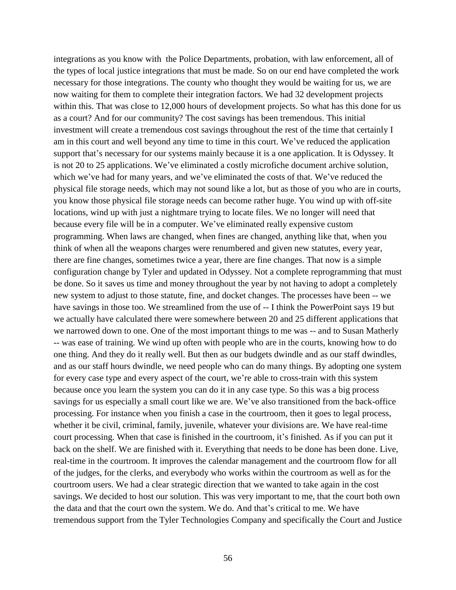integrations as you know with the Police Departments, probation, with law enforcement, all of the types of local justice integrations that must be made. So on our end have completed the work necessary for those integrations. The county who thought they would be waiting for us, we are now waiting for them to complete their integration factors. We had 32 development projects within this. That was close to 12,000 hours of development projects. So what has this done for us as a court? And for our community? The cost savings has been tremendous. This initial investment will create a tremendous cost savings throughout the rest of the time that certainly I am in this court and well beyond any time to time in this court. We've reduced the application support that's necessary for our systems mainly because it is a one application. It is Odyssey. It is not 20 to 25 applications. We've eliminated a costly microfiche document archive solution, which we've had for many years, and we've eliminated the costs of that. We've reduced the physical file storage needs, which may not sound like a lot, but as those of you who are in courts, you know those physical file storage needs can become rather huge. You wind up with off-site locations, wind up with just a nightmare trying to locate files. We no longer will need that because every file will be in a computer. We've eliminated really expensive custom programming. When laws are changed, when fines are changed, anything like that, when you think of when all the weapons charges were renumbered and given new statutes, every year, there are fine changes, sometimes twice a year, there are fine changes. That now is a simple configuration change by Tyler and updated in Odyssey. Not a complete reprogramming that must be done. So it saves us time and money throughout the year by not having to adopt a completely new system to adjust to those statute, fine, and docket changes. The processes have been -- we have savings in those too. We streamlined from the use of -- I think the PowerPoint says 19 but we actually have calculated there were somewhere between 20 and 25 different applications that we narrowed down to one. One of the most important things to me was -- and to Susan Matherly -- was ease of training. We wind up often with people who are in the courts, knowing how to do one thing. And they do it really well. But then as our budgets dwindle and as our staff dwindles, and as our staff hours dwindle, we need people who can do many things. By adopting one system for every case type and every aspect of the court, we're able to cross-train with this system because once you learn the system you can do it in any case type. So this was a big process savings for us especially a small court like we are. We've also transitioned from the back-office processing. For instance when you finish a case in the courtroom, then it goes to legal process, whether it be civil, criminal, family, juvenile, whatever your divisions are. We have real-time court processing. When that case is finished in the courtroom, it's finished. As if you can put it back on the shelf. We are finished with it. Everything that needs to be done has been done. Live, real-time in the courtroom. It improves the calendar management and the courtroom flow for all of the judges, for the clerks, and everybody who works within the courtroom as well as for the courtroom users. We had a clear strategic direction that we wanted to take again in the cost savings. We decided to host our solution. This was very important to me, that the court both own the data and that the court own the system. We do. And that's critical to me. We have tremendous support from the Tyler Technologies Company and specifically the Court and Justice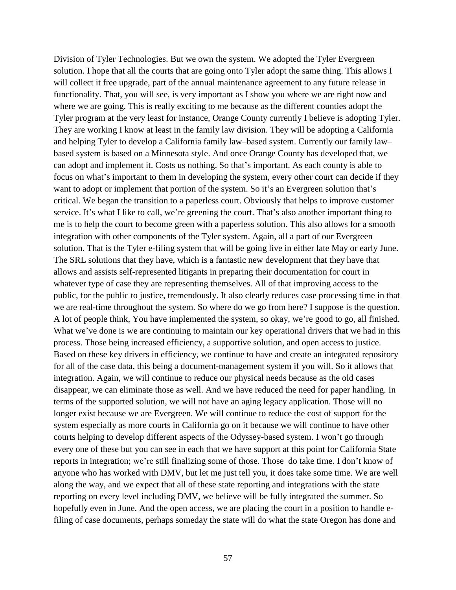Division of Tyler Technologies. But we own the system. We adopted the Tyler Evergreen solution. I hope that all the courts that are going onto Tyler adopt the same thing. This allows I will collect it free upgrade, part of the annual maintenance agreement to any future release in functionality. That, you will see, is very important as I show you where we are right now and where we are going. This is really exciting to me because as the different counties adopt the Tyler program at the very least for instance, Orange County currently I believe is adopting Tyler. They are working I know at least in the family law division. They will be adopting a California and helping Tyler to develop a California family law–based system. Currently our family law– based system is based on a Minnesota style. And once Orange County has developed that, we can adopt and implement it. Costs us nothing. So that's important. As each county is able to focus on what's important to them in developing the system, every other court can decide if they want to adopt or implement that portion of the system. So it's an Evergreen solution that's critical. We began the transition to a paperless court. Obviously that helps to improve customer service. It's what I like to call, we're greening the court. That's also another important thing to me is to help the court to become green with a paperless solution. This also allows for a smooth integration with other components of the Tyler system. Again, all a part of our Evergreen solution. That is the Tyler e-filing system that will be going live in either late May or early June. The SRL solutions that they have, which is a fantastic new development that they have that allows and assists self-represented litigants in preparing their documentation for court in whatever type of case they are representing themselves. All of that improving access to the public, for the public to justice, tremendously. It also clearly reduces case processing time in that we are real-time throughout the system. So where do we go from here? I suppose is the question. A lot of people think, You have implemented the system, so okay, we're good to go, all finished. What we've done is we are continuing to maintain our key operational drivers that we had in this process. Those being increased efficiency, a supportive solution, and open access to justice. Based on these key drivers in efficiency, we continue to have and create an integrated repository for all of the case data, this being a document-management system if you will. So it allows that integration. Again, we will continue to reduce our physical needs because as the old cases disappear, we can eliminate those as well. And we have reduced the need for paper handling. In terms of the supported solution, we will not have an aging legacy application. Those will no longer exist because we are Evergreen. We will continue to reduce the cost of support for the system especially as more courts in California go on it because we will continue to have other courts helping to develop different aspects of the Odyssey-based system. I won't go through every one of these but you can see in each that we have support at this point for California State reports in integration; we're still finalizing some of those. Those do take time. I don't know of anyone who has worked with DMV, but let me just tell you, it does take some time. We are well along the way, and we expect that all of these state reporting and integrations with the state reporting on every level including DMV, we believe will be fully integrated the summer. So hopefully even in June. And the open access, we are placing the court in a position to handle efiling of case documents, perhaps someday the state will do what the state Oregon has done and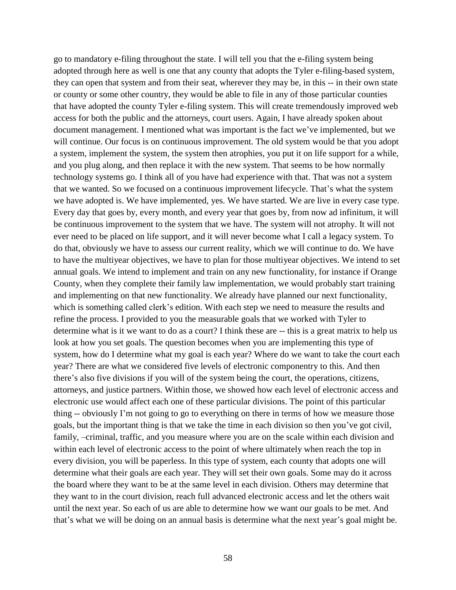go to mandatory e-filing throughout the state. I will tell you that the e-filing system being adopted through here as well is one that any county that adopts the Tyler e-filing-based system, they can open that system and from their seat, wherever they may be, in this -- in their own state or county or some other country, they would be able to file in any of those particular counties that have adopted the county Tyler e-filing system. This will create tremendously improved web access for both the public and the attorneys, court users. Again, I have already spoken about document management. I mentioned what was important is the fact we've implemented, but we will continue. Our focus is on continuous improvement. The old system would be that you adopt a system, implement the system, the system then atrophies, you put it on life support for a while, and you plug along, and then replace it with the new system. That seems to be how normally technology systems go. I think all of you have had experience with that. That was not a system that we wanted. So we focused on a continuous improvement lifecycle. That's what the system we have adopted is. We have implemented, yes. We have started. We are live in every case type. Every day that goes by, every month, and every year that goes by, from now ad infinitum, it will be continuous improvement to the system that we have. The system will not atrophy. It will not ever need to be placed on life support, and it will never become what I call a legacy system. To do that, obviously we have to assess our current reality, which we will continue to do. We have to have the multiyear objectives, we have to plan for those multiyear objectives. We intend to set annual goals. We intend to implement and train on any new functionality, for instance if Orange County, when they complete their family law implementation, we would probably start training and implementing on that new functionality. We already have planned our next functionality, which is something called clerk's edition. With each step we need to measure the results and refine the process. I provided to you the measurable goals that we worked with Tyler to determine what is it we want to do as a court? I think these are -- this is a great matrix to help us look at how you set goals. The question becomes when you are implementing this type of system, how do I determine what my goal is each year? Where do we want to take the court each year? There are what we considered five levels of electronic componentry to this. And then there's also five divisions if you will of the system being the court, the operations, citizens, attorneys, and justice partners. Within those, we showed how each level of electronic access and electronic use would affect each one of these particular divisions. The point of this particular thing -- obviously I'm not going to go to everything on there in terms of how we measure those goals, but the important thing is that we take the time in each division so then you've got civil, family, –criminal, traffic, and you measure where you are on the scale within each division and within each level of electronic access to the point of where ultimately when reach the top in every division, you will be paperless. In this type of system, each county that adopts one will determine what their goals are each year. They will set their own goals. Some may do it across the board where they want to be at the same level in each division. Others may determine that they want to in the court division, reach full advanced electronic access and let the others wait until the next year. So each of us are able to determine how we want our goals to be met. And that's what we will be doing on an annual basis is determine what the next year's goal might be.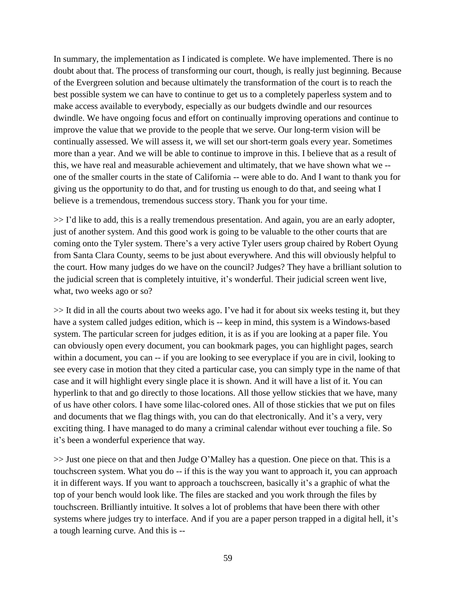In summary, the implementation as I indicated is complete. We have implemented. There is no doubt about that. The process of transforming our court, though, is really just beginning. Because of the Evergreen solution and because ultimately the transformation of the court is to reach the best possible system we can have to continue to get us to a completely paperless system and to make access available to everybody, especially as our budgets dwindle and our resources dwindle. We have ongoing focus and effort on continually improving operations and continue to improve the value that we provide to the people that we serve. Our long-term vision will be continually assessed. We will assess it, we will set our short-term goals every year. Sometimes more than a year. And we will be able to continue to improve in this. I believe that as a result of this, we have real and measurable achievement and ultimately, that we have shown what we - one of the smaller courts in the state of California -- were able to do. And I want to thank you for giving us the opportunity to do that, and for trusting us enough to do that, and seeing what I believe is a tremendous, tremendous success story. Thank you for your time.

>> I'd like to add, this is a really tremendous presentation. And again, you are an early adopter, just of another system. And this good work is going to be valuable to the other courts that are coming onto the Tyler system. There's a very active Tyler users group chaired by Robert Oyung from Santa Clara County, seems to be just about everywhere. And this will obviously helpful to the court. How many judges do we have on the council? Judges? They have a brilliant solution to the judicial screen that is completely intuitive, it's wonderful. Their judicial screen went live, what, two weeks ago or so?

>> It did in all the courts about two weeks ago. I've had it for about six weeks testing it, but they have a system called judges edition, which is -- keep in mind, this system is a Windows-based system. The particular screen for judges edition, it is as if you are looking at a paper file. You can obviously open every document, you can bookmark pages, you can highlight pages, search within a document, you can -- if you are looking to see everyplace if you are in civil, looking to see every case in motion that they cited a particular case, you can simply type in the name of that case and it will highlight every single place it is shown. And it will have a list of it. You can hyperlink to that and go directly to those locations. All those yellow stickies that we have, many of us have other colors. I have some lilac-colored ones. All of those stickies that we put on files and documents that we flag things with, you can do that electronically. And it's a very, very exciting thing. I have managed to do many a criminal calendar without ever touching a file. So it's been a wonderful experience that way.

>> Just one piece on that and then Judge O'Malley has a question. One piece on that. This is a touchscreen system. What you do -- if this is the way you want to approach it, you can approach it in different ways. If you want to approach a touchscreen, basically it's a graphic of what the top of your bench would look like. The files are stacked and you work through the files by touchscreen. Brilliantly intuitive. It solves a lot of problems that have been there with other systems where judges try to interface. And if you are a paper person trapped in a digital hell, it's a tough learning curve. And this is --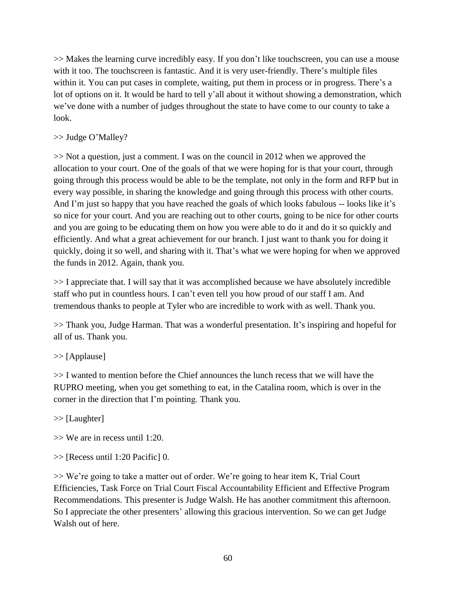>> Makes the learning curve incredibly easy. If you don't like touchscreen, you can use a mouse with it too. The touchscreen is fantastic. And it is very user-friendly. There's multiple files within it. You can put cases in complete, waiting, put them in process or in progress. There's a lot of options on it. It would be hard to tell y'all about it without showing a demonstration, which we've done with a number of judges throughout the state to have come to our county to take a look.

# >> Judge O'Malley?

>> Not a question, just a comment. I was on the council in 2012 when we approved the allocation to your court. One of the goals of that we were hoping for is that your court, through going through this process would be able to be the template, not only in the form and RFP but in every way possible, in sharing the knowledge and going through this process with other courts. And I'm just so happy that you have reached the goals of which looks fabulous -- looks like it's so nice for your court. And you are reaching out to other courts, going to be nice for other courts and you are going to be educating them on how you were able to do it and do it so quickly and efficiently. And what a great achievement for our branch. I just want to thank you for doing it quickly, doing it so well, and sharing with it. That's what we were hoping for when we approved the funds in 2012. Again, thank you.

>> I appreciate that. I will say that it was accomplished because we have absolutely incredible staff who put in countless hours. I can't even tell you how proud of our staff I am. And tremendous thanks to people at Tyler who are incredible to work with as well. Thank you.

>> Thank you, Judge Harman. That was a wonderful presentation. It's inspiring and hopeful for all of us. Thank you.

# >> [Applause]

>> I wanted to mention before the Chief announces the lunch recess that we will have the RUPRO meeting, when you get something to eat, in the Catalina room, which is over in the corner in the direction that I'm pointing. Thank you.

>> [Laughter]

- >> We are in recess until 1:20.
- >> [Recess until 1:20 Pacific] 0.

>> We're going to take a matter out of order. We're going to hear item K, Trial Court Efficiencies, Task Force on Trial Court Fiscal Accountability Efficient and Effective Program Recommendations. This presenter is Judge Walsh. He has another commitment this afternoon. So I appreciate the other presenters' allowing this gracious intervention. So we can get Judge Walsh out of here.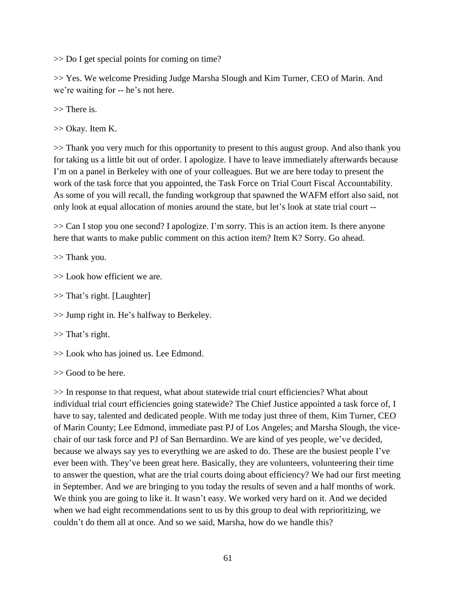>> Do I get special points for coming on time?

>> Yes. We welcome Presiding Judge Marsha Slough and Kim Turner, CEO of Marin. And we're waiting for -- he's not here.

>> There is.

>> Okay. Item K.

>> Thank you very much for this opportunity to present to this august group. And also thank you for taking us a little bit out of order. I apologize. I have to leave immediately afterwards because I'm on a panel in Berkeley with one of your colleagues. But we are here today to present the work of the task force that you appointed, the Task Force on Trial Court Fiscal Accountability. As some of you will recall, the funding workgroup that spawned the WAFM effort also said, not only look at equal allocation of monies around the state, but let's look at state trial court --

>> Can I stop you one second? I apologize. I'm sorry. This is an action item. Is there anyone here that wants to make public comment on this action item? Item K? Sorry. Go ahead.

>> Thank you.

>> Look how efficient we are.

>> That's right. [Laughter]

>> Jump right in. He's halfway to Berkeley.

>> That's right.

>> Look who has joined us. Lee Edmond.

>> Good to be here.

>> In response to that request, what about statewide trial court efficiencies? What about individual trial court efficiencies going statewide? The Chief Justice appointed a task force of, I have to say, talented and dedicated people. With me today just three of them, Kim Turner, CEO of Marin County; Lee Edmond, immediate past PJ of Los Angeles; and Marsha Slough, the vicechair of our task force and PJ of San Bernardino. We are kind of yes people, we've decided, because we always say yes to everything we are asked to do. These are the busiest people I've ever been with. They've been great here. Basically, they are volunteers, volunteering their time to answer the question, what are the trial courts doing about efficiency? We had our first meeting in September. And we are bringing to you today the results of seven and a half months of work. We think you are going to like it. It wasn't easy. We worked very hard on it. And we decided when we had eight recommendations sent to us by this group to deal with reprioritizing, we couldn't do them all at once. And so we said, Marsha, how do we handle this?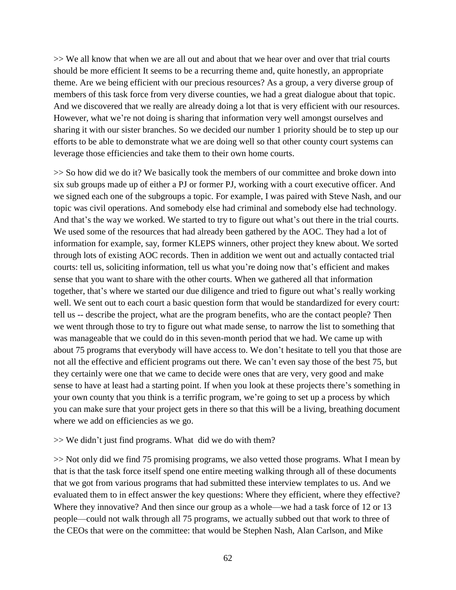>> We all know that when we are all out and about that we hear over and over that trial courts should be more efficient It seems to be a recurring theme and, quite honestly, an appropriate theme. Are we being efficient with our precious resources? As a group, a very diverse group of members of this task force from very diverse counties, we had a great dialogue about that topic. And we discovered that we really are already doing a lot that is very efficient with our resources. However, what we're not doing is sharing that information very well amongst ourselves and sharing it with our sister branches. So we decided our number 1 priority should be to step up our efforts to be able to demonstrate what we are doing well so that other county court systems can leverage those efficiencies and take them to their own home courts.

>> So how did we do it? We basically took the members of our committee and broke down into six sub groups made up of either a PJ or former PJ, working with a court executive officer. And we signed each one of the subgroups a topic. For example, I was paired with Steve Nash, and our topic was civil operations. And somebody else had criminal and somebody else had technology. And that's the way we worked. We started to try to figure out what's out there in the trial courts. We used some of the resources that had already been gathered by the AOC. They had a lot of information for example, say, former KLEPS winners, other project they knew about. We sorted through lots of existing AOC records. Then in addition we went out and actually contacted trial courts: tell us, soliciting information, tell us what you're doing now that's efficient and makes sense that you want to share with the other courts. When we gathered all that information together, that's where we started our due diligence and tried to figure out what's really working well. We sent out to each court a basic question form that would be standardized for every court: tell us -- describe the project, what are the program benefits, who are the contact people? Then we went through those to try to figure out what made sense, to narrow the list to something that was manageable that we could do in this seven-month period that we had. We came up with about 75 programs that everybody will have access to. We don't hesitate to tell you that those are not all the effective and efficient programs out there. We can't even say those of the best 75, but they certainly were one that we came to decide were ones that are very, very good and make sense to have at least had a starting point. If when you look at these projects there's something in your own county that you think is a terrific program, we're going to set up a process by which you can make sure that your project gets in there so that this will be a living, breathing document where we add on efficiencies as we go.

#### >> We didn't just find programs. What did we do with them?

>> Not only did we find 75 promising programs, we also vetted those programs. What I mean by that is that the task force itself spend one entire meeting walking through all of these documents that we got from various programs that had submitted these interview templates to us. And we evaluated them to in effect answer the key questions: Where they efficient, where they effective? Where they innovative? And then since our group as a whole—we had a task force of 12 or 13 people—could not walk through all 75 programs, we actually subbed out that work to three of the CEOs that were on the committee: that would be Stephen Nash, Alan Carlson, and Mike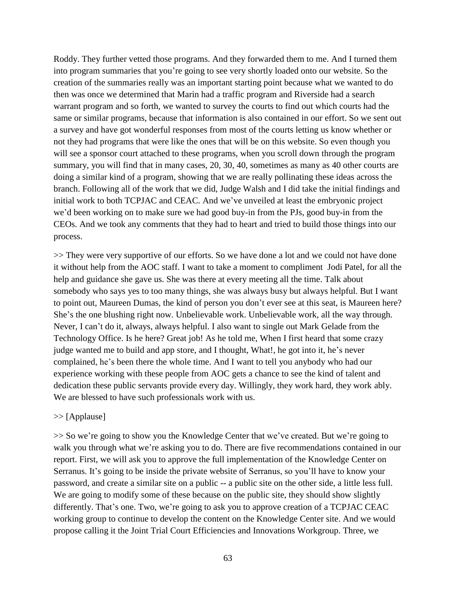Roddy. They further vetted those programs. And they forwarded them to me. And I turned them into program summaries that you're going to see very shortly loaded onto our website. So the creation of the summaries really was an important starting point because what we wanted to do then was once we determined that Marin had a traffic program and Riverside had a search warrant program and so forth, we wanted to survey the courts to find out which courts had the same or similar programs, because that information is also contained in our effort. So we sent out a survey and have got wonderful responses from most of the courts letting us know whether or not they had programs that were like the ones that will be on this website. So even though you will see a sponsor court attached to these programs, when you scroll down through the program summary, you will find that in many cases, 20, 30, 40, sometimes as many as 40 other courts are doing a similar kind of a program, showing that we are really pollinating these ideas across the branch. Following all of the work that we did, Judge Walsh and I did take the initial findings and initial work to both TCPJAC and CEAC. And we've unveiled at least the embryonic project we'd been working on to make sure we had good buy-in from the PJs, good buy-in from the CEOs. And we took any comments that they had to heart and tried to build those things into our process.

>> They were very supportive of our efforts. So we have done a lot and we could not have done it without help from the AOC staff. I want to take a moment to compliment Jodi Patel, for all the help and guidance she gave us. She was there at every meeting all the time. Talk about somebody who says yes to too many things, she was always busy but always helpful. But I want to point out, Maureen Dumas, the kind of person you don't ever see at this seat, is Maureen here? She's the one blushing right now. Unbelievable work. Unbelievable work, all the way through. Never, I can't do it, always, always helpful. I also want to single out Mark Gelade from the Technology Office. Is he here? Great job! As he told me, When I first heard that some crazy judge wanted me to build and app store, and I thought, What!, he got into it, he's never complained, he's been there the whole time. And I want to tell you anybody who had our experience working with these people from AOC gets a chance to see the kind of talent and dedication these public servants provide every day. Willingly, they work hard, they work ably. We are blessed to have such professionals work with us.

### >> [Applause]

>> So we're going to show you the Knowledge Center that we've created. But we're going to walk you through what we're asking you to do. There are five recommendations contained in our report. First, we will ask you to approve the full implementation of the Knowledge Center on Serranus. It's going to be inside the private website of Serranus, so you'll have to know your password, and create a similar site on a public -- a public site on the other side, a little less full. We are going to modify some of these because on the public site, they should show slightly differently. That's one. Two, we're going to ask you to approve creation of a TCPJAC CEAC working group to continue to develop the content on the Knowledge Center site. And we would propose calling it the Joint Trial Court Efficiencies and Innovations Workgroup. Three, we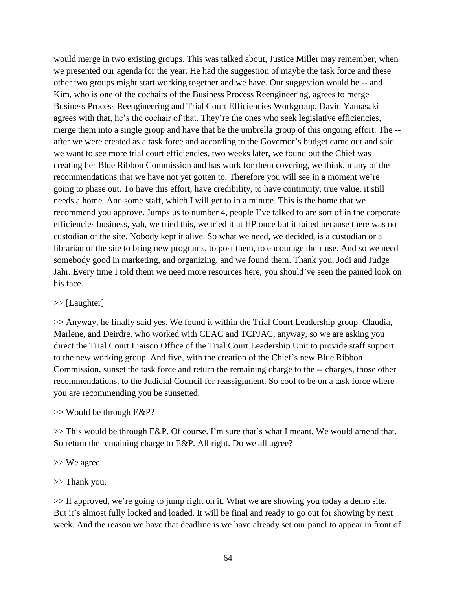would merge in two existing groups. This was talked about, Justice Miller may remember, when we presented our agenda for the year. He had the suggestion of maybe the task force and these other two groups might start working together and we have. Our suggestion would be -- and Kim, who is one of the cochairs of the Business Process Reengineering, agrees to merge Business Process Reengineering and Trial Court Efficiencies Workgroup, David Yamasaki agrees with that, he's the cochair of that. They're the ones who seek legislative efficiencies, merge them into a single group and have that be the umbrella group of this ongoing effort. The - after we were created as a task force and according to the Governor's budget came out and said we want to see more trial court efficiencies, two weeks later, we found out the Chief was creating her Blue Ribbon Commission and has work for them covering, we think, many of the recommendations that we have not yet gotten to. Therefore you will see in a moment we're going to phase out. To have this effort, have credibility, to have continuity, true value, it still needs a home. And some staff, which I will get to in a minute. This is the home that we recommend you approve. Jumps us to number 4, people I've talked to are sort of in the corporate efficiencies business, yah, we tried this, we tried it at HP once but it failed because there was no custodian of the site. Nobody kept it alive. So what we need, we decided, is a custodian or a librarian of the site to bring new programs, to post them, to encourage their use. And so we need somebody good in marketing, and organizing, and we found them. Thank you, Jodi and Judge Jahr. Every time I told them we need more resources here, you should've seen the pained look on his face.

### >> [Laughter]

>> Anyway, he finally said yes. We found it within the Trial Court Leadership group. Claudia, Marlene, and Deirdre, who worked with CEAC and TCPJAC, anyway, so we are asking you direct the Trial Court Liaison Office of the Trial Court Leadership Unit to provide staff support to the new working group. And five, with the creation of the Chief's new Blue Ribbon Commission, sunset the task force and return the remaining charge to the -- charges, those other recommendations, to the Judicial Council for reassignment. So cool to be on a task force where you are recommending you be sunsetted.

## >> Would be through E&P?

>> This would be through E&P. Of course. I'm sure that's what I meant. We would amend that. So return the remaining charge to E&P. All right. Do we all agree?

>> We agree.

## >> Thank you.

>> If approved, we're going to jump right on it. What we are showing you today a demo site. But it's almost fully locked and loaded. It will be final and ready to go out for showing by next week. And the reason we have that deadline is we have already set our panel to appear in front of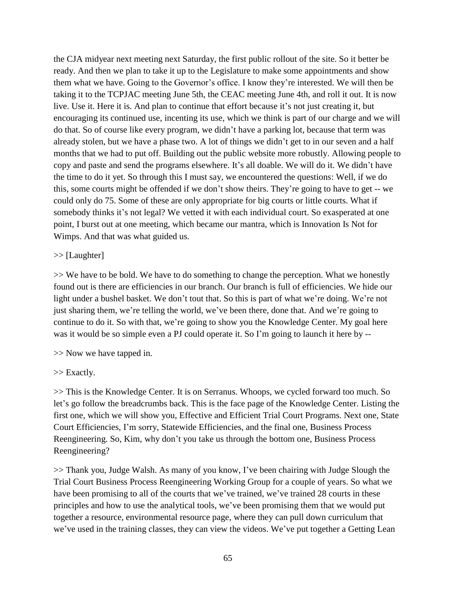the CJA midyear next meeting next Saturday, the first public rollout of the site. So it better be ready. And then we plan to take it up to the Legislature to make some appointments and show them what we have. Going to the Governor's office. I know they're interested. We will then be taking it to the TCPJAC meeting June 5th, the CEAC meeting June 4th, and roll it out. It is now live. Use it. Here it is. And plan to continue that effort because it's not just creating it, but encouraging its continued use, incenting its use, which we think is part of our charge and we will do that. So of course like every program, we didn't have a parking lot, because that term was already stolen, but we have a phase two. A lot of things we didn't get to in our seven and a half months that we had to put off. Building out the public website more robustly. Allowing people to copy and paste and send the programs elsewhere. It's all doable. We will do it. We didn't have the time to do it yet. So through this I must say, we encountered the questions: Well, if we do this, some courts might be offended if we don't show theirs. They're going to have to get -- we could only do 75. Some of these are only appropriate for big courts or little courts. What if somebody thinks it's not legal? We vetted it with each individual court. So exasperated at one point, I burst out at one meeting, which became our mantra, which is Innovation Is Not for Wimps. And that was what guided us.

### >> [Laughter]

>> We have to be bold. We have to do something to change the perception. What we honestly found out is there are efficiencies in our branch. Our branch is full of efficiencies. We hide our light under a bushel basket. We don't tout that. So this is part of what we're doing. We're not just sharing them, we're telling the world, we've been there, done that. And we're going to continue to do it. So with that, we're going to show you the Knowledge Center. My goal here was it would be so simple even a PJ could operate it. So I'm going to launch it here by --

>> Now we have tapped in.

## >> Exactly.

>> This is the Knowledge Center. It is on Serranus. Whoops, we cycled forward too much. So let's go follow the breadcrumbs back. This is the face page of the Knowledge Center. Listing the first one, which we will show you, Effective and Efficient Trial Court Programs. Next one, State Court Efficiencies, I'm sorry, Statewide Efficiencies, and the final one, Business Process Reengineering. So, Kim, why don't you take us through the bottom one, Business Process Reengineering?

>> Thank you, Judge Walsh. As many of you know, I've been chairing with Judge Slough the Trial Court Business Process Reengineering Working Group for a couple of years. So what we have been promising to all of the courts that we've trained, we've trained 28 courts in these principles and how to use the analytical tools, we've been promising them that we would put together a resource, environmental resource page, where they can pull down curriculum that we've used in the training classes, they can view the videos. We've put together a Getting Lean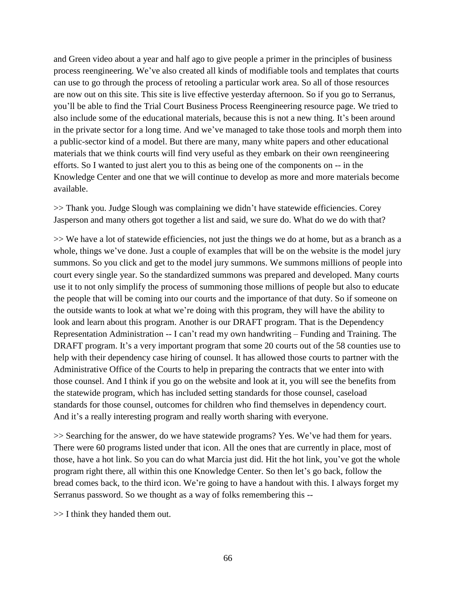and Green video about a year and half ago to give people a primer in the principles of business process reengineering. We've also created all kinds of modifiable tools and templates that courts can use to go through the process of retooling a particular work area. So all of those resources are now out on this site. This site is live effective yesterday afternoon. So if you go to Serranus, you'll be able to find the Trial Court Business Process Reengineering resource page. We tried to also include some of the educational materials, because this is not a new thing. It's been around in the private sector for a long time. And we've managed to take those tools and morph them into a public-sector kind of a model. But there are many, many white papers and other educational materials that we think courts will find very useful as they embark on their own reengineering efforts. So I wanted to just alert you to this as being one of the components on -- in the Knowledge Center and one that we will continue to develop as more and more materials become available.

>> Thank you. Judge Slough was complaining we didn't have statewide efficiencies. Corey Jasperson and many others got together a list and said, we sure do. What do we do with that?

>> We have a lot of statewide efficiencies, not just the things we do at home, but as a branch as a whole, things we've done. Just a couple of examples that will be on the website is the model jury summons. So you click and get to the model jury summons. We summons millions of people into court every single year. So the standardized summons was prepared and developed. Many courts use it to not only simplify the process of summoning those millions of people but also to educate the people that will be coming into our courts and the importance of that duty. So if someone on the outside wants to look at what we're doing with this program, they will have the ability to look and learn about this program. Another is our DRAFT program. That is the Dependency Representation Administration -- I can't read my own handwriting – Funding and Training. The DRAFT program. It's a very important program that some 20 courts out of the 58 counties use to help with their dependency case hiring of counsel. It has allowed those courts to partner with the Administrative Office of the Courts to help in preparing the contracts that we enter into with those counsel. And I think if you go on the website and look at it, you will see the benefits from the statewide program, which has included setting standards for those counsel, caseload standards for those counsel, outcomes for children who find themselves in dependency court. And it's a really interesting program and really worth sharing with everyone.

>> Searching for the answer, do we have statewide programs? Yes. We've had them for years. There were 60 programs listed under that icon. All the ones that are currently in place, most of those, have a hot link. So you can do what Marcia just did. Hit the hot link, you've got the whole program right there, all within this one Knowledge Center. So then let's go back, follow the bread comes back, to the third icon. We're going to have a handout with this. I always forget my Serranus password. So we thought as a way of folks remembering this --

>> I think they handed them out.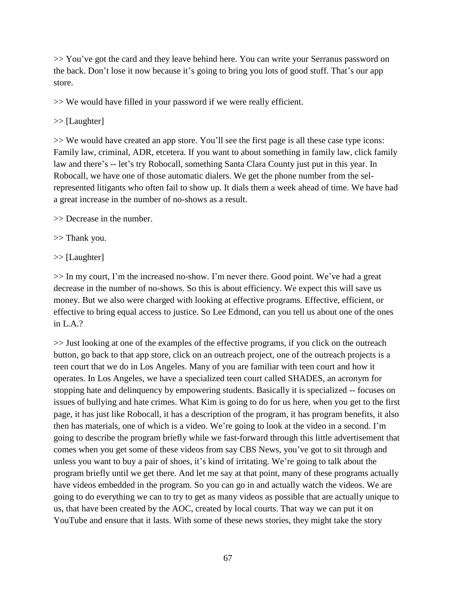>> You've got the card and they leave behind here. You can write your Serranus password on the back. Don't lose it now because it's going to bring you lots of good stuff. That's our app store.

>> We would have filled in your password if we were really efficient.

### >> [Laughter]

>> We would have created an app store. You'll see the first page is all these case type icons: Family law, criminal, ADR, etcetera. If you want to about something in family law, click family law and there's -- let's try Robocall, something Santa Clara County just put in this year. In Robocall, we have one of those automatic dialers. We get the phone number from the selrepresented litigants who often fail to show up. It dials them a week ahead of time. We have had a great increase in the number of no-shows as a result.

>> Decrease in the number.

>> Thank you.

>> [Laughter]

>> In my court, I'm the increased no-show. I'm never there. Good point. We've had a great decrease in the number of no-shows. So this is about efficiency. We expect this will save us money. But we also were charged with looking at effective programs. Effective, efficient, or effective to bring equal access to justice. So Lee Edmond, can you tell us about one of the ones in L.A.?

>> Just looking at one of the examples of the effective programs, if you click on the outreach button, go back to that app store, click on an outreach project, one of the outreach projects is a teen court that we do in Los Angeles. Many of you are familiar with teen court and how it operates. In Los Angeles, we have a specialized teen court called SHADES, an acronym for stopping hate and delinquency by empowering students. Basically it is specialized -- focuses on issues of bullying and hate crimes. What Kim is going to do for us here, when you get to the first page, it has just like Robocall, it has a description of the program, it has program benefits, it also then has materials, one of which is a video. We're going to look at the video in a second. I'm going to describe the program briefly while we fast-forward through this little advertisement that comes when you get some of these videos from say CBS News, you've got to sit through and unless you want to buy a pair of shoes, it's kind of irritating. We're going to talk about the program briefly until we get there. And let me say at that point, many of these programs actually have videos embedded in the program. So you can go in and actually watch the videos. We are going to do everything we can to try to get as many videos as possible that are actually unique to us, that have been created by the AOC, created by local courts. That way we can put it on YouTube and ensure that it lasts. With some of these news stories, they might take the story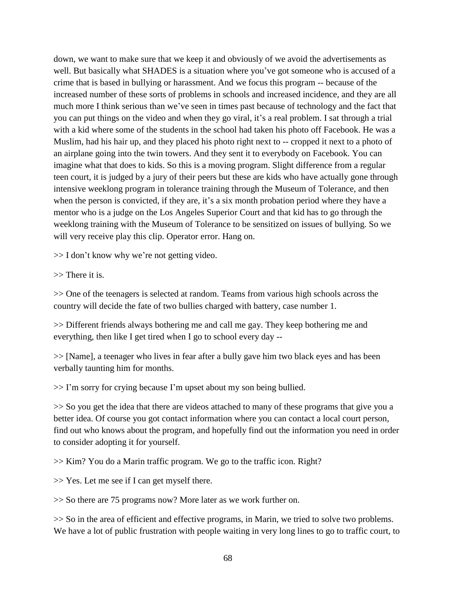down, we want to make sure that we keep it and obviously of we avoid the advertisements as well. But basically what SHADES is a situation where you've got someone who is accused of a crime that is based in bullying or harassment. And we focus this program -- because of the increased number of these sorts of problems in schools and increased incidence, and they are all much more I think serious than we've seen in times past because of technology and the fact that you can put things on the video and when they go viral, it's a real problem. I sat through a trial with a kid where some of the students in the school had taken his photo off Facebook. He was a Muslim, had his hair up, and they placed his photo right next to -- cropped it next to a photo of an airplane going into the twin towers. And they sent it to everybody on Facebook. You can imagine what that does to kids. So this is a moving program. Slight difference from a regular teen court, it is judged by a jury of their peers but these are kids who have actually gone through intensive weeklong program in tolerance training through the Museum of Tolerance, and then when the person is convicted, if they are, it's a six month probation period where they have a mentor who is a judge on the Los Angeles Superior Court and that kid has to go through the weeklong training with the Museum of Tolerance to be sensitized on issues of bullying. So we will very receive play this clip. Operator error. Hang on.

 $\gg$  I don't know why we're not getting video.

>> There it is.

>> One of the teenagers is selected at random. Teams from various high schools across the country will decide the fate of two bullies charged with battery, case number 1.

>> Different friends always bothering me and call me gay. They keep bothering me and everything, then like I get tired when I go to school every day --

>> [Name], a teenager who lives in fear after a bully gave him two black eyes and has been verbally taunting him for months.

>> I'm sorry for crying because I'm upset about my son being bullied.

>> So you get the idea that there are videos attached to many of these programs that give you a better idea. Of course you got contact information where you can contact a local court person, find out who knows about the program, and hopefully find out the information you need in order to consider adopting it for yourself.

>> Kim? You do a Marin traffic program. We go to the traffic icon. Right?

>> Yes. Let me see if I can get myself there.

>> So there are 75 programs now? More later as we work further on.

>> So in the area of efficient and effective programs, in Marin, we tried to solve two problems. We have a lot of public frustration with people waiting in very long lines to go to traffic court, to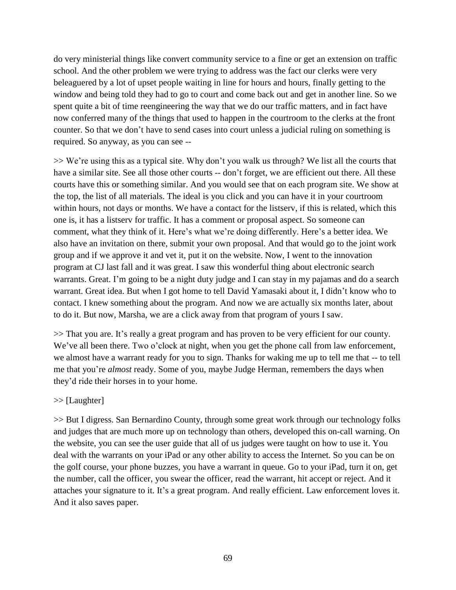do very ministerial things like convert community service to a fine or get an extension on traffic school. And the other problem we were trying to address was the fact our clerks were very beleaguered by a lot of upset people waiting in line for hours and hours, finally getting to the window and being told they had to go to court and come back out and get in another line. So we spent quite a bit of time reengineering the way that we do our traffic matters, and in fact have now conferred many of the things that used to happen in the courtroom to the clerks at the front counter. So that we don't have to send cases into court unless a judicial ruling on something is required. So anyway, as you can see --

>> We're using this as a typical site. Why don't you walk us through? We list all the courts that have a similar site. See all those other courts -- don't forget, we are efficient out there. All these courts have this or something similar. And you would see that on each program site. We show at the top, the list of all materials. The ideal is you click and you can have it in your courtroom within hours, not days or months. We have a contact for the listserv, if this is related, which this one is, it has a listserv for traffic. It has a comment or proposal aspect. So someone can comment, what they think of it. Here's what we're doing differently. Here's a better idea. We also have an invitation on there, submit your own proposal. And that would go to the joint work group and if we approve it and vet it, put it on the website. Now, I went to the innovation program at CJ last fall and it was great. I saw this wonderful thing about electronic search warrants. Great. I'm going to be a night duty judge and I can stay in my pajamas and do a search warrant. Great idea. But when I got home to tell David Yamasaki about it, I didn't know who to contact. I knew something about the program. And now we are actually six months later, about to do it. But now, Marsha, we are a click away from that program of yours I saw.

>> That you are. It's really a great program and has proven to be very efficient for our county. We've all been there. Two o'clock at night, when you get the phone call from law enforcement, we almost have a warrant ready for you to sign. Thanks for waking me up to tell me that -- to tell me that you're *almost* ready. Some of you, maybe Judge Herman, remembers the days when they'd ride their horses in to your home.

## >> [Laughter]

>> But I digress. San Bernardino County, through some great work through our technology folks and judges that are much more up on technology than others, developed this on-call warning. On the website, you can see the user guide that all of us judges were taught on how to use it. You deal with the warrants on your iPad or any other ability to access the Internet. So you can be on the golf course, your phone buzzes, you have a warrant in queue. Go to your iPad, turn it on, get the number, call the officer, you swear the officer, read the warrant, hit accept or reject. And it attaches your signature to it. It's a great program. And really efficient. Law enforcement loves it. And it also saves paper.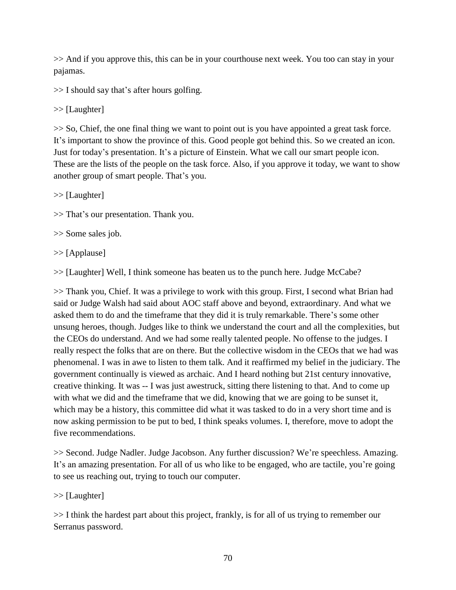>> And if you approve this, this can be in your courthouse next week. You too can stay in your pajamas.

>> I should say that's after hours golfing.

>> [Laughter]

>> So, Chief, the one final thing we want to point out is you have appointed a great task force. It's important to show the province of this. Good people got behind this. So we created an icon. Just for today's presentation. It's a picture of Einstein. What we call our smart people icon. These are the lists of the people on the task force. Also, if you approve it today, we want to show another group of smart people. That's you.

>> [Laughter]

>> That's our presentation. Thank you.

>> Some sales job.

>> [Applause]

>> [Laughter] Well, I think someone has beaten us to the punch here. Judge McCabe?

>> Thank you, Chief. It was a privilege to work with this group. First, I second what Brian had said or Judge Walsh had said about AOC staff above and beyond, extraordinary. And what we asked them to do and the timeframe that they did it is truly remarkable. There's some other unsung heroes, though. Judges like to think we understand the court and all the complexities, but the CEOs do understand. And we had some really talented people. No offense to the judges. I really respect the folks that are on there. But the collective wisdom in the CEOs that we had was phenomenal. I was in awe to listen to them talk. And it reaffirmed my belief in the judiciary. The government continually is viewed as archaic. And I heard nothing but 21st century innovative, creative thinking. It was -- I was just awestruck, sitting there listening to that. And to come up with what we did and the timeframe that we did, knowing that we are going to be sunset it, which may be a history, this committee did what it was tasked to do in a very short time and is now asking permission to be put to bed, I think speaks volumes. I, therefore, move to adopt the five recommendations.

>> Second. Judge Nadler. Judge Jacobson. Any further discussion? We're speechless. Amazing. It's an amazing presentation. For all of us who like to be engaged, who are tactile, you're going to see us reaching out, trying to touch our computer.

>> [Laughter]

>> I think the hardest part about this project, frankly, is for all of us trying to remember our Serranus password.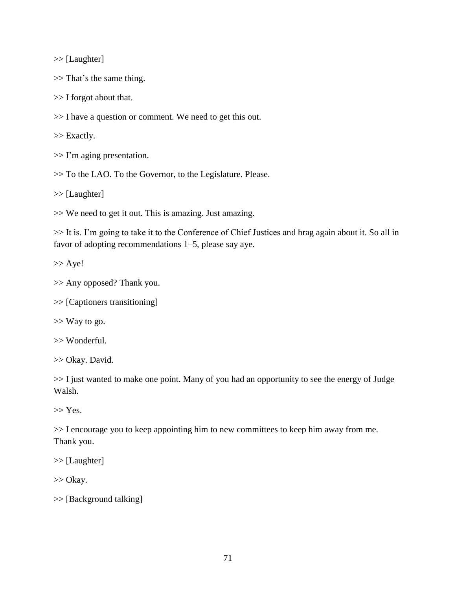>> [Laughter]

>> That's the same thing.

>> I forgot about that.

>> I have a question or comment. We need to get this out.

>> Exactly.

>> I'm aging presentation.

>> To the LAO. To the Governor, to the Legislature. Please.

>> [Laughter]

>> We need to get it out. This is amazing. Just amazing.

>> It is. I'm going to take it to the Conference of Chief Justices and brag again about it. So all in favor of adopting recommendations 1–5, please say aye.

>> Aye!

>> Any opposed? Thank you.

>> [Captioners transitioning]

>> Way to go.

>> Wonderful.

>> Okay. David.

>> I just wanted to make one point. Many of you had an opportunity to see the energy of Judge Walsh.

 $>> Yes.$ 

>> I encourage you to keep appointing him to new committees to keep him away from me. Thank you.

>> [Laughter]

>> Okay.

>> [Background talking]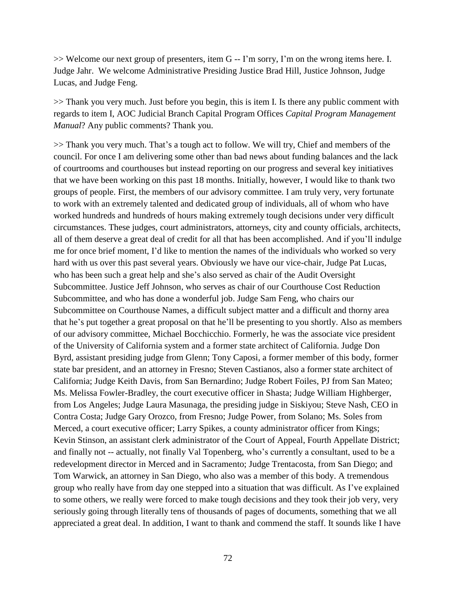>> Welcome our next group of presenters, item G -- I'm sorry, I'm on the wrong items here. I. Judge Jahr. We welcome Administrative Presiding Justice Brad Hill, Justice Johnson, Judge Lucas, and Judge Feng.

>> Thank you very much. Just before you begin, this is item I. Is there any public comment with regards to item I, AOC Judicial Branch Capital Program Offices *Capital Program Management Manual*? Any public comments? Thank you.

>> Thank you very much. That's a tough act to follow. We will try, Chief and members of the council. For once I am delivering some other than bad news about funding balances and the lack of courtrooms and courthouses but instead reporting on our progress and several key initiatives that we have been working on this past 18 months. Initially, however, I would like to thank two groups of people. First, the members of our advisory committee. I am truly very, very fortunate to work with an extremely talented and dedicated group of individuals, all of whom who have worked hundreds and hundreds of hours making extremely tough decisions under very difficult circumstances. These judges, court administrators, attorneys, city and county officials, architects, all of them deserve a great deal of credit for all that has been accomplished. And if you'll indulge me for once brief moment, I'd like to mention the names of the individuals who worked so very hard with us over this past several years. Obviously we have our vice-chair, Judge Pat Lucas, who has been such a great help and she's also served as chair of the Audit Oversight Subcommittee. Justice Jeff Johnson, who serves as chair of our Courthouse Cost Reduction Subcommittee, and who has done a wonderful job. Judge Sam Feng, who chairs our Subcommittee on Courthouse Names, a difficult subject matter and a difficult and thorny area that he's put together a great proposal on that he'll be presenting to you shortly. Also as members of our advisory committee, Michael Bocchicchio. Formerly, he was the associate vice president of the University of California system and a former state architect of California. Judge Don Byrd, assistant presiding judge from Glenn; Tony Caposi, a former member of this body, former state bar president, and an attorney in Fresno; Steven Castianos, also a former state architect of California; Judge Keith Davis, from San Bernardino; Judge Robert Foiles, PJ from San Mateo; Ms. Melissa Fowler-Bradley, the court executive officer in Shasta; Judge William Highberger, from Los Angeles; Judge Laura Masunaga, the presiding judge in Siskiyou; Steve Nash, CEO in Contra Costa; Judge Gary Orozco, from Fresno; Judge Power, from Solano; Ms. Soles from Merced, a court executive officer; Larry Spikes, a county administrator officer from Kings; Kevin Stinson, an assistant clerk administrator of the Court of Appeal, Fourth Appellate District; and finally not -- actually, not finally Val Topenberg, who's currently a consultant, used to be a redevelopment director in Merced and in Sacramento; Judge Trentacosta, from San Diego; and Tom Warwick, an attorney in San Diego, who also was a member of this body. A tremendous group who really have from day one stepped into a situation that was difficult. As I've explained to some others, we really were forced to make tough decisions and they took their job very, very seriously going through literally tens of thousands of pages of documents, something that we all appreciated a great deal. In addition, I want to thank and commend the staff. It sounds like I have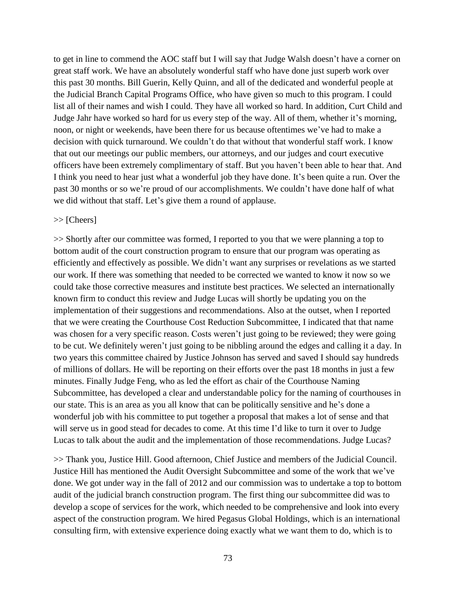to get in line to commend the AOC staff but I will say that Judge Walsh doesn't have a corner on great staff work. We have an absolutely wonderful staff who have done just superb work over this past 30 months. Bill Guerin, Kelly Quinn, and all of the dedicated and wonderful people at the Judicial Branch Capital Programs Office, who have given so much to this program. I could list all of their names and wish I could. They have all worked so hard. In addition, Curt Child and Judge Jahr have worked so hard for us every step of the way. All of them, whether it's morning, noon, or night or weekends, have been there for us because oftentimes we've had to make a decision with quick turnaround. We couldn't do that without that wonderful staff work. I know that out our meetings our public members, our attorneys, and our judges and court executive officers have been extremely complimentary of staff. But you haven't been able to hear that. And I think you need to hear just what a wonderful job they have done. It's been quite a run. Over the past 30 months or so we're proud of our accomplishments. We couldn't have done half of what we did without that staff. Let's give them a round of applause.

### >> [Cheers]

>> Shortly after our committee was formed, I reported to you that we were planning a top to bottom audit of the court construction program to ensure that our program was operating as efficiently and effectively as possible. We didn't want any surprises or revelations as we started our work. If there was something that needed to be corrected we wanted to know it now so we could take those corrective measures and institute best practices. We selected an internationally known firm to conduct this review and Judge Lucas will shortly be updating you on the implementation of their suggestions and recommendations. Also at the outset, when I reported that we were creating the Courthouse Cost Reduction Subcommittee, I indicated that that name was chosen for a very specific reason. Costs weren't just going to be reviewed; they were going to be cut. We definitely weren't just going to be nibbling around the edges and calling it a day. In two years this committee chaired by Justice Johnson has served and saved I should say hundreds of millions of dollars. He will be reporting on their efforts over the past 18 months in just a few minutes. Finally Judge Feng, who as led the effort as chair of the Courthouse Naming Subcommittee, has developed a clear and understandable policy for the naming of courthouses in our state. This is an area as you all know that can be politically sensitive and he's done a wonderful job with his committee to put together a proposal that makes a lot of sense and that will serve us in good stead for decades to come. At this time I'd like to turn it over to Judge Lucas to talk about the audit and the implementation of those recommendations. Judge Lucas?

>> Thank you, Justice Hill. Good afternoon, Chief Justice and members of the Judicial Council. Justice Hill has mentioned the Audit Oversight Subcommittee and some of the work that we've done. We got under way in the fall of 2012 and our commission was to undertake a top to bottom audit of the judicial branch construction program. The first thing our subcommittee did was to develop a scope of services for the work, which needed to be comprehensive and look into every aspect of the construction program. We hired Pegasus Global Holdings, which is an international consulting firm, with extensive experience doing exactly what we want them to do, which is to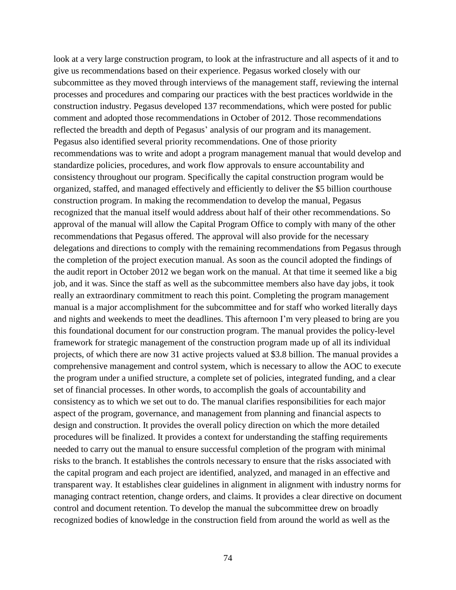look at a very large construction program, to look at the infrastructure and all aspects of it and to give us recommendations based on their experience. Pegasus worked closely with our subcommittee as they moved through interviews of the management staff, reviewing the internal processes and procedures and comparing our practices with the best practices worldwide in the construction industry. Pegasus developed 137 recommendations, which were posted for public comment and adopted those recommendations in October of 2012. Those recommendations reflected the breadth and depth of Pegasus' analysis of our program and its management. Pegasus also identified several priority recommendations. One of those priority recommendations was to write and adopt a program management manual that would develop and standardize policies, procedures, and work flow approvals to ensure accountability and consistency throughout our program. Specifically the capital construction program would be organized, staffed, and managed effectively and efficiently to deliver the \$5 billion courthouse construction program. In making the recommendation to develop the manual, Pegasus recognized that the manual itself would address about half of their other recommendations. So approval of the manual will allow the Capital Program Office to comply with many of the other recommendations that Pegasus offered. The approval will also provide for the necessary delegations and directions to comply with the remaining recommendations from Pegasus through the completion of the project execution manual. As soon as the council adopted the findings of the audit report in October 2012 we began work on the manual. At that time it seemed like a big job, and it was. Since the staff as well as the subcommittee members also have day jobs, it took really an extraordinary commitment to reach this point. Completing the program management manual is a major accomplishment for the subcommittee and for staff who worked literally days and nights and weekends to meet the deadlines. This afternoon I'm very pleased to bring are you this foundational document for our construction program. The manual provides the policy-level framework for strategic management of the construction program made up of all its individual projects, of which there are now 31 active projects valued at \$3.8 billion. The manual provides a comprehensive management and control system, which is necessary to allow the AOC to execute the program under a unified structure, a complete set of policies, integrated funding, and a clear set of financial processes. In other words, to accomplish the goals of accountability and consistency as to which we set out to do. The manual clarifies responsibilities for each major aspect of the program, governance, and management from planning and financial aspects to design and construction. It provides the overall policy direction on which the more detailed procedures will be finalized. It provides a context for understanding the staffing requirements needed to carry out the manual to ensure successful completion of the program with minimal risks to the branch. It establishes the controls necessary to ensure that the risks associated with the capital program and each project are identified, analyzed, and managed in an effective and transparent way. It establishes clear guidelines in alignment in alignment with industry norms for managing contract retention, change orders, and claims. It provides a clear directive on document control and document retention. To develop the manual the subcommittee drew on broadly recognized bodies of knowledge in the construction field from around the world as well as the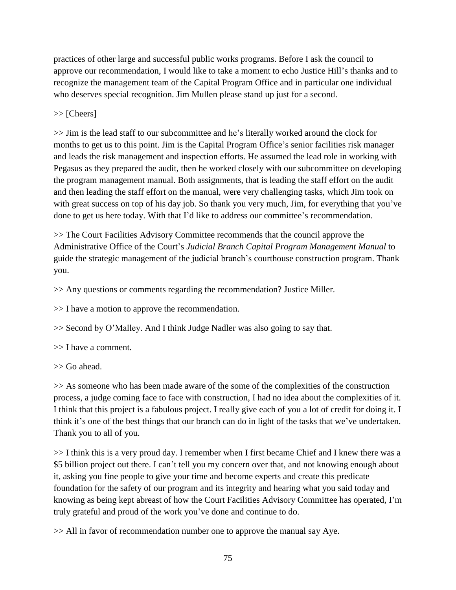practices of other large and successful public works programs. Before I ask the council to approve our recommendation, I would like to take a moment to echo Justice Hill's thanks and to recognize the management team of the Capital Program Office and in particular one individual who deserves special recognition. Jim Mullen please stand up just for a second.

# >> [Cheers]

>> Jim is the lead staff to our subcommittee and he's literally worked around the clock for months to get us to this point. Jim is the Capital Program Office's senior facilities risk manager and leads the risk management and inspection efforts. He assumed the lead role in working with Pegasus as they prepared the audit, then he worked closely with our subcommittee on developing the program management manual. Both assignments, that is leading the staff effort on the audit and then leading the staff effort on the manual, were very challenging tasks, which Jim took on with great success on top of his day job. So thank you very much, Jim, for everything that you've done to get us here today. With that I'd like to address our committee's recommendation.

>> The Court Facilities Advisory Committee recommends that the council approve the Administrative Office of the Court's *Judicial Branch Capital Program Management Manual* to guide the strategic management of the judicial branch's courthouse construction program. Thank you.

>> Any questions or comments regarding the recommendation? Justice Miller.

>> I have a motion to approve the recommendation.

>> Second by O'Malley. And I think Judge Nadler was also going to say that.

>> I have a comment.

>> Go ahead.

>> As someone who has been made aware of the some of the complexities of the construction process, a judge coming face to face with construction, I had no idea about the complexities of it. I think that this project is a fabulous project. I really give each of you a lot of credit for doing it. I think it's one of the best things that our branch can do in light of the tasks that we've undertaken. Thank you to all of you.

>> I think this is a very proud day. I remember when I first became Chief and I knew there was a \$5 billion project out there. I can't tell you my concern over that, and not knowing enough about it, asking you fine people to give your time and become experts and create this predicate foundation for the safety of our program and its integrity and hearing what you said today and knowing as being kept abreast of how the Court Facilities Advisory Committee has operated, I'm truly grateful and proud of the work you've done and continue to do.

>> All in favor of recommendation number one to approve the manual say Aye.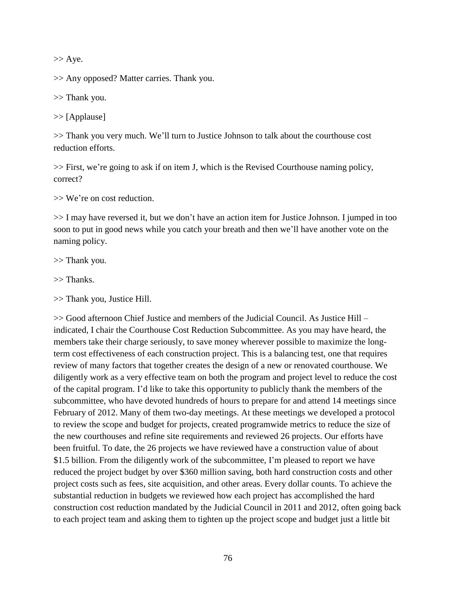$>>$  Aye.

>> Any opposed? Matter carries. Thank you.

>> Thank you.

>> [Applause]

>> Thank you very much. We'll turn to Justice Johnson to talk about the courthouse cost reduction efforts.

>> First, we're going to ask if on item J, which is the Revised Courthouse naming policy, correct?

>> We're on cost reduction.

>> I may have reversed it, but we don't have an action item for Justice Johnson. I jumped in too soon to put in good news while you catch your breath and then we'll have another vote on the naming policy.

>> Thank you.

>> Thanks.

>> Thank you, Justice Hill.

>> Good afternoon Chief Justice and members of the Judicial Council. As Justice Hill – indicated, I chair the Courthouse Cost Reduction Subcommittee. As you may have heard, the members take their charge seriously, to save money wherever possible to maximize the longterm cost effectiveness of each construction project. This is a balancing test, one that requires review of many factors that together creates the design of a new or renovated courthouse. We diligently work as a very effective team on both the program and project level to reduce the cost of the capital program. I'd like to take this opportunity to publicly thank the members of the subcommittee, who have devoted hundreds of hours to prepare for and attend 14 meetings since February of 2012. Many of them two-day meetings. At these meetings we developed a protocol to review the scope and budget for projects, created programwide metrics to reduce the size of the new courthouses and refine site requirements and reviewed 26 projects. Our efforts have been fruitful. To date, the 26 projects we have reviewed have a construction value of about \$1.5 billion. From the diligently work of the subcommittee, I'm pleased to report we have reduced the project budget by over \$360 million saving, both hard construction costs and other project costs such as fees, site acquisition, and other areas. Every dollar counts. To achieve the substantial reduction in budgets we reviewed how each project has accomplished the hard construction cost reduction mandated by the Judicial Council in 2011 and 2012, often going back to each project team and asking them to tighten up the project scope and budget just a little bit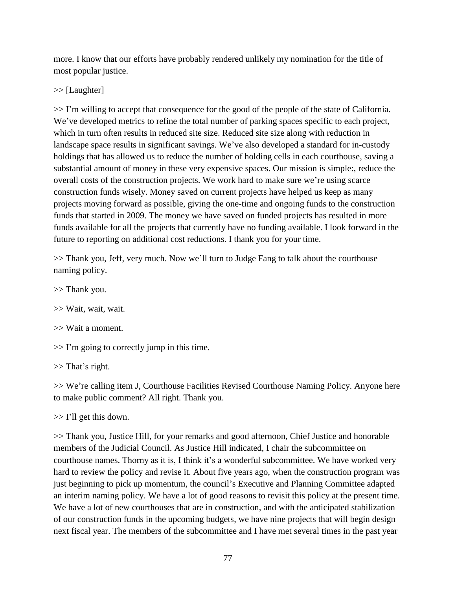more. I know that our efforts have probably rendered unlikely my nomination for the title of most popular justice.

>> [Laughter]

>> I'm willing to accept that consequence for the good of the people of the state of California. We've developed metrics to refine the total number of parking spaces specific to each project, which in turn often results in reduced site size. Reduced site size along with reduction in landscape space results in significant savings. We've also developed a standard for in-custody holdings that has allowed us to reduce the number of holding cells in each courthouse, saving a substantial amount of money in these very expensive spaces. Our mission is simple:, reduce the overall costs of the construction projects. We work hard to make sure we're using scarce construction funds wisely. Money saved on current projects have helped us keep as many projects moving forward as possible, giving the one-time and ongoing funds to the construction funds that started in 2009. The money we have saved on funded projects has resulted in more funds available for all the projects that currently have no funding available. I look forward in the future to reporting on additional cost reductions. I thank you for your time.

>> Thank you, Jeff, very much. Now we'll turn to Judge Fang to talk about the courthouse naming policy.

>> Thank you.

>> Wait, wait, wait.

>> Wait a moment.

 $\gg$  I'm going to correctly jump in this time.

>> That's right.

>> We're calling item J, Courthouse Facilities Revised Courthouse Naming Policy. Anyone here to make public comment? All right. Thank you.

>> I'll get this down.

>> Thank you, Justice Hill, for your remarks and good afternoon, Chief Justice and honorable members of the Judicial Council. As Justice Hill indicated, I chair the subcommittee on courthouse names. Thorny as it is, I think it's a wonderful subcommittee. We have worked very hard to review the policy and revise it. About five years ago, when the construction program was just beginning to pick up momentum, the council's Executive and Planning Committee adapted an interim naming policy. We have a lot of good reasons to revisit this policy at the present time. We have a lot of new courthouses that are in construction, and with the anticipated stabilization of our construction funds in the upcoming budgets, we have nine projects that will begin design next fiscal year. The members of the subcommittee and I have met several times in the past year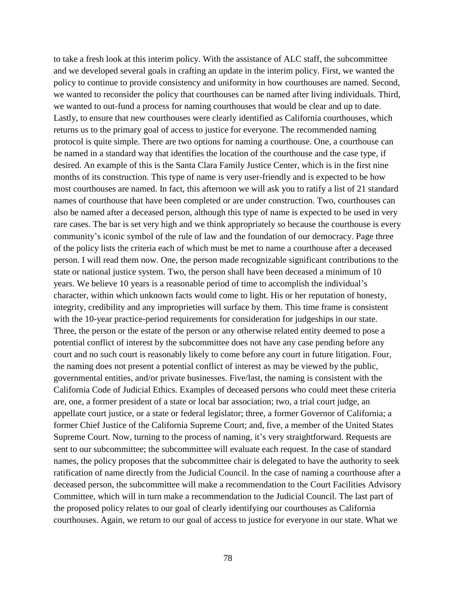to take a fresh look at this interim policy. With the assistance of ALC staff, the subcommittee and we developed several goals in crafting an update in the interim policy. First, we wanted the policy to continue to provide consistency and uniformity in how courthouses are named. Second, we wanted to reconsider the policy that courthouses can be named after living individuals. Third, we wanted to out-fund a process for naming courthouses that would be clear and up to date. Lastly, to ensure that new courthouses were clearly identified as California courthouses, which returns us to the primary goal of access to justice for everyone. The recommended naming protocol is quite simple. There are two options for naming a courthouse. One, a courthouse can be named in a standard way that identifies the location of the courthouse and the case type, if desired. An example of this is the Santa Clara Family Justice Center, which is in the first nine months of its construction. This type of name is very user-friendly and is expected to be how most courthouses are named. In fact, this afternoon we will ask you to ratify a list of 21 standard names of courthouse that have been completed or are under construction. Two, courthouses can also be named after a deceased person, although this type of name is expected to be used in very rare cases. The bar is set very high and we think appropriately so because the courthouse is every community's iconic symbol of the rule of law and the foundation of our democracy. Page three of the policy lists the criteria each of which must be met to name a courthouse after a deceased person. I will read them now. One, the person made recognizable significant contributions to the state or national justice system. Two, the person shall have been deceased a minimum of 10 years. We believe 10 years is a reasonable period of time to accomplish the individual's character, within which unknown facts would come to light. His or her reputation of honesty, integrity, credibility and any improprieties will surface by them. This time frame is consistent with the 10-year practice-period requirements for consideration for judgeships in our state. Three, the person or the estate of the person or any otherwise related entity deemed to pose a potential conflict of interest by the subcommittee does not have any case pending before any court and no such court is reasonably likely to come before any court in future litigation. Four, the naming does not present a potential conflict of interest as may be viewed by the public, governmental entities, and/or private businesses. Five/last, the naming is consistent with the California Code of Judicial Ethics. Examples of deceased persons who could meet these criteria are, one, a former president of a state or local bar association; two, a trial court judge, an appellate court justice, or a state or federal legislator; three, a former Governor of California; a former Chief Justice of the California Supreme Court; and, five, a member of the United States Supreme Court. Now, turning to the process of naming, it's very straightforward. Requests are sent to our subcommittee; the subcommittee will evaluate each request. In the case of standard names, the policy proposes that the subcommittee chair is delegated to have the authority to seek ratification of name directly from the Judicial Council. In the case of naming a courthouse after a deceased person, the subcommittee will make a recommendation to the Court Facilities Advisory Committee, which will in turn make a recommendation to the Judicial Council. The last part of the proposed policy relates to our goal of clearly identifying our courthouses as California courthouses. Again, we return to our goal of access to justice for everyone in our state. What we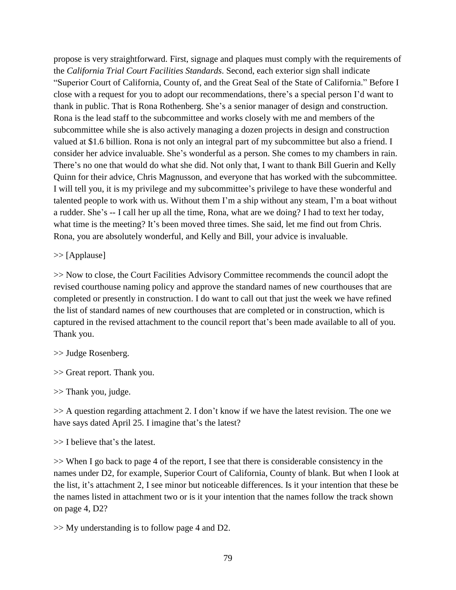propose is very straightforward. First, signage and plaques must comply with the requirements of the *California Trial Court Facilities Standards*. Second, each exterior sign shall indicate "Superior Court of California, County of, and the Great Seal of the State of California." Before I close with a request for you to adopt our recommendations, there's a special person I'd want to thank in public. That is Rona Rothenberg. She's a senior manager of design and construction. Rona is the lead staff to the subcommittee and works closely with me and members of the subcommittee while she is also actively managing a dozen projects in design and construction valued at \$1.6 billion. Rona is not only an integral part of my subcommittee but also a friend. I consider her advice invaluable. She's wonderful as a person. She comes to my chambers in rain. There's no one that would do what she did. Not only that, I want to thank Bill Guerin and Kelly Quinn for their advice, Chris Magnusson, and everyone that has worked with the subcommittee. I will tell you, it is my privilege and my subcommittee's privilege to have these wonderful and talented people to work with us. Without them I'm a ship without any steam, I'm a boat without a rudder. She's -- I call her up all the time, Rona, what are we doing? I had to text her today, what time is the meeting? It's been moved three times. She said, let me find out from Chris. Rona, you are absolutely wonderful, and Kelly and Bill, your advice is invaluable.

>> [Applause]

>> Now to close, the Court Facilities Advisory Committee recommends the council adopt the revised courthouse naming policy and approve the standard names of new courthouses that are completed or presently in construction. I do want to call out that just the week we have refined the list of standard names of new courthouses that are completed or in construction, which is captured in the revised attachment to the council report that's been made available to all of you. Thank you.

>> Judge Rosenberg.

>> Great report. Thank you.

>> Thank you, judge.

>> A question regarding attachment 2. I don't know if we have the latest revision. The one we have says dated April 25. I imagine that's the latest?

>> I believe that's the latest.

>> When I go back to page 4 of the report, I see that there is considerable consistency in the names under D2, for example, Superior Court of California, County of blank. But when I look at the list, it's attachment 2, I see minor but noticeable differences. Is it your intention that these be the names listed in attachment two or is it your intention that the names follow the track shown on page 4, D2?

>> My understanding is to follow page 4 and D2.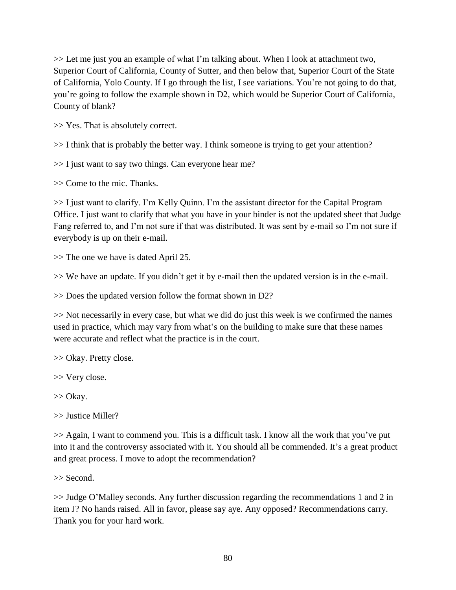>> Let me just you an example of what I'm talking about. When I look at attachment two, Superior Court of California, County of Sutter, and then below that, Superior Court of the State of California, Yolo County. If I go through the list, I see variations. You're not going to do that, you're going to follow the example shown in D2, which would be Superior Court of California, County of blank?

>> Yes. That is absolutely correct.

>> I think that is probably the better way. I think someone is trying to get your attention?

>> I just want to say two things. Can everyone hear me?

>> Come to the mic. Thanks.

>> I just want to clarify. I'm Kelly Quinn. I'm the assistant director for the Capital Program Office. I just want to clarify that what you have in your binder is not the updated sheet that Judge Fang referred to, and I'm not sure if that was distributed. It was sent by e-mail so I'm not sure if everybody is up on their e-mail.

>> The one we have is dated April 25.

>> We have an update. If you didn't get it by e-mail then the updated version is in the e-mail.

>> Does the updated version follow the format shown in D2?

>> Not necessarily in every case, but what we did do just this week is we confirmed the names used in practice, which may vary from what's on the building to make sure that these names were accurate and reflect what the practice is in the court.

>> Okay. Pretty close.

>> Very close.

>> Okay.

>> Justice Miller?

>> Again, I want to commend you. This is a difficult task. I know all the work that you've put into it and the controversy associated with it. You should all be commended. It's a great product and great process. I move to adopt the recommendation?

>> Second.

>> Judge O'Malley seconds. Any further discussion regarding the recommendations 1 and 2 in item J? No hands raised. All in favor, please say aye. Any opposed? Recommendations carry. Thank you for your hard work.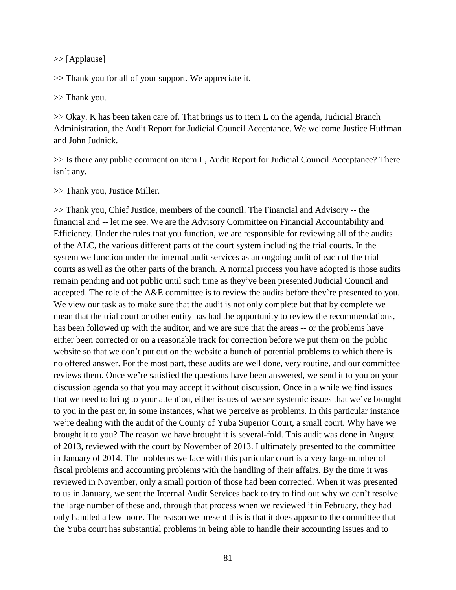>> [Applause]

>> Thank you for all of your support. We appreciate it.

>> Thank you.

>> Okay. K has been taken care of. That brings us to item L on the agenda, Judicial Branch Administration, the Audit Report for Judicial Council Acceptance. We welcome Justice Huffman and John Judnick.

>> Is there any public comment on item L, Audit Report for Judicial Council Acceptance? There isn't any.

>> Thank you, Justice Miller.

>> Thank you, Chief Justice, members of the council. The Financial and Advisory -- the financial and -- let me see. We are the Advisory Committee on Financial Accountability and Efficiency. Under the rules that you function, we are responsible for reviewing all of the audits of the ALC, the various different parts of the court system including the trial courts. In the system we function under the internal audit services as an ongoing audit of each of the trial courts as well as the other parts of the branch. A normal process you have adopted is those audits remain pending and not public until such time as they've been presented Judicial Council and accepted. The role of the A&E committee is to review the audits before they're presented to you. We view our task as to make sure that the audit is not only complete but that by complete we mean that the trial court or other entity has had the opportunity to review the recommendations, has been followed up with the auditor, and we are sure that the areas -- or the problems have either been corrected or on a reasonable track for correction before we put them on the public website so that we don't put out on the website a bunch of potential problems to which there is no offered answer. For the most part, these audits are well done, very routine, and our committee reviews them. Once we're satisfied the questions have been answered, we send it to you on your discussion agenda so that you may accept it without discussion. Once in a while we find issues that we need to bring to your attention, either issues of we see systemic issues that we've brought to you in the past or, in some instances, what we perceive as problems. In this particular instance we're dealing with the audit of the County of Yuba Superior Court, a small court. Why have we brought it to you? The reason we have brought it is several-fold. This audit was done in August of 2013, reviewed with the court by November of 2013. I ultimately presented to the committee in January of 2014. The problems we face with this particular court is a very large number of fiscal problems and accounting problems with the handling of their affairs. By the time it was reviewed in November, only a small portion of those had been corrected. When it was presented to us in January, we sent the Internal Audit Services back to try to find out why we can't resolve the large number of these and, through that process when we reviewed it in February, they had only handled a few more. The reason we present this is that it does appear to the committee that the Yuba court has substantial problems in being able to handle their accounting issues and to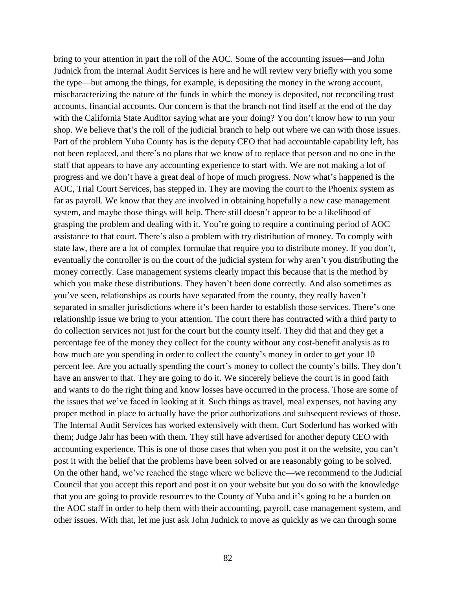bring to your attention in part the roll of the AOC. Some of the accounting issues—and John Judnick from the Internal Audit Services is here and he will review very briefly with you some the type—but among the things, for example, is depositing the money in the wrong account, mischaracterizing the nature of the funds in which the money is deposited, not reconciling trust accounts, financial accounts. Our concern is that the branch not find itself at the end of the day with the California State Auditor saying what are your doing? You don't know how to run your shop. We believe that's the roll of the judicial branch to help out where we can with those issues. Part of the problem Yuba County has is the deputy CEO that had accountable capability left, has not been replaced, and there's no plans that we know of to replace that person and no one in the staff that appears to have any accounting experience to start with. We are not making a lot of progress and we don't have a great deal of hope of much progress. Now what's happened is the AOC, Trial Court Services, has stepped in. They are moving the court to the Phoenix system as far as payroll. We know that they are involved in obtaining hopefully a new case management system, and maybe those things will help. There still doesn't appear to be a likelihood of grasping the problem and dealing with it. You're going to require a continuing period of AOC assistance to that court. There's also a problem with try distribution of money. To comply with state law, there are a lot of complex formulae that require you to distribute money. If you don't, eventually the controller is on the court of the judicial system for why aren't you distributing the money correctly. Case management systems clearly impact this because that is the method by which you make these distributions. They haven't been done correctly. And also sometimes as you've seen, relationships as courts have separated from the county, they really haven't separated in smaller jurisdictions where it's been harder to establish those services. There's one relationship issue we bring to your attention. The court there has contracted with a third party to do collection services not just for the court but the county itself. They did that and they get a percentage fee of the money they collect for the county without any cost-benefit analysis as to how much are you spending in order to collect the county's money in order to get your 10 percent fee. Are you actually spending the court's money to collect the county's bills. They don't have an answer to that. They are going to do it. We sincerely believe the court is in good faith and wants to do the right thing and know losses have occurred in the process. Those are some of the issues that we've faced in looking at it. Such things as travel, meal expenses, not having any proper method in place to actually have the prior authorizations and subsequent reviews of those. The Internal Audit Services has worked extensively with them. Curt Soderlund has worked with them; Judge Jahr has been with them. They still have advertised for another deputy CEO with accounting experience. This is one of those cases that when you post it on the website, you can't post it with the belief that the problems have been solved or are reasonably going to be solved. On the other hand, we've reached the stage where we believe the—we recommend to the Judicial Council that you accept this report and post it on your website but you do so with the knowledge that you are going to provide resources to the County of Yuba and it's going to be a burden on the AOC staff in order to help them with their accounting, payroll, case management system, and other issues. With that, let me just ask John Judnick to move as quickly as we can through some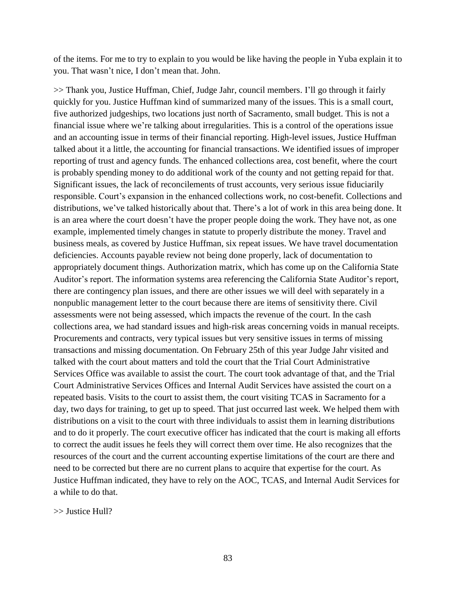of the items. For me to try to explain to you would be like having the people in Yuba explain it to you. That wasn't nice, I don't mean that. John.

>> Thank you, Justice Huffman, Chief, Judge Jahr, council members. I'll go through it fairly quickly for you. Justice Huffman kind of summarized many of the issues. This is a small court, five authorized judgeships, two locations just north of Sacramento, small budget. This is not a financial issue where we're talking about irregularities. This is a control of the operations issue and an accounting issue in terms of their financial reporting. High-level issues, Justice Huffman talked about it a little, the accounting for financial transactions. We identified issues of improper reporting of trust and agency funds. The enhanced collections area, cost benefit, where the court is probably spending money to do additional work of the county and not getting repaid for that. Significant issues, the lack of reconcilements of trust accounts, very serious issue fiduciarily responsible. Court's expansion in the enhanced collections work, no cost-benefit. Collections and distributions, we've talked historically about that. There's a lot of work in this area being done. It is an area where the court doesn't have the proper people doing the work. They have not, as one example, implemented timely changes in statute to properly distribute the money. Travel and business meals, as covered by Justice Huffman, six repeat issues. We have travel documentation deficiencies. Accounts payable review not being done properly, lack of documentation to appropriately document things. Authorization matrix, which has come up on the California State Auditor's report. The information systems area referencing the California State Auditor's report, there are contingency plan issues, and there are other issues we will deel with separately in a nonpublic management letter to the court because there are items of sensitivity there. Civil assessments were not being assessed, which impacts the revenue of the court. In the cash collections area, we had standard issues and high-risk areas concerning voids in manual receipts. Procurements and contracts, very typical issues but very sensitive issues in terms of missing transactions and missing documentation. On February 25th of this year Judge Jahr visited and talked with the court about matters and told the court that the Trial Court Administrative Services Office was available to assist the court. The court took advantage of that, and the Trial Court Administrative Services Offices and Internal Audit Services have assisted the court on a repeated basis. Visits to the court to assist them, the court visiting TCAS in Sacramento for a day, two days for training, to get up to speed. That just occurred last week. We helped them with distributions on a visit to the court with three individuals to assist them in learning distributions and to do it properly. The court executive officer has indicated that the court is making all efforts to correct the audit issues he feels they will correct them over time. He also recognizes that the resources of the court and the current accounting expertise limitations of the court are there and need to be corrected but there are no current plans to acquire that expertise for the court. As Justice Huffman indicated, they have to rely on the AOC, TCAS, and Internal Audit Services for a while to do that.

>> Justice Hull?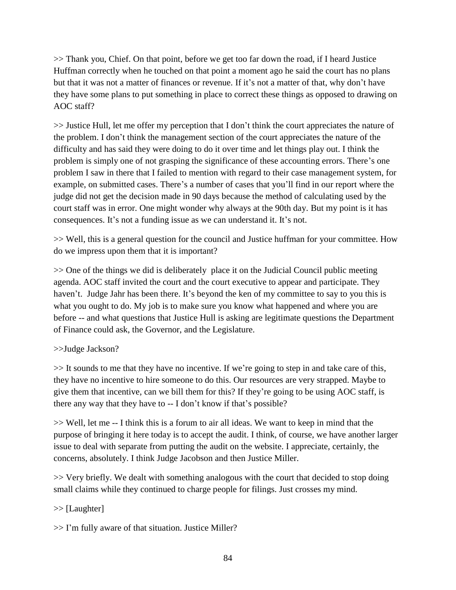>> Thank you, Chief. On that point, before we get too far down the road, if I heard Justice Huffman correctly when he touched on that point a moment ago he said the court has no plans but that it was not a matter of finances or revenue. If it's not a matter of that, why don't have they have some plans to put something in place to correct these things as opposed to drawing on AOC staff?

>> Justice Hull, let me offer my perception that I don't think the court appreciates the nature of the problem. I don't think the management section of the court appreciates the nature of the difficulty and has said they were doing to do it over time and let things play out. I think the problem is simply one of not grasping the significance of these accounting errors. There's one problem I saw in there that I failed to mention with regard to their case management system, for example, on submitted cases. There's a number of cases that you'll find in our report where the judge did not get the decision made in 90 days because the method of calculating used by the court staff was in error. One might wonder why always at the 90th day. But my point is it has consequences. It's not a funding issue as we can understand it. It's not.

>> Well, this is a general question for the council and Justice huffman for your committee. How do we impress upon them that it is important?

>> One of the things we did is deliberately place it on the Judicial Council public meeting agenda. AOC staff invited the court and the court executive to appear and participate. They haven't. Judge Jahr has been there. It's beyond the ken of my committee to say to you this is what you ought to do. My job is to make sure you know what happened and where you are before -- and what questions that Justice Hull is asking are legitimate questions the Department of Finance could ask, the Governor, and the Legislature.

## >>Judge Jackson?

>> It sounds to me that they have no incentive. If we're going to step in and take care of this, they have no incentive to hire someone to do this. Our resources are very strapped. Maybe to give them that incentive, can we bill them for this? If they're going to be using AOC staff, is there any way that they have to -- I don't know if that's possible?

>> Well, let me -- I think this is a forum to air all ideas. We want to keep in mind that the purpose of bringing it here today is to accept the audit. I think, of course, we have another larger issue to deal with separate from putting the audit on the website. I appreciate, certainly, the concerns, absolutely. I think Judge Jacobson and then Justice Miller.

>> Very briefly. We dealt with something analogous with the court that decided to stop doing small claims while they continued to charge people for filings. Just crosses my mind.

# >> [Laughter]

>> I'm fully aware of that situation. Justice Miller?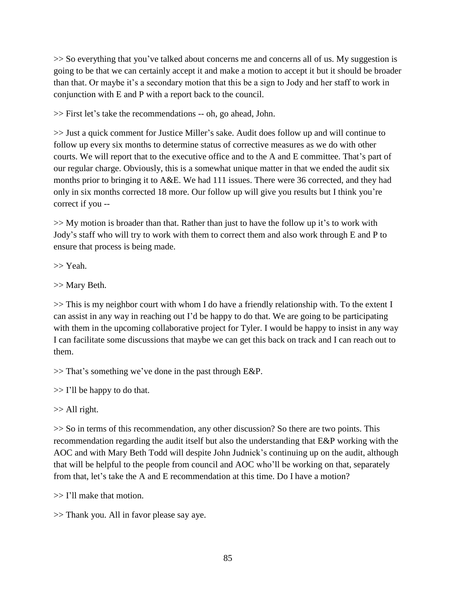>> So everything that you've talked about concerns me and concerns all of us. My suggestion is going to be that we can certainly accept it and make a motion to accept it but it should be broader than that. Or maybe it's a secondary motion that this be a sign to Jody and her staff to work in conjunction with E and P with a report back to the council.

>> First let's take the recommendations -- oh, go ahead, John.

>> Just a quick comment for Justice Miller's sake. Audit does follow up and will continue to follow up every six months to determine status of corrective measures as we do with other courts. We will report that to the executive office and to the A and E committee. That's part of our regular charge. Obviously, this is a somewhat unique matter in that we ended the audit six months prior to bringing it to A&E. We had 111 issues. There were 36 corrected, and they had only in six months corrected 18 more. Our follow up will give you results but I think you're correct if you --

>> My motion is broader than that. Rather than just to have the follow up it's to work with Jody's staff who will try to work with them to correct them and also work through E and P to ensure that process is being made.

>> Yeah.

>> Mary Beth.

>> This is my neighbor court with whom I do have a friendly relationship with. To the extent I can assist in any way in reaching out I'd be happy to do that. We are going to be participating with them in the upcoming collaborative project for Tyler. I would be happy to insist in any way I can facilitate some discussions that maybe we can get this back on track and I can reach out to them.

>> That's something we've done in the past through E&P.

 $\gg$  I'll be happy to do that.

>> All right.

>> So in terms of this recommendation, any other discussion? So there are two points. This recommendation regarding the audit itself but also the understanding that E&P working with the AOC and with Mary Beth Todd will despite John Judnick's continuing up on the audit, although that will be helpful to the people from council and AOC who'll be working on that, separately from that, let's take the A and E recommendation at this time. Do I have a motion?

>> I'll make that motion.

>> Thank you. All in favor please say aye.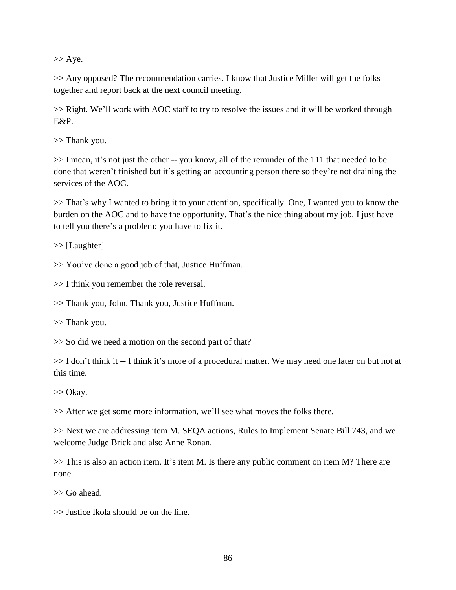$>>$  Aye.

>> Any opposed? The recommendation carries. I know that Justice Miller will get the folks together and report back at the next council meeting.

>> Right. We'll work with AOC staff to try to resolve the issues and it will be worked through E&P.

>> Thank you.

>> I mean, it's not just the other -- you know, all of the reminder of the 111 that needed to be done that weren't finished but it's getting an accounting person there so they're not draining the services of the AOC.

>> That's why I wanted to bring it to your attention, specifically. One, I wanted you to know the burden on the AOC and to have the opportunity. That's the nice thing about my job. I just have to tell you there's a problem; you have to fix it.

>> [Laughter]

>> You've done a good job of that, Justice Huffman.

>> I think you remember the role reversal.

>> Thank you, John. Thank you, Justice Huffman.

>> Thank you.

>> So did we need a motion on the second part of that?

>> I don't think it -- I think it's more of a procedural matter. We may need one later on but not at this time.

>> Okay.

>> After we get some more information, we'll see what moves the folks there.

>> Next we are addressing item M. SEQA actions, Rules to Implement Senate Bill 743, and we welcome Judge Brick and also Anne Ronan.

>> This is also an action item. It's item M. Is there any public comment on item M? There are none.

>> Go ahead.

>> Justice Ikola should be on the line.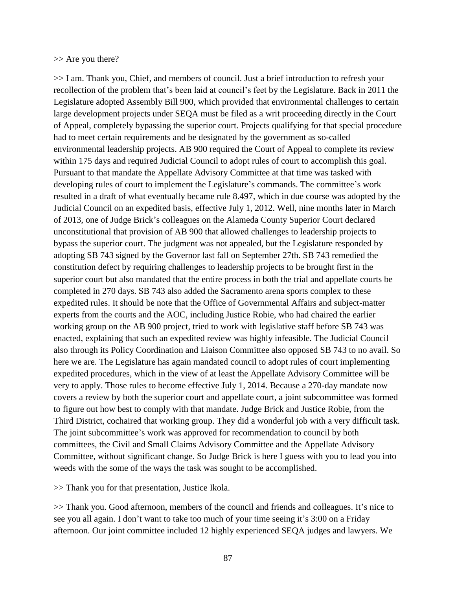#### >> Are you there?

>> I am. Thank you, Chief, and members of council. Just a brief introduction to refresh your recollection of the problem that's been laid at council's feet by the Legislature. Back in 2011 the Legislature adopted Assembly Bill 900, which provided that environmental challenges to certain large development projects under SEQA must be filed as a writ proceeding directly in the Court of Appeal, completely bypassing the superior court. Projects qualifying for that special procedure had to meet certain requirements and be designated by the government as so-called environmental leadership projects. AB 900 required the Court of Appeal to complete its review within 175 days and required Judicial Council to adopt rules of court to accomplish this goal. Pursuant to that mandate the Appellate Advisory Committee at that time was tasked with developing rules of court to implement the Legislature's commands. The committee's work resulted in a draft of what eventually became rule 8.497, which in due course was adopted by the Judicial Council on an expedited basis, effective July 1, 2012. Well, nine months later in March of 2013, one of Judge Brick's colleagues on the Alameda County Superior Court declared unconstitutional that provision of AB 900 that allowed challenges to leadership projects to bypass the superior court. The judgment was not appealed, but the Legislature responded by adopting SB 743 signed by the Governor last fall on September 27th. SB 743 remedied the constitution defect by requiring challenges to leadership projects to be brought first in the superior court but also mandated that the entire process in both the trial and appellate courts be completed in 270 days. SB 743 also added the Sacramento arena sports complex to these expedited rules. It should be note that the Office of Governmental Affairs and subject-matter experts from the courts and the AOC, including Justice Robie, who had chaired the earlier working group on the AB 900 project, tried to work with legislative staff before SB 743 was enacted, explaining that such an expedited review was highly infeasible. The Judicial Council also through its Policy Coordination and Liaison Committee also opposed SB 743 to no avail. So here we are. The Legislature has again mandated council to adopt rules of court implementing expedited procedures, which in the view of at least the Appellate Advisory Committee will be very to apply. Those rules to become effective July 1, 2014. Because a 270-day mandate now covers a review by both the superior court and appellate court, a joint subcommittee was formed to figure out how best to comply with that mandate. Judge Brick and Justice Robie, from the Third District, cochaired that working group. They did a wonderful job with a very difficult task. The joint subcommittee's work was approved for recommendation to council by both committees, the Civil and Small Claims Advisory Committee and the Appellate Advisory Committee, without significant change. So Judge Brick is here I guess with you to lead you into weeds with the some of the ways the task was sought to be accomplished.

>> Thank you for that presentation, Justice Ikola.

>> Thank you. Good afternoon, members of the council and friends and colleagues. It's nice to see you all again. I don't want to take too much of your time seeing it's 3:00 on a Friday afternoon. Our joint committee included 12 highly experienced SEQA judges and lawyers. We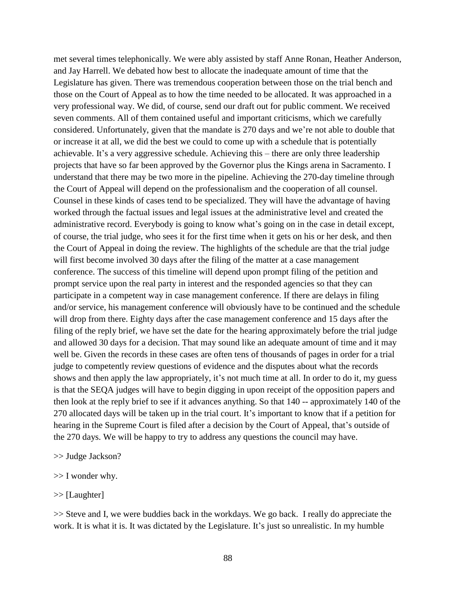met several times telephonically. We were ably assisted by staff Anne Ronan, Heather Anderson, and Jay Harrell. We debated how best to allocate the inadequate amount of time that the Legislature has given. There was tremendous cooperation between those on the trial bench and those on the Court of Appeal as to how the time needed to be allocated. It was approached in a very professional way. We did, of course, send our draft out for public comment. We received seven comments. All of them contained useful and important criticisms, which we carefully considered. Unfortunately, given that the mandate is 270 days and we're not able to double that or increase it at all, we did the best we could to come up with a schedule that is potentially achievable. It's a very aggressive schedule. Achieving this – there are only three leadership projects that have so far been approved by the Governor plus the Kings arena in Sacramento. I understand that there may be two more in the pipeline. Achieving the 270-day timeline through the Court of Appeal will depend on the professionalism and the cooperation of all counsel. Counsel in these kinds of cases tend to be specialized. They will have the advantage of having worked through the factual issues and legal issues at the administrative level and created the administrative record. Everybody is going to know what's going on in the case in detail except, of course, the trial judge, who sees it for the first time when it gets on his or her desk, and then the Court of Appeal in doing the review. The highlights of the schedule are that the trial judge will first become involved 30 days after the filing of the matter at a case management conference. The success of this timeline will depend upon prompt filing of the petition and prompt service upon the real party in interest and the responded agencies so that they can participate in a competent way in case management conference. If there are delays in filing and/or service, his management conference will obviously have to be continued and the schedule will drop from there. Eighty days after the case management conference and 15 days after the filing of the reply brief, we have set the date for the hearing approximately before the trial judge and allowed 30 days for a decision. That may sound like an adequate amount of time and it may well be. Given the records in these cases are often tens of thousands of pages in order for a trial judge to competently review questions of evidence and the disputes about what the records shows and then apply the law appropriately, it's not much time at all. In order to do it, my guess is that the SEQA judges will have to begin digging in upon receipt of the opposition papers and then look at the reply brief to see if it advances anything. So that 140 -- approximately 140 of the 270 allocated days will be taken up in the trial court. It's important to know that if a petition for hearing in the Supreme Court is filed after a decision by the Court of Appeal, that's outside of the 270 days. We will be happy to try to address any questions the council may have.

>> Judge Jackson?

- $>> I$  wonder why.
- >> [Laughter]

>> Steve and I, we were buddies back in the workdays. We go back. I really do appreciate the work. It is what it is. It was dictated by the Legislature. It's just so unrealistic. In my humble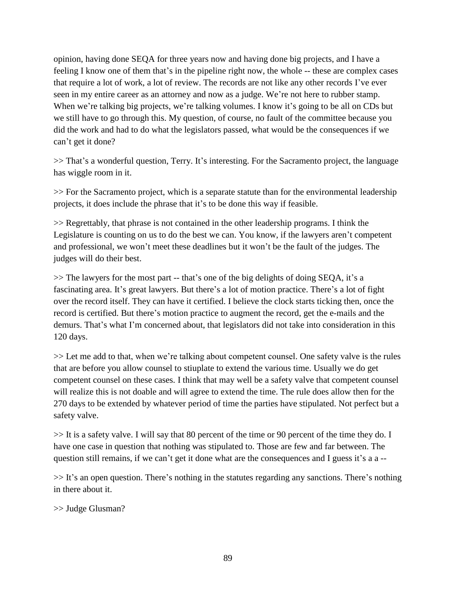opinion, having done SEQA for three years now and having done big projects, and I have a feeling I know one of them that's in the pipeline right now, the whole -- these are complex cases that require a lot of work, a lot of review. The records are not like any other records I've ever seen in my entire career as an attorney and now as a judge. We're not here to rubber stamp. When we're talking big projects, we're talking volumes. I know it's going to be all on CDs but we still have to go through this. My question, of course, no fault of the committee because you did the work and had to do what the legislators passed, what would be the consequences if we can't get it done?

>> That's a wonderful question, Terry. It's interesting. For the Sacramento project, the language has wiggle room in it.

>> For the Sacramento project, which is a separate statute than for the environmental leadership projects, it does include the phrase that it's to be done this way if feasible.

>> Regrettably, that phrase is not contained in the other leadership programs. I think the Legislature is counting on us to do the best we can. You know, if the lawyers aren't competent and professional, we won't meet these deadlines but it won't be the fault of the judges. The judges will do their best.

>> The lawyers for the most part -- that's one of the big delights of doing SEQA, it's a fascinating area. It's great lawyers. But there's a lot of motion practice. There's a lot of fight over the record itself. They can have it certified. I believe the clock starts ticking then, once the record is certified. But there's motion practice to augment the record, get the e-mails and the demurs. That's what I'm concerned about, that legislators did not take into consideration in this 120 days.

>> Let me add to that, when we're talking about competent counsel. One safety valve is the rules that are before you allow counsel to stiuplate to extend the various time. Usually we do get competent counsel on these cases. I think that may well be a safety valve that competent counsel will realize this is not doable and will agree to extend the time. The rule does allow then for the 270 days to be extended by whatever period of time the parties have stipulated. Not perfect but a safety valve.

>> It is a safety valve. I will say that 80 percent of the time or 90 percent of the time they do. I have one case in question that nothing was stipulated to. Those are few and far between. The question still remains, if we can't get it done what are the consequences and I guess it's a a --

 $\gg$  It's an open question. There's nothing in the statutes regarding any sanctions. There's nothing in there about it.

>> Judge Glusman?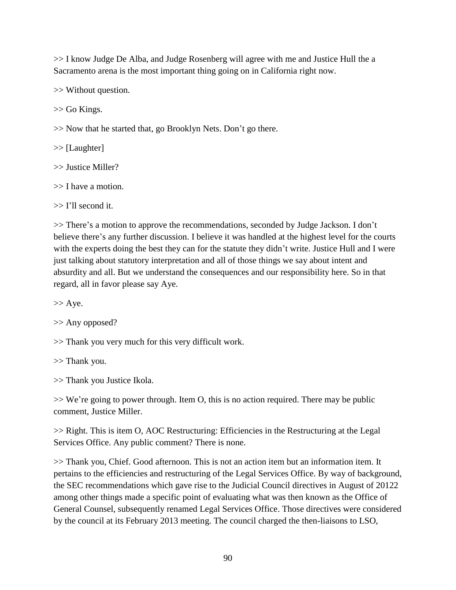>> I know Judge De Alba, and Judge Rosenberg will agree with me and Justice Hull the a Sacramento arena is the most important thing going on in California right now.

>> Without question.

>> Go Kings.

>> Now that he started that, go Brooklyn Nets. Don't go there.

>> [Laughter]

>> Justice Miller?

>> I have a motion.

>> I'll second it.

>> There's a motion to approve the recommendations, seconded by Judge Jackson. I don't believe there's any further discussion. I believe it was handled at the highest level for the courts with the experts doing the best they can for the statute they didn't write. Justice Hull and I were just talking about statutory interpretation and all of those things we say about intent and absurdity and all. But we understand the consequences and our responsibility here. So in that regard, all in favor please say Aye.

 $>>$  Aye.

>> Any opposed?

>> Thank you very much for this very difficult work.

>> Thank you.

>> Thank you Justice Ikola.

>> We're going to power through. Item O, this is no action required. There may be public comment, Justice Miller.

>> Right. This is item O, AOC Restructuring: Efficiencies in the Restructuring at the Legal Services Office. Any public comment? There is none.

>> Thank you, Chief. Good afternoon. This is not an action item but an information item. It pertains to the efficiencies and restructuring of the Legal Services Office. By way of background, the SEC recommendations which gave rise to the Judicial Council directives in August of 20122 among other things made a specific point of evaluating what was then known as the Office of General Counsel, subsequently renamed Legal Services Office. Those directives were considered by the council at its February 2013 meeting. The council charged the then-liaisons to LSO,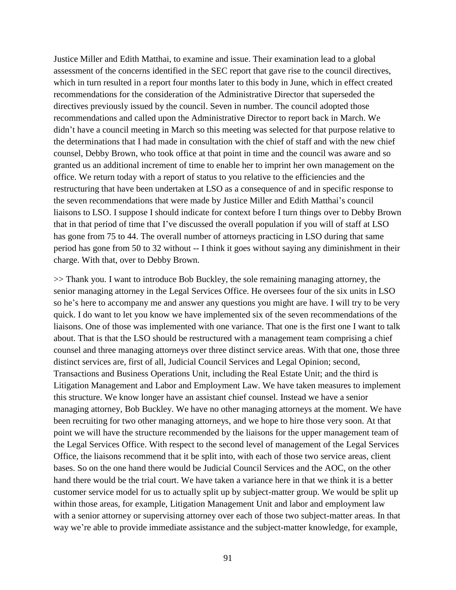Justice Miller and Edith Matthai, to examine and issue. Their examination lead to a global assessment of the concerns identified in the SEC report that gave rise to the council directives, which in turn resulted in a report four months later to this body in June, which in effect created recommendations for the consideration of the Administrative Director that superseded the directives previously issued by the council. Seven in number. The council adopted those recommendations and called upon the Administrative Director to report back in March. We didn't have a council meeting in March so this meeting was selected for that purpose relative to the determinations that I had made in consultation with the chief of staff and with the new chief counsel, Debby Brown, who took office at that point in time and the council was aware and so granted us an additional increment of time to enable her to imprint her own management on the office. We return today with a report of status to you relative to the efficiencies and the restructuring that have been undertaken at LSO as a consequence of and in specific response to the seven recommendations that were made by Justice Miller and Edith Matthai's council liaisons to LSO. I suppose I should indicate for context before I turn things over to Debby Brown that in that period of time that I've discussed the overall population if you will of staff at LSO has gone from 75 to 44. The overall number of attorneys practicing in LSO during that same period has gone from 50 to 32 without -- I think it goes without saying any diminishment in their charge. With that, over to Debby Brown.

>> Thank you. I want to introduce Bob Buckley, the sole remaining managing attorney, the senior managing attorney in the Legal Services Office. He oversees four of the six units in LSO so he's here to accompany me and answer any questions you might are have. I will try to be very quick. I do want to let you know we have implemented six of the seven recommendations of the liaisons. One of those was implemented with one variance. That one is the first one I want to talk about. That is that the LSO should be restructured with a management team comprising a chief counsel and three managing attorneys over three distinct service areas. With that one, those three distinct services are, first of all, Judicial Council Services and Legal Opinion; second, Transactions and Business Operations Unit, including the Real Estate Unit; and the third is Litigation Management and Labor and Employment Law. We have taken measures to implement this structure. We know longer have an assistant chief counsel. Instead we have a senior managing attorney, Bob Buckley. We have no other managing attorneys at the moment. We have been recruiting for two other managing attorneys, and we hope to hire those very soon. At that point we will have the structure recommended by the liaisons for the upper management team of the Legal Services Office. With respect to the second level of management of the Legal Services Office, the liaisons recommend that it be split into, with each of those two service areas, client bases. So on the one hand there would be Judicial Council Services and the AOC, on the other hand there would be the trial court. We have taken a variance here in that we think it is a better customer service model for us to actually split up by subject-matter group. We would be split up within those areas, for example, Litigation Management Unit and labor and employment law with a senior attorney or supervising attorney over each of those two subject-matter areas. In that way we're able to provide immediate assistance and the subject-matter knowledge, for example,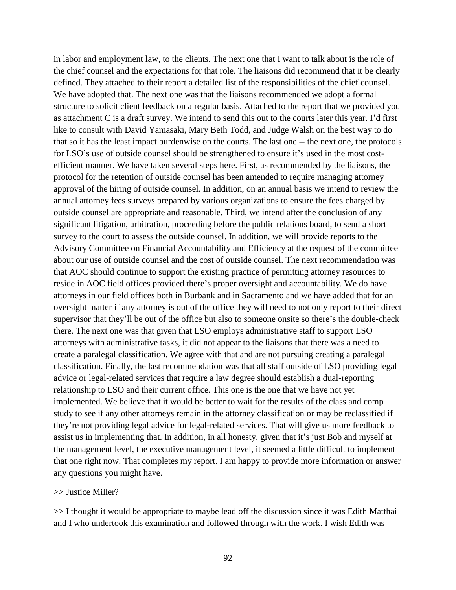in labor and employment law, to the clients. The next one that I want to talk about is the role of the chief counsel and the expectations for that role. The liaisons did recommend that it be clearly defined. They attached to their report a detailed list of the responsibilities of the chief counsel. We have adopted that. The next one was that the liaisons recommended we adopt a formal structure to solicit client feedback on a regular basis. Attached to the report that we provided you as attachment C is a draft survey. We intend to send this out to the courts later this year. I'd first like to consult with David Yamasaki, Mary Beth Todd, and Judge Walsh on the best way to do that so it has the least impact burdenwise on the courts. The last one -- the next one, the protocols for LSO's use of outside counsel should be strengthened to ensure it's used in the most costefficient manner. We have taken several steps here. First, as recommended by the liaisons, the protocol for the retention of outside counsel has been amended to require managing attorney approval of the hiring of outside counsel. In addition, on an annual basis we intend to review the annual attorney fees surveys prepared by various organizations to ensure the fees charged by outside counsel are appropriate and reasonable. Third, we intend after the conclusion of any significant litigation, arbitration, proceeding before the public relations board, to send a short survey to the court to assess the outside counsel. In addition, we will provide reports to the Advisory Committee on Financial Accountability and Efficiency at the request of the committee about our use of outside counsel and the cost of outside counsel. The next recommendation was that AOC should continue to support the existing practice of permitting attorney resources to reside in AOC field offices provided there's proper oversight and accountability. We do have attorneys in our field offices both in Burbank and in Sacramento and we have added that for an oversight matter if any attorney is out of the office they will need to not only report to their direct supervisor that they'll be out of the office but also to someone onsite so there's the double-check there. The next one was that given that LSO employs administrative staff to support LSO attorneys with administrative tasks, it did not appear to the liaisons that there was a need to create a paralegal classification. We agree with that and are not pursuing creating a paralegal classification. Finally, the last recommendation was that all staff outside of LSO providing legal advice or legal-related services that require a law degree should establish a dual-reporting relationship to LSO and their current office. This one is the one that we have not yet implemented. We believe that it would be better to wait for the results of the class and comp study to see if any other attorneys remain in the attorney classification or may be reclassified if they're not providing legal advice for legal-related services. That will give us more feedback to assist us in implementing that. In addition, in all honesty, given that it's just Bob and myself at the management level, the executive management level, it seemed a little difficult to implement that one right now. That completes my report. I am happy to provide more information or answer any questions you might have.

### >> Justice Miller?

>> I thought it would be appropriate to maybe lead off the discussion since it was Edith Matthai and I who undertook this examination and followed through with the work. I wish Edith was